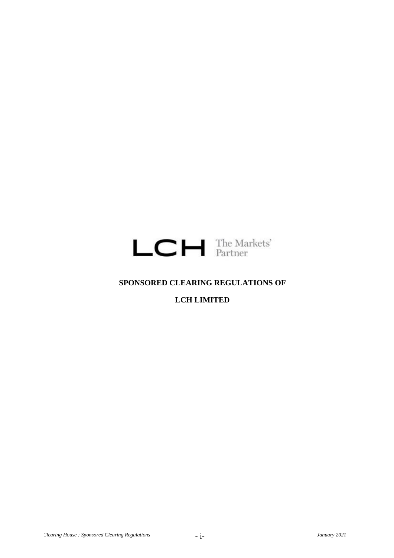

# **SPONSORED CLEARING REGULATIONS OF**

# **LCH LIMITED**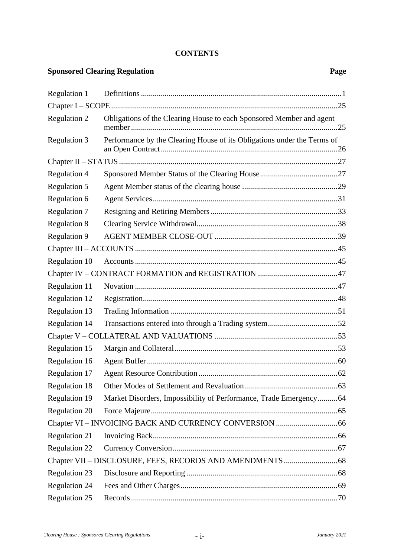## **CONTENTS**

# **Sponsored Clearing Regulation Page**

| Regulation 1         |                                                                         |  |  |
|----------------------|-------------------------------------------------------------------------|--|--|
|                      |                                                                         |  |  |
| Regulation 2         | Obligations of the Clearing House to each Sponsored Member and agent    |  |  |
| <b>Regulation 3</b>  | Performance by the Clearing House of its Obligations under the Terms of |  |  |
|                      |                                                                         |  |  |
| <b>Regulation 4</b>  |                                                                         |  |  |
| Regulation 5         |                                                                         |  |  |
| Regulation 6         |                                                                         |  |  |
| <b>Regulation 7</b>  |                                                                         |  |  |
| <b>Regulation 8</b>  |                                                                         |  |  |
| <b>Regulation 9</b>  |                                                                         |  |  |
|                      |                                                                         |  |  |
| Regulation 10        |                                                                         |  |  |
|                      |                                                                         |  |  |
| Regulation 11        |                                                                         |  |  |
| Regulation 12        |                                                                         |  |  |
| <b>Regulation 13</b> |                                                                         |  |  |
| <b>Regulation 14</b> |                                                                         |  |  |
|                      |                                                                         |  |  |
| Regulation 15        |                                                                         |  |  |
| Regulation 16        |                                                                         |  |  |
| Regulation 17        |                                                                         |  |  |
| <b>Regulation 18</b> |                                                                         |  |  |
| <b>Regulation 19</b> | Market Disorders, Impossibility of Performance, Trade Emergency 64      |  |  |
| <b>Regulation 20</b> |                                                                         |  |  |
|                      |                                                                         |  |  |
| <b>Regulation 21</b> |                                                                         |  |  |
| <b>Regulation 22</b> |                                                                         |  |  |
|                      |                                                                         |  |  |
| <b>Regulation 23</b> |                                                                         |  |  |
| <b>Regulation 24</b> |                                                                         |  |  |
| <b>Regulation 25</b> |                                                                         |  |  |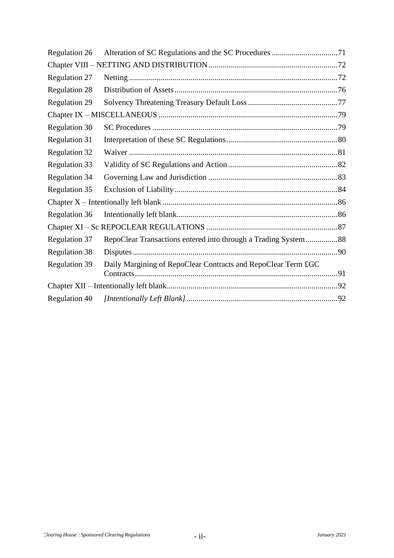| <b>Regulation 26</b> |                                                                |  |
|----------------------|----------------------------------------------------------------|--|
|                      |                                                                |  |
| <b>Regulation 27</b> |                                                                |  |
| <b>Regulation 28</b> |                                                                |  |
| <b>Regulation 29</b> |                                                                |  |
|                      |                                                                |  |
| <b>Regulation 30</b> |                                                                |  |
| <b>Regulation 31</b> |                                                                |  |
| <b>Regulation 32</b> |                                                                |  |
| <b>Regulation 33</b> |                                                                |  |
| <b>Regulation 34</b> |                                                                |  |
| <b>Regulation 35</b> |                                                                |  |
|                      |                                                                |  |
| <b>Regulation 36</b> |                                                                |  |
|                      |                                                                |  |
| <b>Regulation 37</b> | RepoClear Transactions entered into through a Trading System88 |  |
| <b>Regulation 38</b> |                                                                |  |
| <b>Regulation 39</b> | Daily Margining of RepoClear Contracts and RepoClear Term £GC  |  |
|                      |                                                                |  |
| <b>Regulation 40</b> |                                                                |  |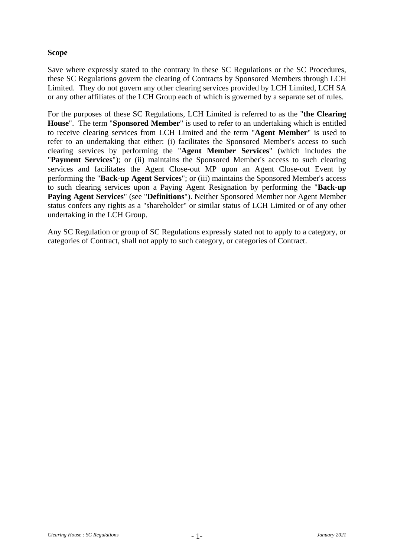# **Scope**

Save where expressly stated to the contrary in these SC Regulations or the SC Procedures, these SC Regulations govern the clearing of Contracts by Sponsored Members through LCH Limited. They do not govern any other clearing services provided by LCH Limited, LCH SA or any other affiliates of the LCH Group each of which is governed by a separate set of rules.

For the purposes of these SC Regulations, LCH Limited is referred to as the "**the Clearing House**". The term "**Sponsored Member**" is used to refer to an undertaking which is entitled to receive clearing services from LCH Limited and the term "**Agent Member**" is used to refer to an undertaking that either: (i) facilitates the Sponsored Member's access to such clearing services by performing the "**Agent Member Services**" (which includes the "**Payment Services**"); or (ii) maintains the Sponsored Member's access to such clearing services and facilitates the Agent Close-out MP upon an Agent Close-out Event by performing the "**Back-up Agent Services**"; or (iii) maintains the Sponsored Member's access to such clearing services upon a Paying Agent Resignation by performing the "**Back-up Paying Agent Services**" (see "**Definitions**"). Neither Sponsored Member nor Agent Member status confers any rights as a "shareholder" or similar status of LCH Limited or of any other undertaking in the LCH Group.

Any SC Regulation or group of SC Regulations expressly stated not to apply to a category, or categories of Contract, shall not apply to such category, or categories of Contract.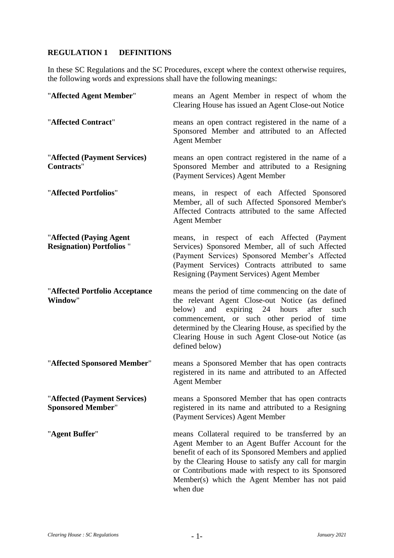# **REGULATION 1 DEFINITIONS**

In these SC Regulations and the SC Procedures, except where the context otherwise requires, the following words and expressions shall have the following meanings:

| "Affected Agent Member"                                      | means an Agent Member in respect of whom the<br>Clearing House has issued an Agent Close-out Notice                                                                                                                                                                                                                                      |
|--------------------------------------------------------------|------------------------------------------------------------------------------------------------------------------------------------------------------------------------------------------------------------------------------------------------------------------------------------------------------------------------------------------|
| "Affected Contract"                                          | means an open contract registered in the name of a<br>Sponsored Member and attributed to an Affected<br><b>Agent Member</b>                                                                                                                                                                                                              |
| "Affected (Payment Services)<br>Contracts"                   | means an open contract registered in the name of a<br>Sponsored Member and attributed to a Resigning<br>(Payment Services) Agent Member                                                                                                                                                                                                  |
| "Affected Portfolios"                                        | means, in respect of each Affected Sponsored<br>Member, all of such Affected Sponsored Member's<br>Affected Contracts attributed to the same Affected<br><b>Agent Member</b>                                                                                                                                                             |
| "Affected (Paying Agent<br><b>Resignation</b> ) Portfolios " | means, in respect of each Affected (Payment<br>Services) Sponsored Member, all of such Affected<br>(Payment Services) Sponsored Member's Affected<br>(Payment Services) Contracts attributed to same<br>Resigning (Payment Services) Agent Member                                                                                        |
| "Affected Portfolio Acceptance<br>Window"                    | means the period of time commencing on the date of<br>the relevant Agent Close-out Notice (as defined<br>and expiring 24 hours<br>after<br>below)<br>such<br>commencement, or such other period of time<br>determined by the Clearing House, as specified by the<br>Clearing House in such Agent Close-out Notice (as<br>defined below)  |
| "Affected Sponsored Member"                                  | means a Sponsored Member that has open contracts<br>registered in its name and attributed to an Affected<br><b>Agent Member</b>                                                                                                                                                                                                          |
| "Affected (Payment Services)<br><b>Sponsored Member"</b>     | means a Sponsored Member that has open contracts<br>registered in its name and attributed to a Resigning<br>(Payment Services) Agent Member                                                                                                                                                                                              |
| "Agent Buffer"                                               | means Collateral required to be transferred by an<br>Agent Member to an Agent Buffer Account for the<br>benefit of each of its Sponsored Members and applied<br>by the Clearing House to satisfy any call for margin<br>or Contributions made with respect to its Sponsored<br>Member(s) which the Agent Member has not paid<br>when due |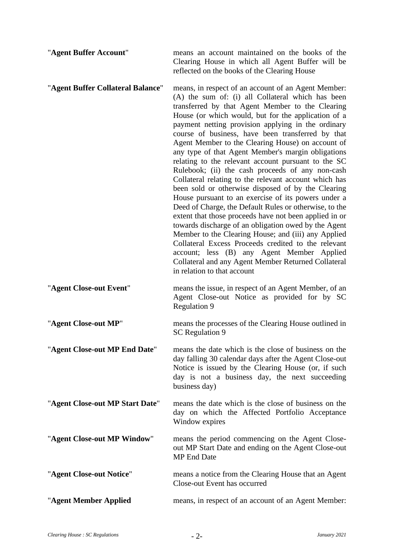| "Agent Buffer Account"            | means an account maintained on the books of the<br>Clearing House in which all Agent Buffer will be<br>reflected on the books of the Clearing House                                                                                                                                                                                                                                                                                                                                                                                                                                                                                                                                                                                                                                                                                                                                                                                                                                                                                                                                                                                                      |
|-----------------------------------|----------------------------------------------------------------------------------------------------------------------------------------------------------------------------------------------------------------------------------------------------------------------------------------------------------------------------------------------------------------------------------------------------------------------------------------------------------------------------------------------------------------------------------------------------------------------------------------------------------------------------------------------------------------------------------------------------------------------------------------------------------------------------------------------------------------------------------------------------------------------------------------------------------------------------------------------------------------------------------------------------------------------------------------------------------------------------------------------------------------------------------------------------------|
| "Agent Buffer Collateral Balance" | means, in respect of an account of an Agent Member:<br>(A) the sum of: (i) all Collateral which has been<br>transferred by that Agent Member to the Clearing<br>House (or which would, but for the application of a<br>payment netting provision applying in the ordinary<br>course of business, have been transferred by that<br>Agent Member to the Clearing House) on account of<br>any type of that Agent Member's margin obligations<br>relating to the relevant account pursuant to the SC<br>Rulebook; (ii) the cash proceeds of any non-cash<br>Collateral relating to the relevant account which has<br>been sold or otherwise disposed of by the Clearing<br>House pursuant to an exercise of its powers under a<br>Deed of Charge, the Default Rules or otherwise, to the<br>extent that those proceeds have not been applied in or<br>towards discharge of an obligation owed by the Agent<br>Member to the Clearing House; and (iii) any Applied<br>Collateral Excess Proceeds credited to the relevant<br>account; less (B) any Agent Member Applied<br>Collateral and any Agent Member Returned Collateral<br>in relation to that account |
|                                   |                                                                                                                                                                                                                                                                                                                                                                                                                                                                                                                                                                                                                                                                                                                                                                                                                                                                                                                                                                                                                                                                                                                                                          |
| "Agent Close-out Event"           | means the issue, in respect of an Agent Member, of an<br>Agent Close-out Notice as provided for by SC<br><b>Regulation 9</b>                                                                                                                                                                                                                                                                                                                                                                                                                                                                                                                                                                                                                                                                                                                                                                                                                                                                                                                                                                                                                             |
| "Agent Close-out MP"              | means the processes of the Clearing House outlined in<br>SC Regulation 9                                                                                                                                                                                                                                                                                                                                                                                                                                                                                                                                                                                                                                                                                                                                                                                                                                                                                                                                                                                                                                                                                 |
| "Agent Close-out MP End Date"     | means the date which is the close of business on the<br>day falling 30 calendar days after the Agent Close-out<br>Notice is issued by the Clearing House (or, if such<br>day is not a business day, the next succeeding<br>business day)                                                                                                                                                                                                                                                                                                                                                                                                                                                                                                                                                                                                                                                                                                                                                                                                                                                                                                                 |
| "Agent Close-out MP Start Date"   | means the date which is the close of business on the<br>day on which the Affected Portfolio Acceptance<br>Window expires                                                                                                                                                                                                                                                                                                                                                                                                                                                                                                                                                                                                                                                                                                                                                                                                                                                                                                                                                                                                                                 |
| "Agent Close-out MP Window"       | means the period commencing on the Agent Close-<br>out MP Start Date and ending on the Agent Close-out<br><b>MP</b> End Date                                                                                                                                                                                                                                                                                                                                                                                                                                                                                                                                                                                                                                                                                                                                                                                                                                                                                                                                                                                                                             |
| "Agent Close-out Notice"          | means a notice from the Clearing House that an Agent<br>Close-out Event has occurred                                                                                                                                                                                                                                                                                                                                                                                                                                                                                                                                                                                                                                                                                                                                                                                                                                                                                                                                                                                                                                                                     |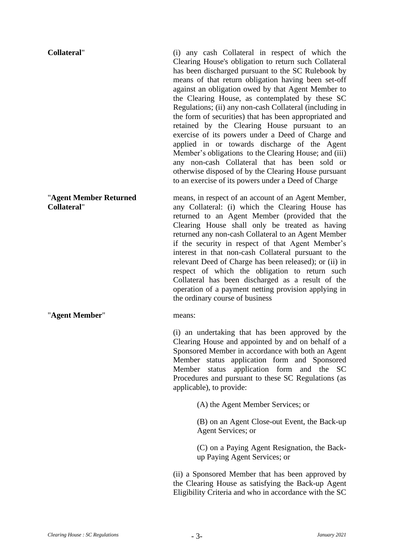| <b>Collateral"</b>                           | (i) any cash Collateral in respect of which the<br>Clearing House's obligation to return such Collateral<br>has been discharged pursuant to the SC Rulebook by<br>means of that return obligation having been set-off<br>against an obligation owed by that Agent Member to<br>the Clearing House, as contemplated by these SC<br>Regulations; (ii) any non-cash Collateral (including in<br>the form of securities) that has been appropriated and<br>retained by the Clearing House pursuant to an<br>exercise of its powers under a Deed of Charge and<br>applied in or towards discharge of the Agent<br>Member's obligations to the Clearing House; and (iii)<br>any non-cash Collateral that has been sold or<br>otherwise disposed of by the Clearing House pursuant<br>to an exercise of its powers under a Deed of Charge |
|----------------------------------------------|------------------------------------------------------------------------------------------------------------------------------------------------------------------------------------------------------------------------------------------------------------------------------------------------------------------------------------------------------------------------------------------------------------------------------------------------------------------------------------------------------------------------------------------------------------------------------------------------------------------------------------------------------------------------------------------------------------------------------------------------------------------------------------------------------------------------------------|
| "Agent Member Returned<br><b>Collateral"</b> | means, in respect of an account of an Agent Member,<br>any Collateral: (i) which the Clearing House has<br>returned to an Agent Member (provided that the<br>Clearing House shall only be treated as having<br>returned any non-cash Collateral to an Agent Member<br>if the security in respect of that Agent Member's<br>interest in that non-cash Collateral pursuant to the<br>relevant Deed of Charge has been released); or (ii) in<br>respect of which the obligation to return such<br>Collateral has been discharged as a result of the<br>operation of a payment netting provision applying in<br>the ordinary course of business                                                                                                                                                                                        |
| "Agent Member"                               | means:                                                                                                                                                                                                                                                                                                                                                                                                                                                                                                                                                                                                                                                                                                                                                                                                                             |
|                                              | (i) an undertaking that has been approved by the<br>Clearing House and appointed by and on behalf of a<br>Sponsored Member in accordance with both an Agent<br>application form and Sponsored<br>Member<br>status<br>Member<br>application form<br>status<br>and the<br><sub>SC</sub><br>Procedures and pursuant to these SC Regulations (as<br>applicable), to provide:                                                                                                                                                                                                                                                                                                                                                                                                                                                           |
|                                              | (A) the Agent Member Services; or                                                                                                                                                                                                                                                                                                                                                                                                                                                                                                                                                                                                                                                                                                                                                                                                  |
|                                              | (B) on an Agent Close-out Event, the Back-up<br>Agent Services; or                                                                                                                                                                                                                                                                                                                                                                                                                                                                                                                                                                                                                                                                                                                                                                 |
|                                              | (C) on a Paying Agent Resignation, the Back-<br>up Paying Agent Services; or                                                                                                                                                                                                                                                                                                                                                                                                                                                                                                                                                                                                                                                                                                                                                       |

(ii) a Sponsored Member that has been approved by the Clearing House as satisfying the Back-up Agent Eligibility Criteria and who in accordance with the SC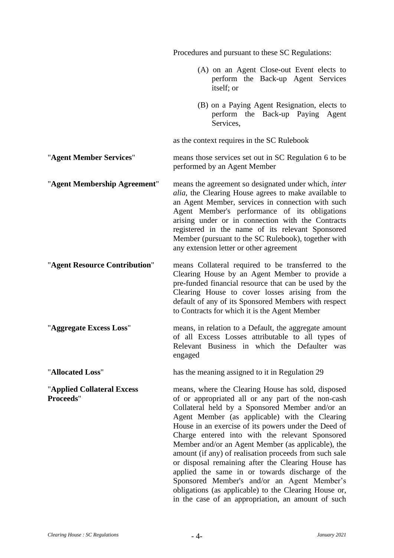|                                                | Procedures and pursuant to these SC Regulations:                                                                                                                                                                                                                                                                                                                                                                                                                                                                                                                                                                                                                                                                |
|------------------------------------------------|-----------------------------------------------------------------------------------------------------------------------------------------------------------------------------------------------------------------------------------------------------------------------------------------------------------------------------------------------------------------------------------------------------------------------------------------------------------------------------------------------------------------------------------------------------------------------------------------------------------------------------------------------------------------------------------------------------------------|
|                                                | (A) on an Agent Close-out Event elects to<br>perform the Back-up Agent Services<br>itself; or                                                                                                                                                                                                                                                                                                                                                                                                                                                                                                                                                                                                                   |
|                                                | (B) on a Paying Agent Resignation, elects to<br>perform the Back-up Paying Agent<br>Services,                                                                                                                                                                                                                                                                                                                                                                                                                                                                                                                                                                                                                   |
|                                                | as the context requires in the SC Rulebook                                                                                                                                                                                                                                                                                                                                                                                                                                                                                                                                                                                                                                                                      |
| "Agent Member Services"                        | means those services set out in SC Regulation 6 to be<br>performed by an Agent Member                                                                                                                                                                                                                                                                                                                                                                                                                                                                                                                                                                                                                           |
| "Agent Membership Agreement"                   | means the agreement so designated under which, inter<br>alia, the Clearing House agrees to make available to<br>an Agent Member, services in connection with such<br>Agent Member's performance of its obligations<br>arising under or in connection with the Contracts<br>registered in the name of its relevant Sponsored<br>Member (pursuant to the SC Rulebook), together with<br>any extension letter or other agreement                                                                                                                                                                                                                                                                                   |
| "Agent Resource Contribution"                  | means Collateral required to be transferred to the<br>Clearing House by an Agent Member to provide a<br>pre-funded financial resource that can be used by the<br>Clearing House to cover losses arising from the<br>default of any of its Sponsored Members with respect<br>to Contracts for which it is the Agent Member                                                                                                                                                                                                                                                                                                                                                                                       |
| "Aggregate Excess Loss"                        | means, in relation to a Default, the aggregate amount<br>of all Excess Losses attributable to all types of<br>Relevant Business in which the Defaulter was<br>engaged                                                                                                                                                                                                                                                                                                                                                                                                                                                                                                                                           |
| "Allocated Loss"                               | has the meaning assigned to it in Regulation 29                                                                                                                                                                                                                                                                                                                                                                                                                                                                                                                                                                                                                                                                 |
| "Applied Collateral Excess<br><b>Proceeds"</b> | means, where the Clearing House has sold, disposed<br>of or appropriated all or any part of the non-cash<br>Collateral held by a Sponsored Member and/or an<br>Agent Member (as applicable) with the Clearing<br>House in an exercise of its powers under the Deed of<br>Charge entered into with the relevant Sponsored<br>Member and/or an Agent Member (as applicable), the<br>amount (if any) of realisation proceeds from such sale<br>or disposal remaining after the Clearing House has<br>applied the same in or towards discharge of the<br>Sponsored Member's and/or an Agent Member's<br>obligations (as applicable) to the Clearing House or,<br>in the case of an appropriation, an amount of such |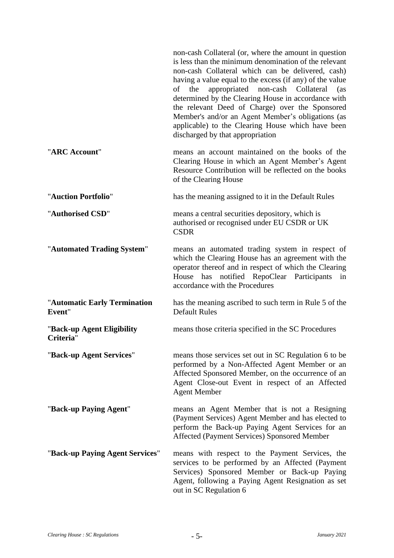|                                         | non-cash Collateral (or, where the amount in question<br>is less than the minimum denomination of the relevant<br>non-cash Collateral which can be delivered, cash)<br>having a value equal to the excess (if any) of the value<br>of the<br>appropriated non-cash Collateral<br>(as<br>determined by the Clearing House in accordance with<br>the relevant Deed of Charge) over the Sponsored<br>Member's and/or an Agent Member's obligations (as<br>applicable) to the Clearing House which have been<br>discharged by that appropriation |
|-----------------------------------------|----------------------------------------------------------------------------------------------------------------------------------------------------------------------------------------------------------------------------------------------------------------------------------------------------------------------------------------------------------------------------------------------------------------------------------------------------------------------------------------------------------------------------------------------|
| "ARC Account"                           | means an account maintained on the books of the<br>Clearing House in which an Agent Member's Agent<br>Resource Contribution will be reflected on the books<br>of the Clearing House                                                                                                                                                                                                                                                                                                                                                          |
| "Auction Portfolio"                     | has the meaning assigned to it in the Default Rules                                                                                                                                                                                                                                                                                                                                                                                                                                                                                          |
| "Authorised CSD"                        | means a central securities depository, which is<br>authorised or recognised under EU CSDR or UK<br><b>CSDR</b>                                                                                                                                                                                                                                                                                                                                                                                                                               |
| "Automated Trading System"              | means an automated trading system in respect of<br>which the Clearing House has an agreement with the<br>operator thereof and in respect of which the Clearing<br>notified RepoClear Participants<br>has<br>House<br>in<br>accordance with the Procedures                                                                                                                                                                                                                                                                                    |
| "Automatic Early Termination<br>Event"  | has the meaning ascribed to such term in Rule 5 of the<br><b>Default Rules</b>                                                                                                                                                                                                                                                                                                                                                                                                                                                               |
| "Back-up Agent Eligibility<br>Criteria" | means those criteria specified in the SC Procedures                                                                                                                                                                                                                                                                                                                                                                                                                                                                                          |
| "Back-up Agent Services"                | means those services set out in SC Regulation 6 to be<br>performed by a Non-Affected Agent Member or an<br>Affected Sponsored Member, on the occurrence of an<br>Agent Close-out Event in respect of an Affected<br><b>Agent Member</b>                                                                                                                                                                                                                                                                                                      |
| "Back-up Paying Agent"                  | means an Agent Member that is not a Resigning<br>(Payment Services) Agent Member and has elected to<br>perform the Back-up Paying Agent Services for an<br>Affected (Payment Services) Sponsored Member                                                                                                                                                                                                                                                                                                                                      |
| "Back-up Paying Agent Services"         | means with respect to the Payment Services, the<br>services to be performed by an Affected (Payment<br>Services) Sponsored Member or Back-up Paying<br>Agent, following a Paying Agent Resignation as set<br>out in SC Regulation 6                                                                                                                                                                                                                                                                                                          |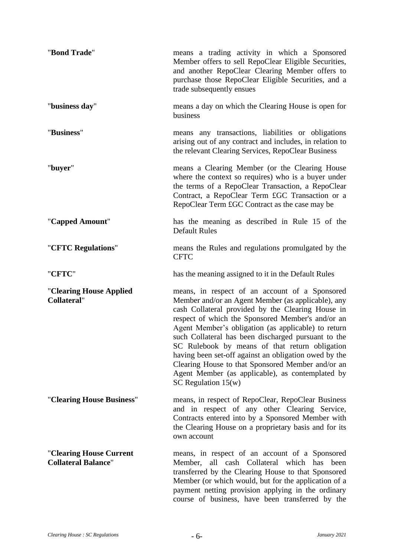| "Bond Trade"                                          | means a trading activity in which a Sponsored<br>Member offers to sell RepoClear Eligible Securities,<br>and another RepoClear Clearing Member offers to<br>purchase those RepoClear Eligible Securities, and a<br>trade subsequently ensues                                                                                                                                                                                                                                                                                                                              |
|-------------------------------------------------------|---------------------------------------------------------------------------------------------------------------------------------------------------------------------------------------------------------------------------------------------------------------------------------------------------------------------------------------------------------------------------------------------------------------------------------------------------------------------------------------------------------------------------------------------------------------------------|
| "business day"                                        | means a day on which the Clearing House is open for<br>business                                                                                                                                                                                                                                                                                                                                                                                                                                                                                                           |
| "Business"                                            | means any transactions, liabilities or obligations<br>arising out of any contract and includes, in relation to<br>the relevant Clearing Services, RepoClear Business                                                                                                                                                                                                                                                                                                                                                                                                      |
| "buyer"                                               | means a Clearing Member (or the Clearing House<br>where the context so requires) who is a buyer under<br>the terms of a RepoClear Transaction, a RepoClear<br>Contract, a RepoClear Term £GC Transaction or a<br>RepoClear Term £GC Contract as the case may be                                                                                                                                                                                                                                                                                                           |
| "Capped Amount"                                       | has the meaning as described in Rule 15 of the<br><b>Default Rules</b>                                                                                                                                                                                                                                                                                                                                                                                                                                                                                                    |
| "CFTC Regulations"                                    | means the Rules and regulations promulgated by the<br><b>CFTC</b>                                                                                                                                                                                                                                                                                                                                                                                                                                                                                                         |
| "CFTC"                                                | has the meaning assigned to it in the Default Rules                                                                                                                                                                                                                                                                                                                                                                                                                                                                                                                       |
| "Clearing House Applied<br><b>Collateral"</b>         | means, in respect of an account of a Sponsored<br>Member and/or an Agent Member (as applicable), any<br>cash Collateral provided by the Clearing House in<br>respect of which the Sponsored Member's and/or an<br>Agent Member's obligation (as applicable) to return<br>such Collateral has been discharged pursuant to the<br>SC Rulebook by means of that return obligation<br>having been set-off against an obligation owed by the<br>Clearing House to that Sponsored Member and/or an<br>Agent Member (as applicable), as contemplated by<br>SC Regulation $15(w)$ |
| "Clearing House Business"                             | means, in respect of RepoClear, RepoClear Business<br>and in respect of any other Clearing Service,<br>Contracts entered into by a Sponsored Member with<br>the Clearing House on a proprietary basis and for its<br>own account                                                                                                                                                                                                                                                                                                                                          |
| "Clearing House Current<br><b>Collateral Balance"</b> | means, in respect of an account of a Sponsored<br>all cash Collateral which has<br>been<br>Member,<br>transferred by the Clearing House to that Sponsored<br>Member (or which would, but for the application of a<br>payment netting provision applying in the ordinary<br>course of business, have been transferred by the                                                                                                                                                                                                                                               |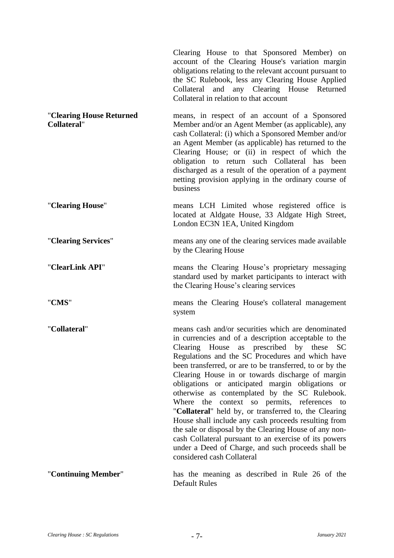|                                                | Clearing House to that Sponsored Member) on<br>account of the Clearing House's variation margin<br>obligations relating to the relevant account pursuant to<br>the SC Rulebook, less any Clearing House Applied<br>Collateral and any Clearing House Returned<br>Collateral in relation to that account                                                                                                                                                                                                                                                                                                                                                                                                                                                                                                          |
|------------------------------------------------|------------------------------------------------------------------------------------------------------------------------------------------------------------------------------------------------------------------------------------------------------------------------------------------------------------------------------------------------------------------------------------------------------------------------------------------------------------------------------------------------------------------------------------------------------------------------------------------------------------------------------------------------------------------------------------------------------------------------------------------------------------------------------------------------------------------|
| "Clearing House Returned<br><b>Collateral"</b> | means, in respect of an account of a Sponsored<br>Member and/or an Agent Member (as applicable), any<br>cash Collateral: (i) which a Sponsored Member and/or<br>an Agent Member (as applicable) has returned to the<br>Clearing House; or (ii) in respect of which the<br>obligation to return such Collateral has been<br>discharged as a result of the operation of a payment<br>netting provision applying in the ordinary course of<br>business                                                                                                                                                                                                                                                                                                                                                              |
| "Clearing House"                               | means LCH Limited whose registered office is<br>located at Aldgate House, 33 Aldgate High Street,<br>London EC3N 1EA, United Kingdom                                                                                                                                                                                                                                                                                                                                                                                                                                                                                                                                                                                                                                                                             |
| "Clearing Services"                            | means any one of the clearing services made available<br>by the Clearing House                                                                                                                                                                                                                                                                                                                                                                                                                                                                                                                                                                                                                                                                                                                                   |
| "ClearLink API"                                | means the Clearing House's proprietary messaging<br>standard used by market participants to interact with<br>the Clearing House's clearing services                                                                                                                                                                                                                                                                                                                                                                                                                                                                                                                                                                                                                                                              |
| "CMS"                                          | means the Clearing House's collateral management<br>system                                                                                                                                                                                                                                                                                                                                                                                                                                                                                                                                                                                                                                                                                                                                                       |
| "Collateral"                                   | means cash and/or securities which are denominated<br>in currencies and of a description acceptable to the<br>Clearing House as prescribed by these<br><b>SC</b><br>Regulations and the SC Procedures and which have<br>been transferred, or are to be transferred, to or by the<br>Clearing House in or towards discharge of margin<br>obligations or anticipated margin obligations or<br>otherwise as contemplated by the SC Rulebook.<br>Where the context so permits, references to<br>"Collateral" held by, or transferred to, the Clearing<br>House shall include any cash proceeds resulting from<br>the sale or disposal by the Clearing House of any non-<br>cash Collateral pursuant to an exercise of its powers<br>under a Deed of Charge, and such proceeds shall be<br>considered cash Collateral |
| "Continuing Member"                            | has the meaning as described in Rule 26 of the<br><b>Default Rules</b>                                                                                                                                                                                                                                                                                                                                                                                                                                                                                                                                                                                                                                                                                                                                           |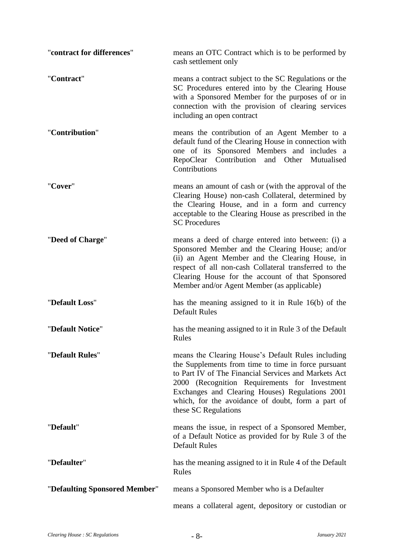| "contract for differences"    | means an OTC Contract which is to be performed by<br>cash settlement only                                                                                                                                                                                                                                                                          |
|-------------------------------|----------------------------------------------------------------------------------------------------------------------------------------------------------------------------------------------------------------------------------------------------------------------------------------------------------------------------------------------------|
| "Contract"                    | means a contract subject to the SC Regulations or the<br>SC Procedures entered into by the Clearing House<br>with a Sponsored Member for the purposes of or in<br>connection with the provision of clearing services<br>including an open contract                                                                                                 |
| "Contribution"                | means the contribution of an Agent Member to a<br>default fund of the Clearing House in connection with<br>one of its Sponsored Members and includes a<br>RepoClear Contribution and Other<br>Mutualised<br>Contributions                                                                                                                          |
| "Cover"                       | means an amount of cash or (with the approval of the<br>Clearing House) non-cash Collateral, determined by<br>the Clearing House, and in a form and currency<br>acceptable to the Clearing House as prescribed in the<br><b>SC Procedures</b>                                                                                                      |
| "Deed of Charge"              | means a deed of charge entered into between: (i) a<br>Sponsored Member and the Clearing House; and/or<br>(ii) an Agent Member and the Clearing House, in<br>respect of all non-cash Collateral transferred to the<br>Clearing House for the account of that Sponsored<br>Member and/or Agent Member (as applicable)                                |
| "Default Loss"                | has the meaning assigned to it in Rule 16(b) of the<br><b>Default Rules</b>                                                                                                                                                                                                                                                                        |
| "Default Notice"              | has the meaning assigned to it in Rule 3 of the Default<br>Rules                                                                                                                                                                                                                                                                                   |
| "Default Rules"               | means the Clearing House's Default Rules including<br>the Supplements from time to time in force pursuant<br>to Part IV of The Financial Services and Markets Act<br>2000 (Recognition Requirements for Investment<br>Exchanges and Clearing Houses) Regulations 2001<br>which, for the avoidance of doubt, form a part of<br>these SC Regulations |
| "Default"                     | means the issue, in respect of a Sponsored Member,<br>of a Default Notice as provided for by Rule 3 of the<br><b>Default Rules</b>                                                                                                                                                                                                                 |
| "Defaulter"                   | has the meaning assigned to it in Rule 4 of the Default<br>Rules                                                                                                                                                                                                                                                                                   |
| "Defaulting Sponsored Member" | means a Sponsored Member who is a Defaulter                                                                                                                                                                                                                                                                                                        |
|                               | means a collateral agent, depository or custodian or                                                                                                                                                                                                                                                                                               |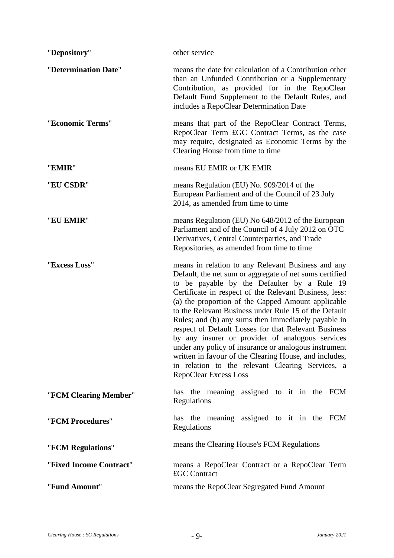| "Depository"            | other service                                                                                                                                                                                                                                                                                                                                                                                                                                                                                                                                                                                                                                                                                                   |
|-------------------------|-----------------------------------------------------------------------------------------------------------------------------------------------------------------------------------------------------------------------------------------------------------------------------------------------------------------------------------------------------------------------------------------------------------------------------------------------------------------------------------------------------------------------------------------------------------------------------------------------------------------------------------------------------------------------------------------------------------------|
| "Determination Date"    | means the date for calculation of a Contribution other<br>than an Unfunded Contribution or a Supplementary<br>Contribution, as provided for in the RepoClear<br>Default Fund Supplement to the Default Rules, and<br>includes a RepoClear Determination Date                                                                                                                                                                                                                                                                                                                                                                                                                                                    |
| "Economic Terms"        | means that part of the RepoClear Contract Terms,<br>RepoClear Term £GC Contract Terms, as the case<br>may require, designated as Economic Terms by the<br>Clearing House from time to time                                                                                                                                                                                                                                                                                                                                                                                                                                                                                                                      |
| "EMIR"                  | means EU EMIR or UK EMIR                                                                                                                                                                                                                                                                                                                                                                                                                                                                                                                                                                                                                                                                                        |
| "EU CSDR"               | means Regulation (EU) No. 909/2014 of the<br>European Parliament and of the Council of 23 July<br>2014, as amended from time to time                                                                                                                                                                                                                                                                                                                                                                                                                                                                                                                                                                            |
| "EU EMIR"               | means Regulation (EU) No 648/2012 of the European<br>Parliament and of the Council of 4 July 2012 on OTC<br>Derivatives, Central Counterparties, and Trade<br>Repositories, as amended from time to time                                                                                                                                                                                                                                                                                                                                                                                                                                                                                                        |
| "Excess Loss"           | means in relation to any Relevant Business and any<br>Default, the net sum or aggregate of net sums certified<br>to be payable by the Defaulter by a Rule 19<br>Certificate in respect of the Relevant Business, less:<br>(a) the proportion of the Capped Amount applicable<br>to the Relevant Business under Rule 15 of the Default<br>Rules; and (b) any sums then immediately payable in<br>respect of Default Losses for that Relevant Business<br>by any insurer or provider of analogous services<br>under any policy of insurance or analogous instrument<br>written in favour of the Clearing House, and includes,<br>in relation to the relevant Clearing Services, a<br><b>RepoClear Excess Loss</b> |
| "FCM Clearing Member"   | has the meaning assigned to it in the FCM<br>Regulations                                                                                                                                                                                                                                                                                                                                                                                                                                                                                                                                                                                                                                                        |
| "FCM Procedures"        | has the meaning assigned to it in the FCM<br>Regulations                                                                                                                                                                                                                                                                                                                                                                                                                                                                                                                                                                                                                                                        |
| "FCM Regulations"       | means the Clearing House's FCM Regulations                                                                                                                                                                                                                                                                                                                                                                                                                                                                                                                                                                                                                                                                      |
| "Fixed Income Contract" | means a RepoClear Contract or a RepoClear Term<br>£GC Contract                                                                                                                                                                                                                                                                                                                                                                                                                                                                                                                                                                                                                                                  |
| "Fund Amount"           | means the RepoClear Segregated Fund Amount                                                                                                                                                                                                                                                                                                                                                                                                                                                                                                                                                                                                                                                                      |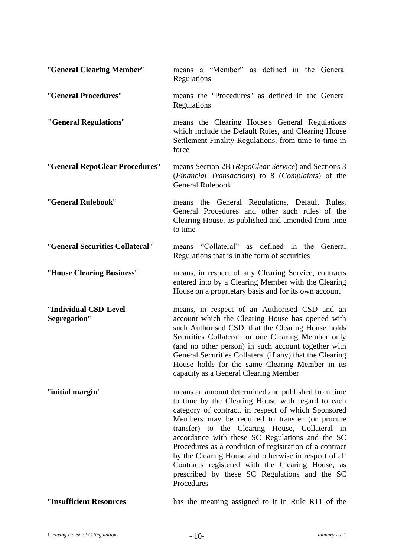| "General Clearing Member"             | means a "Member" as defined in the General<br>Regulations                                                                                                                                                                                                                                                                                                                                                                                                                                                                                                     |
|---------------------------------------|---------------------------------------------------------------------------------------------------------------------------------------------------------------------------------------------------------------------------------------------------------------------------------------------------------------------------------------------------------------------------------------------------------------------------------------------------------------------------------------------------------------------------------------------------------------|
| "General Procedures"                  | means the "Procedures" as defined in the General<br>Regulations                                                                                                                                                                                                                                                                                                                                                                                                                                                                                               |
| "General Regulations"                 | means the Clearing House's General Regulations<br>which include the Default Rules, and Clearing House<br>Settlement Finality Regulations, from time to time in<br>force                                                                                                                                                                                                                                                                                                                                                                                       |
| "General RepoClear Procedures"        | means Section 2B (RepoClear Service) and Sections 3<br>(Financial Transactions) to 8 (Complaints) of the<br><b>General Rulebook</b>                                                                                                                                                                                                                                                                                                                                                                                                                           |
| "General Rulebook"                    | means the General Regulations, Default Rules,<br>General Procedures and other such rules of the<br>Clearing House, as published and amended from time<br>to time                                                                                                                                                                                                                                                                                                                                                                                              |
| "General Securities Collateral"       | means "Collateral" as defined in the<br>General<br>Regulations that is in the form of securities                                                                                                                                                                                                                                                                                                                                                                                                                                                              |
| "House Clearing Business"             | means, in respect of any Clearing Service, contracts<br>entered into by a Clearing Member with the Clearing<br>House on a proprietary basis and for its own account                                                                                                                                                                                                                                                                                                                                                                                           |
| "Individual CSD-Level<br>Segregation" | means, in respect of an Authorised CSD and an<br>account which the Clearing House has opened with<br>such Authorised CSD, that the Clearing House holds<br>Securities Collateral for one Clearing Member only<br>(and no other person) in such account together with<br>General Securities Collateral (if any) that the Clearing<br>House holds for the same Clearing Member in its<br>capacity as a General Clearing Member                                                                                                                                  |
| "initial margin"                      | means an amount determined and published from time<br>to time by the Clearing House with regard to each<br>category of contract, in respect of which Sponsored<br>Members may be required to transfer (or procure<br>transfer) to the Clearing House, Collateral in<br>accordance with these SC Regulations and the SC<br>Procedures as a condition of registration of a contract<br>by the Clearing House and otherwise in respect of all<br>Contracts registered with the Clearing House, as<br>prescribed by these SC Regulations and the SC<br>Procedures |
|                                       |                                                                                                                                                                                                                                                                                                                                                                                                                                                                                                                                                               |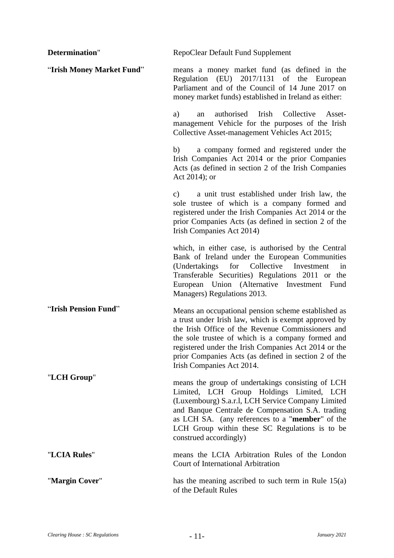| Determination"            | RepoClear Default Fund Supplement                                                                                                                                                                                                                                                                                                                                  |
|---------------------------|--------------------------------------------------------------------------------------------------------------------------------------------------------------------------------------------------------------------------------------------------------------------------------------------------------------------------------------------------------------------|
| "Irish Money Market Fund" | means a money market fund (as defined in the<br>Regulation (EU) 2017/1131 of the<br>European<br>Parliament and of the Council of 14 June 2017 on<br>money market funds) established in Ireland as either:                                                                                                                                                          |
|                           | authorised Irish Collective<br>a)<br>Asset-<br>an<br>management Vehicle for the purposes of the Irish<br>Collective Asset-management Vehicles Act 2015;                                                                                                                                                                                                            |
|                           | a company formed and registered under the<br>b)<br>Irish Companies Act 2014 or the prior Companies<br>Acts (as defined in section 2 of the Irish Companies<br>Act 2014); or                                                                                                                                                                                        |
|                           | a unit trust established under Irish law, the<br>$\mathbf{c}$ )<br>sole trustee of which is a company formed and<br>registered under the Irish Companies Act 2014 or the<br>prior Companies Acts (as defined in section 2 of the<br>Irish Companies Act 2014)                                                                                                      |
|                           | which, in either case, is authorised by the Central<br>Bank of Ireland under the European Communities<br>(Undertakings for Collective Investment<br>in<br>Transferable Securities) Regulations 2011 or the<br>European Union (Alternative Investment Fund<br>Managers) Regulations 2013.                                                                           |
| "Irish Pension Fund"      | Means an occupational pension scheme established as<br>a trust under Irish law, which is exempt approved by<br>the Irish Office of the Revenue Commissioners and<br>the sole trustee of which is a company formed and<br>registered under the Irish Companies Act 2014 or the<br>prior Companies Acts (as defined in section 2 of the<br>Irish Companies Act 2014. |
| "LCH Group"               | means the group of undertakings consisting of LCH<br>Limited, LCH Group Holdings Limited, LCH<br>(Luxembourg) S.a.r.l, LCH Service Company Limited<br>and Banque Centrale de Compensation S.A. trading<br>as LCH SA. (any references to a " <b>member</b> " of the<br>LCH Group within these SC Regulations is to be<br>construed accordingly)                     |
| "LCIA Rules"              | means the LCIA Arbitration Rules of the London<br>Court of International Arbitration                                                                                                                                                                                                                                                                               |
| "Margin Cover"            | has the meaning ascribed to such term in Rule 15(a)<br>of the Default Rules                                                                                                                                                                                                                                                                                        |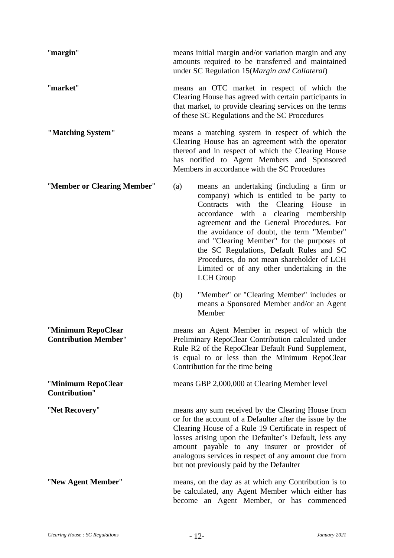| "margin"                                          | means initial margin and/or variation margin and any<br>amounts required to be transferred and maintained<br>under SC Regulation 15(Margin and Collateral)                                                                                                                                                                                                                                                                                                                        |
|---------------------------------------------------|-----------------------------------------------------------------------------------------------------------------------------------------------------------------------------------------------------------------------------------------------------------------------------------------------------------------------------------------------------------------------------------------------------------------------------------------------------------------------------------|
| "market"                                          | means an OTC market in respect of which the<br>Clearing House has agreed with certain participants in<br>that market, to provide clearing services on the terms<br>of these SC Regulations and the SC Procedures                                                                                                                                                                                                                                                                  |
| "Matching System"                                 | means a matching system in respect of which the<br>Clearing House has an agreement with the operator<br>thereof and in respect of which the Clearing House<br>has notified to Agent Members and Sponsored<br>Members in accordance with the SC Procedures                                                                                                                                                                                                                         |
| "Member or Clearing Member"                       | means an undertaking (including a firm or<br>(a)<br>company) which is entitled to be party to<br>Contracts with the Clearing House in<br>accordance with a clearing membership<br>agreement and the General Procedures. For<br>the avoidance of doubt, the term "Member"<br>and "Clearing Member" for the purposes of<br>the SC Regulations, Default Rules and SC<br>Procedures, do not mean shareholder of LCH<br>Limited or of any other undertaking in the<br><b>LCH</b> Group |
|                                                   | "Member" or "Clearing Member" includes or<br>(b)<br>means a Sponsored Member and/or an Agent<br>Member                                                                                                                                                                                                                                                                                                                                                                            |
| "Minimum RepoClear<br><b>Contribution Member"</b> | means an Agent Member in respect of which the<br>Preliminary RepoClear Contribution calculated under<br>Rule R2 of the RepoClear Default Fund Supplement,<br>is equal to or less than the Minimum RepoClear<br>Contribution for the time being                                                                                                                                                                                                                                    |
| "Minimum RepoClear<br><b>Contribution"</b>        | means GBP 2,000,000 at Clearing Member level                                                                                                                                                                                                                                                                                                                                                                                                                                      |
| "Net Recovery"                                    | means any sum received by the Clearing House from<br>or for the account of a Defaulter after the issue by the<br>Clearing House of a Rule 19 Certificate in respect of<br>losses arising upon the Defaulter's Default, less any<br>amount payable to any insurer or provider of<br>analogous services in respect of any amount due from<br>but not previously paid by the Defaulter                                                                                               |
| "New Agent Member"                                | means, on the day as at which any Contribution is to<br>be calculated, any Agent Member which either has<br>become an Agent Member, or has commenced                                                                                                                                                                                                                                                                                                                              |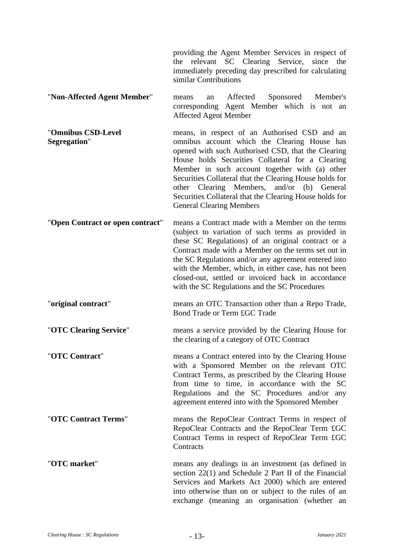providing the Agent Member Services in respect of the relevant SC Clearing Service, since the immediately preceding day prescribed for calculating similar Contributions

- "**Non-Affected Agent Member**" means an Affected Sponsored Member's corresponding Agent Member which is not an Affected Agent Member
- "**Omnibus CSD-Level Segregation**" means, in respect of an Authorised CSD and an omnibus account which the Clearing House has opened with such Authorised CSD, that the Clearing House holds Securities Collateral for a Clearing Member in such account together with (a) other Securities Collateral that the Clearing House holds for other Clearing Members, and/or (b) General Securities Collateral that the Clearing House holds for General Clearing Members
- "**Open Contract or open contract**" means a Contract made with a Member on the terms (subject to variation of such terms as provided in these SC Regulations) of an original contract or a Contract made with a Member on the terms set out in the SC Regulations and/or any agreement entered into with the Member, which, in either case, has not been closed-out, settled or invoiced back in accordance with the SC Regulations and the SC Procedures
- "**original contract**" means an OTC Transaction other than a Repo Trade, Bond Trade or Term £GC Trade
- "**OTC Clearing Service**" means a service provided by the Clearing House for the clearing of a category of OTC Contract
- "**OTC Contract**" means a Contract entered into by the Clearing House with a Sponsored Member on the relevant OTC Contract Terms, as prescribed by the Clearing House from time to time, in accordance with the SC Regulations and the SC Procedures and/or any agreement entered into with the Sponsored Member
- "**OTC Contract Terms**" means the RepoClear Contract Terms in respect of RepoClear Contracts and the RepoClear Term £GC Contract Terms in respect of RepoClear Term £GC **Contracts**
- "**OTC market**" means any dealings in an investment (as defined in section 22(1) and Schedule 2 Part II of the Financial Services and Markets Act 2000) which are entered into otherwise than on or subject to the rules of an exchange (meaning an organisation (whether an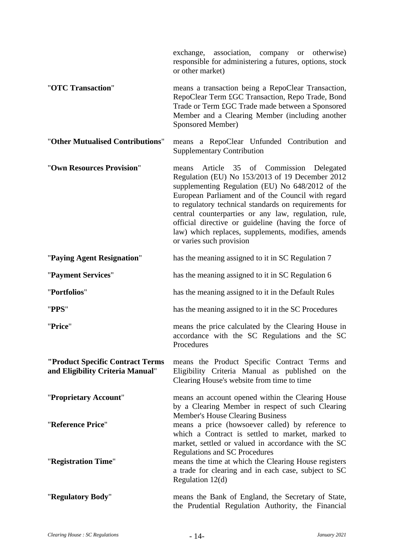|                                                                      | exchange, association, company or otherwise)<br>responsible for administering a futures, options, stock<br>or other market)                                                                                                                                                                                                                                                                                                                                         |
|----------------------------------------------------------------------|---------------------------------------------------------------------------------------------------------------------------------------------------------------------------------------------------------------------------------------------------------------------------------------------------------------------------------------------------------------------------------------------------------------------------------------------------------------------|
| "OTC Transaction"                                                    | means a transaction being a RepoClear Transaction,<br>RepoClear Term £GC Transaction, Repo Trade, Bond<br>Trade or Term £GC Trade made between a Sponsored<br>Member and a Clearing Member (including another<br>Sponsored Member)                                                                                                                                                                                                                                  |
| "Other Mutualised Contributions"                                     | means a RepoClear Unfunded Contribution and<br><b>Supplementary Contribution</b>                                                                                                                                                                                                                                                                                                                                                                                    |
| "Own Resources Provision"                                            | Article 35 of Commission Delegated<br>means<br>Regulation (EU) No 153/2013 of 19 December 2012<br>supplementing Regulation (EU) No 648/2012 of the<br>European Parliament and of the Council with regard<br>to regulatory technical standards on requirements for<br>central counterparties or any law, regulation, rule,<br>official directive or guideline (having the force of<br>law) which replaces, supplements, modifies, amends<br>or varies such provision |
| "Paying Agent Resignation"                                           | has the meaning assigned to it in SC Regulation 7                                                                                                                                                                                                                                                                                                                                                                                                                   |
| "Payment Services"                                                   | has the meaning assigned to it in SC Regulation 6                                                                                                                                                                                                                                                                                                                                                                                                                   |
| "Portfolios"                                                         | has the meaning assigned to it in the Default Rules                                                                                                                                                                                                                                                                                                                                                                                                                 |
| "PPS"                                                                | has the meaning assigned to it in the SC Procedures                                                                                                                                                                                                                                                                                                                                                                                                                 |
| "Price"                                                              | means the price calculated by the Clearing House in<br>accordance with the SC Regulations and the SC<br>Procedures                                                                                                                                                                                                                                                                                                                                                  |
| "Product Specific Contract Terms<br>and Eligibility Criteria Manual" | means the Product Specific Contract Terms and<br>Eligibility Criteria Manual as published on the<br>Clearing House's website from time to time                                                                                                                                                                                                                                                                                                                      |
| "Proprietary Account"                                                | means an account opened within the Clearing House<br>by a Clearing Member in respect of such Clearing<br>Member's House Clearing Business                                                                                                                                                                                                                                                                                                                           |
| "Reference Price"                                                    | means a price (howsoever called) by reference to<br>which a Contract is settled to market, marked to<br>market, settled or valued in accordance with the SC                                                                                                                                                                                                                                                                                                         |
| "Registration Time"                                                  | Regulations and SC Procedures<br>means the time at which the Clearing House registers<br>a trade for clearing and in each case, subject to SC<br>Regulation $12(d)$                                                                                                                                                                                                                                                                                                 |
| "Regulatory Body"                                                    | means the Bank of England, the Secretary of State,<br>the Prudential Regulation Authority, the Financial                                                                                                                                                                                                                                                                                                                                                            |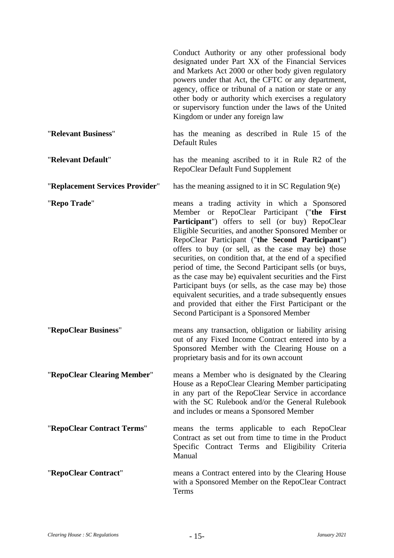|                                 | Conduct Authority or any other professional body<br>designated under Part XX of the Financial Services<br>and Markets Act 2000 or other body given regulatory<br>powers under that Act, the CFTC or any department,<br>agency, office or tribunal of a nation or state or any<br>other body or authority which exercises a regulatory<br>or supervisory function under the laws of the United<br>Kingdom or under any foreign law                                                                                                                                                                                                                                                                                                      |
|---------------------------------|----------------------------------------------------------------------------------------------------------------------------------------------------------------------------------------------------------------------------------------------------------------------------------------------------------------------------------------------------------------------------------------------------------------------------------------------------------------------------------------------------------------------------------------------------------------------------------------------------------------------------------------------------------------------------------------------------------------------------------------|
| "Relevant Business"             | has the meaning as described in Rule 15 of the<br><b>Default Rules</b>                                                                                                                                                                                                                                                                                                                                                                                                                                                                                                                                                                                                                                                                 |
| "Relevant Default"              | has the meaning ascribed to it in Rule R2 of the<br>RepoClear Default Fund Supplement                                                                                                                                                                                                                                                                                                                                                                                                                                                                                                                                                                                                                                                  |
| "Replacement Services Provider" | has the meaning assigned to it in SC Regulation 9(e)                                                                                                                                                                                                                                                                                                                                                                                                                                                                                                                                                                                                                                                                                   |
| "Repo Trade"                    | means a trading activity in which a Sponsored<br>or RepoClear Participant ("the<br><b>First</b><br>Member<br>Participant") offers to sell (or buy) RepoClear<br>Eligible Securities, and another Sponsored Member or<br>RepoClear Participant ("the Second Participant")<br>offers to buy (or sell, as the case may be) those<br>securities, on condition that, at the end of a specified<br>period of time, the Second Participant sells (or buys,<br>as the case may be) equivalent securities and the First<br>Participant buys (or sells, as the case may be) those<br>equivalent securities, and a trade subsequently ensues<br>and provided that either the First Participant or the<br>Second Participant is a Sponsored Member |
| "RepoClear Business"            | means any transaction, obligation or liability arising<br>out of any Fixed Income Contract entered into by a<br>Sponsored Member with the Clearing House on a<br>proprietary basis and for its own account                                                                                                                                                                                                                                                                                                                                                                                                                                                                                                                             |
| "RepoClear Clearing Member"     | means a Member who is designated by the Clearing<br>House as a RepoClear Clearing Member participating<br>in any part of the RepoClear Service in accordance<br>with the SC Rulebook and/or the General Rulebook<br>and includes or means a Sponsored Member                                                                                                                                                                                                                                                                                                                                                                                                                                                                           |
| "RepoClear Contract Terms"      | means the terms applicable to each RepoClear<br>Contract as set out from time to time in the Product<br>Specific Contract Terms and Eligibility Criteria<br>Manual                                                                                                                                                                                                                                                                                                                                                                                                                                                                                                                                                                     |
| "RepoClear Contract"            | means a Contract entered into by the Clearing House<br>with a Sponsored Member on the RepoClear Contract<br>Terms                                                                                                                                                                                                                                                                                                                                                                                                                                                                                                                                                                                                                      |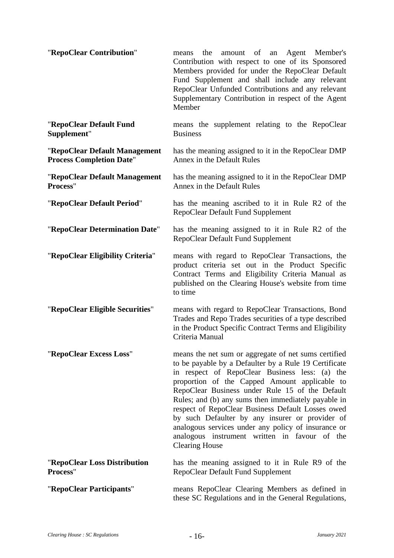| "RepoClear Contribution"                                         | the amount of an Agent Member's<br>means<br>Contribution with respect to one of its Sponsored<br>Members provided for under the RepoClear Default<br>Fund Supplement and shall include any relevant<br>RepoClear Unfunded Contributions and any relevant<br>Supplementary Contribution in respect of the Agent<br>Member                                                                                                                                                                                                                                            |
|------------------------------------------------------------------|---------------------------------------------------------------------------------------------------------------------------------------------------------------------------------------------------------------------------------------------------------------------------------------------------------------------------------------------------------------------------------------------------------------------------------------------------------------------------------------------------------------------------------------------------------------------|
| "RepoClear Default Fund<br>Supplement"                           | means the supplement relating to the RepoClear<br><b>Business</b>                                                                                                                                                                                                                                                                                                                                                                                                                                                                                                   |
| "RepoClear Default Management<br><b>Process Completion Date"</b> | has the meaning assigned to it in the RepoClear DMP<br>Annex in the Default Rules                                                                                                                                                                                                                                                                                                                                                                                                                                                                                   |
| "RepoClear Default Management<br>Process"                        | has the meaning assigned to it in the RepoClear DMP<br>Annex in the Default Rules                                                                                                                                                                                                                                                                                                                                                                                                                                                                                   |
| "RepoClear Default Period"                                       | has the meaning ascribed to it in Rule R2 of the<br>RepoClear Default Fund Supplement                                                                                                                                                                                                                                                                                                                                                                                                                                                                               |
| "RepoClear Determination Date"                                   | has the meaning assigned to it in Rule R2 of the<br>RepoClear Default Fund Supplement                                                                                                                                                                                                                                                                                                                                                                                                                                                                               |
| "RepoClear Eligibility Criteria"                                 | means with regard to RepoClear Transactions, the<br>product criteria set out in the Product Specific<br>Contract Terms and Eligibility Criteria Manual as<br>published on the Clearing House's website from time<br>to time                                                                                                                                                                                                                                                                                                                                         |
| "RepoClear Eligible Securities"                                  | means with regard to RepoClear Transactions, Bond<br>Trades and Repo Trades securities of a type described<br>in the Product Specific Contract Terms and Eligibility<br>Criteria Manual                                                                                                                                                                                                                                                                                                                                                                             |
| "RepoClear Excess Loss"                                          | means the net sum or aggregate of net sums certified<br>to be payable by a Defaulter by a Rule 19 Certificate<br>in respect of RepoClear Business less: (a) the<br>proportion of the Capped Amount applicable to<br>RepoClear Business under Rule 15 of the Default<br>Rules; and (b) any sums then immediately payable in<br>respect of RepoClear Business Default Losses owed<br>by such Defaulter by any insurer or provider of<br>analogous services under any policy of insurance or<br>analogous instrument written in favour of the<br><b>Clearing House</b> |
| "RepoClear Loss Distribution<br>Process"                         | has the meaning assigned to it in Rule R9 of the<br>RepoClear Default Fund Supplement                                                                                                                                                                                                                                                                                                                                                                                                                                                                               |
| "RepoClear Participants"                                         | means RepoClear Clearing Members as defined in<br>these SC Regulations and in the General Regulations,                                                                                                                                                                                                                                                                                                                                                                                                                                                              |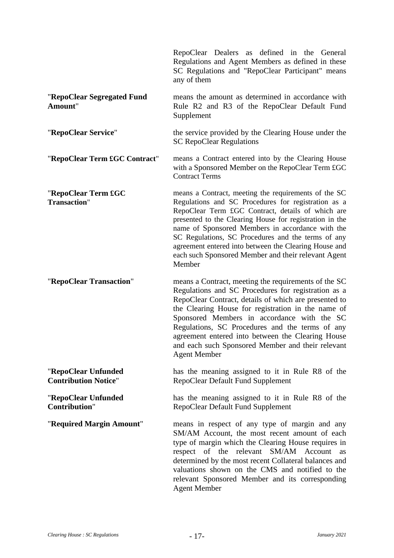|                                                    | RepoClear Dealers as defined in the General<br>Regulations and Agent Members as defined in these<br>SC Regulations and "RepoClear Participant" means<br>any of them                                                                                                                                                                                                                                                                                             |
|----------------------------------------------------|-----------------------------------------------------------------------------------------------------------------------------------------------------------------------------------------------------------------------------------------------------------------------------------------------------------------------------------------------------------------------------------------------------------------------------------------------------------------|
| "RepoClear Segregated Fund<br>Amount"              | means the amount as determined in accordance with<br>Rule R2 and R3 of the RepoClear Default Fund<br>Supplement                                                                                                                                                                                                                                                                                                                                                 |
| "RepoClear Service"                                | the service provided by the Clearing House under the<br><b>SC RepoClear Regulations</b>                                                                                                                                                                                                                                                                                                                                                                         |
| "RepoClear Term £GC Contract"                      | means a Contract entered into by the Clearing House<br>with a Sponsored Member on the RepoClear Term £GC<br><b>Contract Terms</b>                                                                                                                                                                                                                                                                                                                               |
| "RepoClear Term £GC<br>Transaction"                | means a Contract, meeting the requirements of the SC<br>Regulations and SC Procedures for registration as a<br>RepoClear Term £GC Contract, details of which are<br>presented to the Clearing House for registration in the<br>name of Sponsored Members in accordance with the<br>SC Regulations, SC Procedures and the terms of any<br>agreement entered into between the Clearing House and<br>each such Sponsored Member and their relevant Agent<br>Member |
| "RepoClear Transaction"                            | means a Contract, meeting the requirements of the SC<br>Regulations and SC Procedures for registration as a<br>RepoClear Contract, details of which are presented to<br>the Clearing House for registration in the name of<br>Sponsored Members in accordance with the SC<br>Regulations, SC Procedures and the terms of any<br>agreement entered into between the Clearing House<br>and each such Sponsored Member and their relevant<br><b>Agent Member</b>   |
| "RepoClear Unfunded<br><b>Contribution Notice"</b> | has the meaning assigned to it in Rule R8 of the<br>RepoClear Default Fund Supplement                                                                                                                                                                                                                                                                                                                                                                           |
| "RepoClear Unfunded<br><b>Contribution"</b>        | has the meaning assigned to it in Rule R8 of the<br>RepoClear Default Fund Supplement                                                                                                                                                                                                                                                                                                                                                                           |
| "Required Margin Amount"                           | means in respect of any type of margin and any<br>SM/AM Account, the most recent amount of each<br>type of margin which the Clearing House requires in<br>respect of the relevant<br>SM/AM Account<br>as<br>determined by the most recent Collateral balances and<br>valuations shown on the CMS and notified to the<br>relevant Sponsored Member and its corresponding<br><b>Agent Member</b>                                                                  |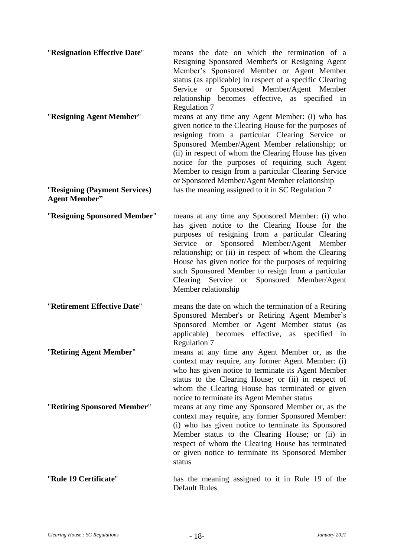| "Resignation Effective Date"<br>"Resigning Agent Member" | means the date on which the termination of a<br>Resigning Sponsored Member's or Resigning Agent<br>Member's Sponsored Member or Agent Member<br>status (as applicable) in respect of a specific Clearing<br>Service or Sponsored Member/Agent Member<br>relationship becomes effective, as specified in<br><b>Regulation 7</b><br>means at any time any Agent Member: (i) who has<br>given notice to the Clearing House for the purposes of<br>resigning from a particular Clearing Service or<br>Sponsored Member/Agent Member relationship; or<br>(ii) in respect of whom the Clearing House has given<br>notice for the purposes of requiring such Agent<br>Member to resign from a particular Clearing Service<br>or Sponsored Member/Agent Member relationship |
|----------------------------------------------------------|---------------------------------------------------------------------------------------------------------------------------------------------------------------------------------------------------------------------------------------------------------------------------------------------------------------------------------------------------------------------------------------------------------------------------------------------------------------------------------------------------------------------------------------------------------------------------------------------------------------------------------------------------------------------------------------------------------------------------------------------------------------------|
| "Resigning (Payment Services)<br><b>Agent Member"</b>    | has the meaning assigned to it in SC Regulation 7                                                                                                                                                                                                                                                                                                                                                                                                                                                                                                                                                                                                                                                                                                                   |
| "Resigning Sponsored Member"                             | means at any time any Sponsored Member: (i) who<br>has given notice to the Clearing House for the<br>purposes of resigning from a particular Clearing<br>Service or Sponsored Member/Agent Member<br>relationship; or (ii) in respect of whom the Clearing<br>House has given notice for the purposes of requiring<br>such Sponsored Member to resign from a particular<br>Sponsored Member/Agent<br>Clearing Service or<br>Member relationship                                                                                                                                                                                                                                                                                                                     |
| "Retirement Effective Date"                              | means the date on which the termination of a Retiring<br>Sponsored Member's or Retiring Agent Member's<br>Sponsored Member or Agent Member status (as<br>applicable) becomes effective, as<br>specified<br>in<br>Regulation 7                                                                                                                                                                                                                                                                                                                                                                                                                                                                                                                                       |
| "Retiring Agent Member"                                  | means at any time any Agent Member or, as the<br>context may require, any former Agent Member: (i)<br>who has given notice to terminate its Agent Member<br>status to the Clearing House; or (ii) in respect of<br>whom the Clearing House has terminated or given<br>notice to terminate its Agent Member status                                                                                                                                                                                                                                                                                                                                                                                                                                                   |
| "Retiring Sponsored Member"                              | means at any time any Sponsored Member or, as the<br>context may require, any former Sponsored Member:<br>(i) who has given notice to terminate its Sponsored<br>Member status to the Clearing House; or (ii) in<br>respect of whom the Clearing House has terminated<br>or given notice to terminate its Sponsored Member<br>status                                                                                                                                                                                                                                                                                                                                                                                                                                |
| "Rule 19 Certificate"                                    | has the meaning assigned to it in Rule 19 of the<br><b>Default Rules</b>                                                                                                                                                                                                                                                                                                                                                                                                                                                                                                                                                                                                                                                                                            |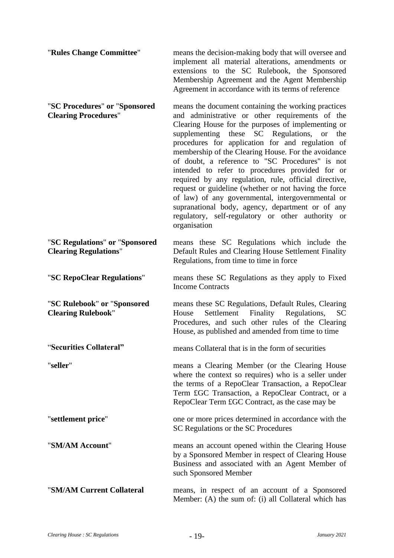| "Rules Change Committee"                                       | means the decision-making body that will oversee and<br>implement all material alterations, amendments or<br>extensions to the SC Rulebook, the Sponsored<br>Membership Agreement and the Agent Membership<br>Agreement in accordance with its terms of reference                                                                                                                                                                                                                                                                                                                                                                                                                                                                        |
|----------------------------------------------------------------|------------------------------------------------------------------------------------------------------------------------------------------------------------------------------------------------------------------------------------------------------------------------------------------------------------------------------------------------------------------------------------------------------------------------------------------------------------------------------------------------------------------------------------------------------------------------------------------------------------------------------------------------------------------------------------------------------------------------------------------|
| "SC Procedures" or "Sponsored<br><b>Clearing Procedures"</b>   | means the document containing the working practices<br>and administrative or other requirements of the<br>Clearing House for the purposes of implementing or<br>supplementing these SC Regulations,<br>the<br><b>or</b><br>procedures for application for and regulation of<br>membership of the Clearing House. For the avoidance<br>of doubt, a reference to "SC Procedures" is not<br>intended to refer to procedures provided for or<br>required by any regulation, rule, official directive,<br>request or guideline (whether or not having the force<br>of law) of any governmental, intergovernmental or<br>supranational body, agency, department or of any<br>regulatory, self-regulatory or other authority or<br>organisation |
| "SC Regulations" or "Sponsored<br><b>Clearing Regulations"</b> | means these SC Regulations which include the<br>Default Rules and Clearing House Settlement Finality<br>Regulations, from time to time in force                                                                                                                                                                                                                                                                                                                                                                                                                                                                                                                                                                                          |
| "SC RepoClear Regulations"                                     | means these SC Regulations as they apply to Fixed<br><b>Income Contracts</b>                                                                                                                                                                                                                                                                                                                                                                                                                                                                                                                                                                                                                                                             |
| "SC Rulebook" or "Sponsored<br><b>Clearing Rulebook"</b>       | means these SC Regulations, Default Rules, Clearing<br>Settlement Finality Regulations,<br>House<br>SС<br>Procedures, and such other rules of the Clearing<br>House, as published and amended from time to time                                                                                                                                                                                                                                                                                                                                                                                                                                                                                                                          |
| "Securities Collateral"                                        | means Collateral that is in the form of securities                                                                                                                                                                                                                                                                                                                                                                                                                                                                                                                                                                                                                                                                                       |
| "seller"                                                       | means a Clearing Member (or the Clearing House<br>where the context so requires) who is a seller under<br>the terms of a RepoClear Transaction, a RepoClear<br>Term £GC Transaction, a RepoClear Contract, or a<br>RepoClear Term £GC Contract, as the case may be                                                                                                                                                                                                                                                                                                                                                                                                                                                                       |
| "settlement price"                                             | one or more prices determined in accordance with the<br>SC Regulations or the SC Procedures                                                                                                                                                                                                                                                                                                                                                                                                                                                                                                                                                                                                                                              |
| "SM/AM Account"                                                | means an account opened within the Clearing House<br>by a Sponsored Member in respect of Clearing House<br>Business and associated with an Agent Member of<br>such Sponsored Member                                                                                                                                                                                                                                                                                                                                                                                                                                                                                                                                                      |
| "SM/AM Current Collateral                                      | means, in respect of an account of a Sponsored<br>Member: (A) the sum of: (i) all Collateral which has                                                                                                                                                                                                                                                                                                                                                                                                                                                                                                                                                                                                                                   |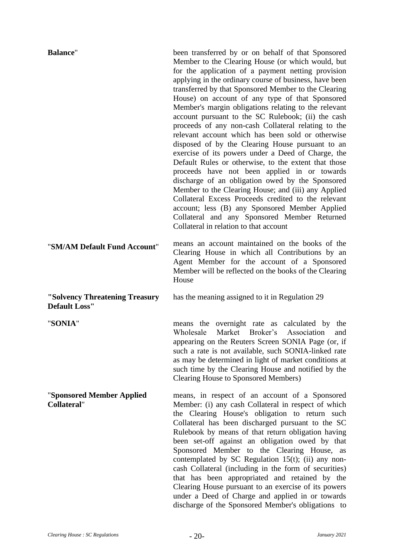| <b>Balance"</b>                                        | been transferred by or on behalf of that Sponsored<br>Member to the Clearing House (or which would, but<br>for the application of a payment netting provision<br>applying in the ordinary course of business, have been<br>transferred by that Sponsored Member to the Clearing<br>House) on account of any type of that Sponsored<br>Member's margin obligations relating to the relevant<br>account pursuant to the SC Rulebook; (ii) the cash<br>proceeds of any non-cash Collateral relating to the<br>relevant account which has been sold or otherwise<br>disposed of by the Clearing House pursuant to an<br>exercise of its powers under a Deed of Charge, the<br>Default Rules or otherwise, to the extent that those<br>proceeds have not been applied in or towards<br>discharge of an obligation owed by the Sponsored<br>Member to the Clearing House; and (iii) any Applied<br>Collateral Excess Proceeds credited to the relevant<br>account; less (B) any Sponsored Member Applied<br>Collateral and any Sponsored Member Returned<br>Collateral in relation to that account |
|--------------------------------------------------------|----------------------------------------------------------------------------------------------------------------------------------------------------------------------------------------------------------------------------------------------------------------------------------------------------------------------------------------------------------------------------------------------------------------------------------------------------------------------------------------------------------------------------------------------------------------------------------------------------------------------------------------------------------------------------------------------------------------------------------------------------------------------------------------------------------------------------------------------------------------------------------------------------------------------------------------------------------------------------------------------------------------------------------------------------------------------------------------------|
| "SM/AM Default Fund Account"                           | means an account maintained on the books of the<br>Clearing House in which all Contributions by an<br>Agent Member for the account of a Sponsored<br>Member will be reflected on the books of the Clearing<br>House                                                                                                                                                                                                                                                                                                                                                                                                                                                                                                                                                                                                                                                                                                                                                                                                                                                                          |
| "Solvency Threatening Treasury<br><b>Default Loss"</b> | has the meaning assigned to it in Regulation 29                                                                                                                                                                                                                                                                                                                                                                                                                                                                                                                                                                                                                                                                                                                                                                                                                                                                                                                                                                                                                                              |
| "SONIA"                                                | means the overnight rate as calculated by the<br>Market<br>Wholesale<br>Broker's<br>Association<br>and<br>appearing on the Reuters Screen SONIA Page (or, if<br>such a rate is not available, such SONIA-linked rate<br>as may be determined in light of market conditions at<br>such time by the Clearing House and notified by the<br><b>Clearing House to Sponsored Members)</b>                                                                                                                                                                                                                                                                                                                                                                                                                                                                                                                                                                                                                                                                                                          |
| "Sponsored Member Applied<br><b>Collateral"</b>        | means, in respect of an account of a Sponsored<br>Member: (i) any cash Collateral in respect of which<br>the Clearing House's obligation to return such<br>Collateral has been discharged pursuant to the SC<br>Rulebook by means of that return obligation having<br>been set-off against an obligation owed by that<br>Sponsored Member to the Clearing House, as<br>contemplated by SC Regulation $15(t)$ ; (ii) any non-<br>cash Collateral (including in the form of securities)<br>that has been appropriated and retained by the<br>Clearing House pursuant to an exercise of its powers<br>under a Deed of Charge and applied in or towards<br>discharge of the Sponsored Member's obligations to                                                                                                                                                                                                                                                                                                                                                                                    |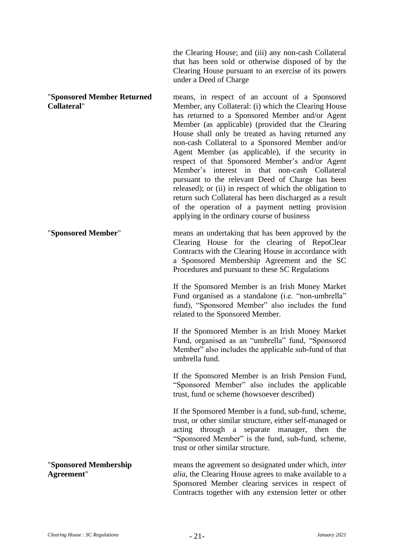the Clearing House; and (iii) any non-cash Collateral that has been sold or otherwise disposed of by the Clearing House pursuant to an exercise of its powers under a Deed of Charge

"**Sponsored Member Returned Collateral**" means, in respect of an account of a Sponsored Member, any Collateral: (i) which the Clearing House has returned to a Sponsored Member and/or Agent Member (as applicable) (provided that the Clearing House shall only be treated as having returned any non-cash Collateral to a Sponsored Member and/or Agent Member (as applicable), if the security in respect of that Sponsored Member's and/or Agent Member's interest in that non-cash Collateral pursuant to the relevant Deed of Charge has been released); or (ii) in respect of which the obligation to return such Collateral has been discharged as a result of the operation of a payment netting provision applying in the ordinary course of business "**Sponsored Member**" means an undertaking that has been approved by the

Clearing House for the clearing of RepoClear Contracts with the Clearing House in accordance with a Sponsored Membership Agreement and the SC Procedures and pursuant to these SC Regulations

If the Sponsored Member is an Irish Money Market Fund organised as a standalone (i.e. "non-umbrella" fund), "Sponsored Member" also includes the fund related to the Sponsored Member.

If the Sponsored Member is an Irish Money Market Fund, organised as an "umbrella" fund, "Sponsored Member" also includes the applicable sub-fund of that umbrella fund.

If the Sponsored Member is an Irish Pension Fund, "Sponsored Member" also includes the applicable trust, fund or scheme (howsoever described)

If the Sponsored Member is a fund, sub-fund, scheme, trust, or other similar structure, either self-managed or acting through a separate manager, then the "Sponsored Member" is the fund, sub-fund, scheme, trust or other similar structure.

"**Sponsored Membership Agreement**" means the agreement so designated under which, *inter alia*, the Clearing House agrees to make available to a Sponsored Member clearing services in respect of Contracts together with any extension letter or other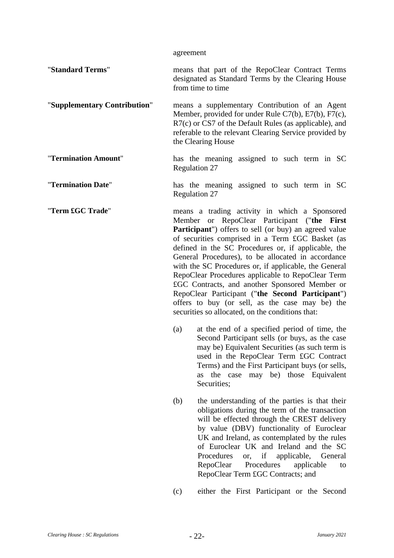agreement

"**Standard Terms**" means that part of the RepoClear Contract Terms designated as Standard Terms by the Clearing House from time to time

"**Supplementary Contribution**" means a supplementary Contribution of an Agent Member, provided for under Rule C7(b), E7(b), F7(c), R7(c) or CS7 of the Default Rules (as applicable), and referable to the relevant Clearing Service provided by the Clearing House

- "**Termination Amount**" has the meaning assigned to such term in SC [Regulation 27](#page-75-0)
- "**Termination Date**" has the meaning assigned to such term in SC [Regulation 27](#page-75-0)
- "**Term £GC Trade**" means a trading activity in which a Sponsored Member or RepoClear Participant ("**the First Participant**") offers to sell (or buy) an agreed value of securities comprised in a Term £GC Basket (as defined in the SC Procedures or, if applicable, the General Procedures), to be allocated in accordance with the SC Procedures or, if applicable, the General RepoClear Procedures applicable to RepoClear Term £GC Contracts, and another Sponsored Member or RepoClear Participant ("**the Second Participant**") offers to buy (or sell, as the case may be) the securities so allocated, on the conditions that:
	- (a) at the end of a specified period of time, the Second Participant sells (or buys, as the case may be) Equivalent Securities (as such term is used in the RepoClear Term £GC Contract Terms) and the First Participant buys (or sells, as the case may be) those Equivalent Securities;
	- (b) the understanding of the parties is that their obligations during the term of the transaction will be effected through the CREST delivery by value (DBV) functionality of Euroclear UK and Ireland, as contemplated by the rules of Euroclear UK and Ireland and the SC Procedures or, if applicable, General RepoClear Procedures applicable to RepoClear Term £GC Contracts; and
	- (c) either the First Participant or the Second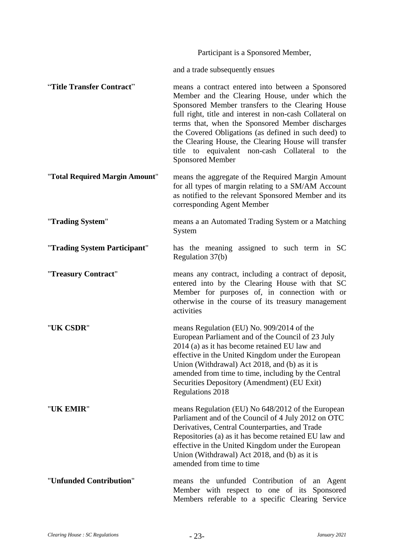Participant is a Sponsored Member,

and a trade subsequently ensues

"**Title Transfer Contract**" means a contract entered into between a Sponsored Member and the Clearing House, under which the Sponsored Member transfers to the Clearing House full right, title and interest in non-cash Collateral on terms that, when the Sponsored Member discharges the Covered Obligations (as defined in such deed) to the Clearing House, the Clearing House will transfer title to equivalent non-cash Collateral to the Sponsored Member

"**Total Required Margin Amount**" means the aggregate of the Required Margin Amount for all types of margin relating to a SM/AM Account as notified to the relevant Sponsored Member and its corresponding Agent Member

"**Trading System**" means a an Automated Trading System or a Matching System

"**Trading System Participant**" has the meaning assigned to such term in SC [Regulation 37\(b\)](#page-91-0)

"**Treasury Contract**" means any contract, including a contract of deposit, entered into by the Clearing House with that SC Member for purposes of, in connection with or otherwise in the course of its treasury management activities

"**UK CSDR**" means Regulation (EU) No. 909/2014 of the European Parliament and of the Council of 23 July 2014 (a) as it has become retained EU law and effective in the United Kingdom under the European Union (Withdrawal) Act 2018, and (b) as it is amended from time to time, including by the Central Securities Depository (Amendment) (EU Exit) Regulations 2018

"**UK EMIR**" means Regulation (EU) No 648/2012 of the European Parliament and of the Council of 4 July 2012 on OTC Derivatives, Central Counterparties, and Trade Repositories (a) as it has become retained EU law and effective in the United Kingdom under the European Union (Withdrawal) Act 2018, and (b) as it is amended from time to time

"**Unfunded Contribution**" means the unfunded Contribution of an Agent Member with respect to one of its Sponsored Members referable to a specific Clearing Service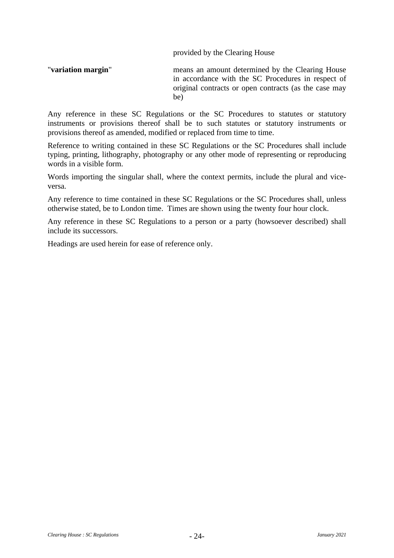provided by the Clearing House

"**variation margin**" means an amount determined by the Clearing House in accordance with the SC Procedures in respect of original contracts or open contracts (as the case may be)

Any reference in these SC Regulations or the SC Procedures to statutes or statutory instruments or provisions thereof shall be to such statutes or statutory instruments or provisions thereof as amended, modified or replaced from time to time.

Reference to writing contained in these SC Regulations or the SC Procedures shall include typing, printing, lithography, photography or any other mode of representing or reproducing words in a visible form.

Words importing the singular shall, where the context permits, include the plural and viceversa.

Any reference to time contained in these SC Regulations or the SC Procedures shall, unless otherwise stated, be to London time. Times are shown using the twenty four hour clock.

Any reference in these SC Regulations to a person or a party (howsoever described) shall include its successors.

Headings are used herein for ease of reference only.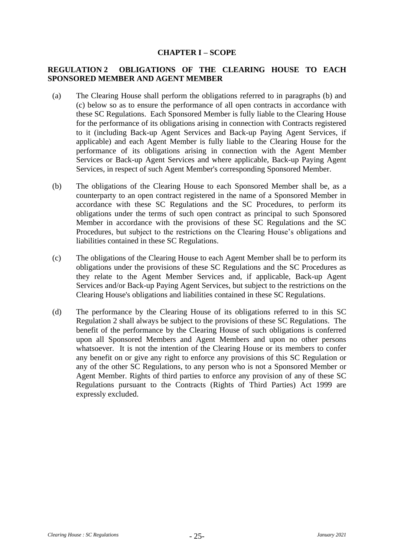## **CHAPTER I – SCOPE**

# <span id="page-28-2"></span>**REGULATION 2 OBLIGATIONS OF THE CLEARING HOUSE TO EACH SPONSORED MEMBER AND AGENT MEMBER**

- (a) The Clearing House shall perform the obligations referred to in paragraphs [\(b\)](#page-28-0) and [\(c\)](#page-28-1) below so as to ensure the performance of all open contracts in accordance with these SC Regulations. Each Sponsored Member is fully liable to the Clearing House for the performance of its obligations arising in connection with Contracts registered to it (including Back-up Agent Services and Back-up Paying Agent Services, if applicable) and each Agent Member is fully liable to the Clearing House for the performance of its obligations arising in connection with the Agent Member Services or Back-up Agent Services and where applicable, Back-up Paying Agent Services, in respect of such Agent Member's corresponding Sponsored Member.
- <span id="page-28-0"></span>(b) The obligations of the Clearing House to each Sponsored Member shall be, as a counterparty to an open contract registered in the name of a Sponsored Member in accordance with these SC Regulations and the SC Procedures, to perform its obligations under the terms of such open contract as principal to such Sponsored Member in accordance with the provisions of these SC Regulations and the SC Procedures, but subject to the restrictions on the Clearing House's obligations and liabilities contained in these SC Regulations.
- <span id="page-28-1"></span>(c) The obligations of the Clearing House to each Agent Member shall be to perform its obligations under the provisions of these SC Regulations and the SC Procedures as they relate to the Agent Member Services and, if applicable, Back-up Agent Services and/or Back-up Paying Agent Services, but subject to the restrictions on the Clearing House's obligations and liabilities contained in these SC Regulations.
- (d) The performance by the Clearing House of its obligations referred to in this SC [Regulation 2](#page-28-2) shall always be subject to the provisions of these SC Regulations. The benefit of the performance by the Clearing House of such obligations is conferred upon all Sponsored Members and Agent Members and upon no other persons whatsoever. It is not the intention of the Clearing House or its members to confer any benefit on or give any right to enforce any provisions of this SC Regulation or any of the other SC Regulations, to any person who is not a Sponsored Member or Agent Member. Rights of third parties to enforce any provision of any of these SC Regulations pursuant to the Contracts (Rights of Third Parties) Act 1999 are expressly excluded.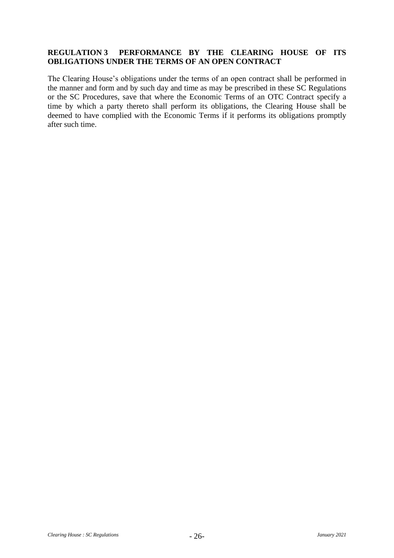# **REGULATION 3 PERFORMANCE BY THE CLEARING HOUSE OF ITS OBLIGATIONS UNDER THE TERMS OF AN OPEN CONTRACT**

The Clearing House's obligations under the terms of an open contract shall be performed in the manner and form and by such day and time as may be prescribed in these SC Regulations or the SC Procedures, save that where the Economic Terms of an OTC Contract specify a time by which a party thereto shall perform its obligations, the Clearing House shall be deemed to have complied with the Economic Terms if it performs its obligations promptly after such time.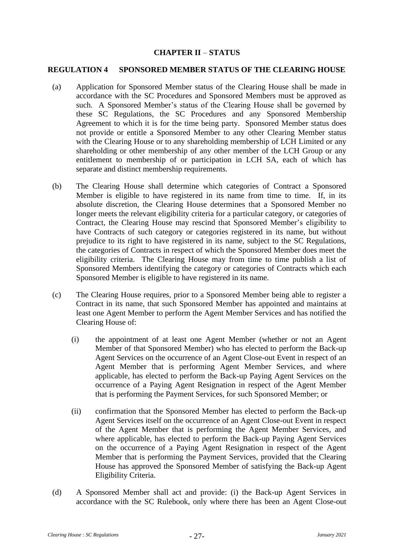## **CHAPTER II** – **STATUS**

#### **REGULATION 4 SPONSORED MEMBER STATUS OF THE CLEARING HOUSE**

- (a) Application for Sponsored Member status of the Clearing House shall be made in accordance with the SC Procedures and Sponsored Members must be approved as such. A Sponsored Member's status of the Clearing House shall be governed by these SC Regulations, the SC Procedures and any Sponsored Membership Agreement to which it is for the time being party. Sponsored Member status does not provide or entitle a Sponsored Member to any other Clearing Member status with the Clearing House or to any shareholding membership of LCH Limited or any shareholding or other membership of any other member of the LCH Group or any entitlement to membership of or participation in LCH SA, each of which has separate and distinct membership requirements.
- (b) The Clearing House shall determine which categories of Contract a Sponsored Member is eligible to have registered in its name from time to time. If, in its absolute discretion, the Clearing House determines that a Sponsored Member no longer meets the relevant eligibility criteria for a particular category, or categories of Contract, the Clearing House may rescind that Sponsored Member's eligibility to have Contracts of such category or categories registered in its name, but without prejudice to its right to have registered in its name, subject to the SC Regulations, the categories of Contracts in respect of which the Sponsored Member does meet the eligibility criteria. The Clearing House may from time to time publish a list of Sponsored Members identifying the category or categories of Contracts which each Sponsored Member is eligible to have registered in its name.
- (c) The Clearing House requires, prior to a Sponsored Member being able to register a Contract in its name, that such Sponsored Member has appointed and maintains at least one Agent Member to perform the Agent Member Services and has notified the Clearing House of:
	- (i) the appointment of at least one Agent Member (whether or not an Agent Member of that Sponsored Member) who has elected to perform the Back-up Agent Services on the occurrence of an Agent Close-out Event in respect of an Agent Member that is performing Agent Member Services, and where applicable, has elected to perform the Back-up Paying Agent Services on the occurrence of a Paying Agent Resignation in respect of the Agent Member that is performing the Payment Services, for such Sponsored Member; or
	- (ii) confirmation that the Sponsored Member has elected to perform the Back-up Agent Services itself on the occurrence of an Agent Close-out Event in respect of the Agent Member that is performing the Agent Member Services, and where applicable, has elected to perform the Back-up Paying Agent Services on the occurrence of a Paying Agent Resignation in respect of the Agent Member that is performing the Payment Services, provided that the Clearing House has approved the Sponsored Member of satisfying the Back-up Agent Eligibility Criteria.
- (d) A Sponsored Member shall act and provide: (i) the Back-up Agent Services in accordance with the SC Rulebook, only where there has been an Agent Close-out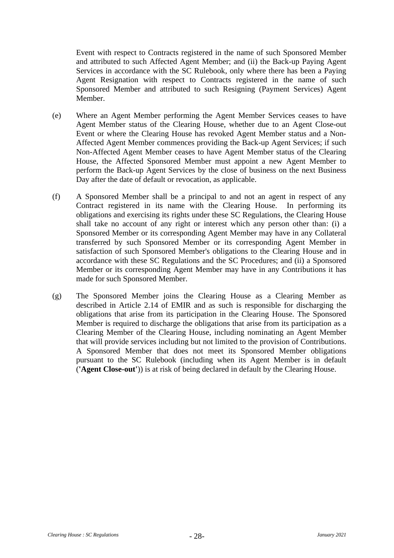Event with respect to Contracts registered in the name of such Sponsored Member and attributed to such Affected Agent Member; and (ii) the Back-up Paying Agent Services in accordance with the SC Rulebook, only where there has been a Paying Agent Resignation with respect to Contracts registered in the name of such Sponsored Member and attributed to such Resigning (Payment Services) Agent Member.

- (e) Where an Agent Member performing the Agent Member Services ceases to have Agent Member status of the Clearing House, whether due to an Agent Close-out Event or where the Clearing House has revoked Agent Member status and a Non-Affected Agent Member commences providing the Back-up Agent Services; if such Non-Affected Agent Member ceases to have Agent Member status of the Clearing House, the Affected Sponsored Member must appoint a new Agent Member to perform the Back-up Agent Services by the close of business on the next Business Day after the date of default or revocation, as applicable.
- (f) A Sponsored Member shall be a principal to and not an agent in respect of any Contract registered in its name with the Clearing House. In performing its obligations and exercising its rights under these SC Regulations, the Clearing House shall take no account of any right or interest which any person other than: (i) a Sponsored Member or its corresponding Agent Member may have in any Collateral transferred by such Sponsored Member or its corresponding Agent Member in satisfaction of such Sponsored Member's obligations to the Clearing House and in accordance with these SC Regulations and the SC Procedures; and (ii) a Sponsored Member or its corresponding Agent Member may have in any Contributions it has made for such Sponsored Member.
- (g) The Sponsored Member joins the Clearing House as a Clearing Member as described in Article 2.14 of EMIR and as such is responsible for discharging the obligations that arise from its participation in the Clearing House. The Sponsored Member is required to discharge the obligations that arise from its participation as a Clearing Member of the Clearing House, including nominating an Agent Member that will provide services including but not limited to the provision of Contributions. A Sponsored Member that does not meet its Sponsored Member obligations pursuant to the SC Rulebook (including when its Agent Member is in default (**'Agent Close-out'**)) is at risk of being declared in default by the Clearing House.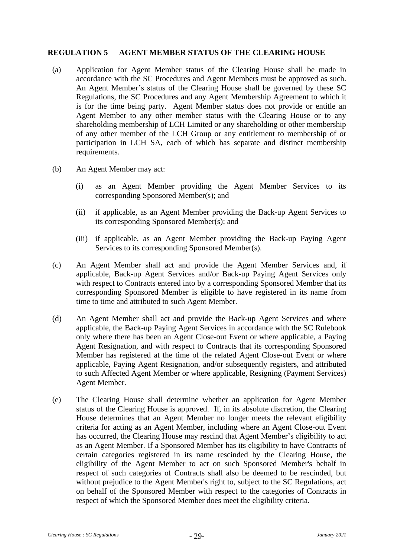#### **REGULATION 5 AGENT MEMBER STATUS OF THE CLEARING HOUSE**

- (a) Application for Agent Member status of the Clearing House shall be made in accordance with the SC Procedures and Agent Members must be approved as such. An Agent Member's status of the Clearing House shall be governed by these SC Regulations, the SC Procedures and any Agent Membership Agreement to which it is for the time being party. Agent Member status does not provide or entitle an Agent Member to any other member status with the Clearing House or to any shareholding membership of LCH Limited or any shareholding or other membership of any other member of the LCH Group or any entitlement to membership of or participation in LCH SA, each of which has separate and distinct membership requirements.
- (b) An Agent Member may act:
	- (i) as an Agent Member providing the Agent Member Services to its corresponding Sponsored Member(s); and
	- (ii) if applicable, as an Agent Member providing the Back-up Agent Services to its corresponding Sponsored Member(s); and
	- (iii) if applicable, as an Agent Member providing the Back-up Paying Agent Services to its corresponding Sponsored Member(s).
- (c) An Agent Member shall act and provide the Agent Member Services and, if applicable, Back-up Agent Services and/or Back-up Paying Agent Services only with respect to Contracts entered into by a corresponding Sponsored Member that its corresponding Sponsored Member is eligible to have registered in its name from time to time and attributed to such Agent Member.
- (d) An Agent Member shall act and provide the Back-up Agent Services and where applicable, the Back-up Paying Agent Services in accordance with the SC Rulebook only where there has been an Agent Close-out Event or where applicable, a Paying Agent Resignation, and with respect to Contracts that its corresponding Sponsored Member has registered at the time of the related Agent Close-out Event or where applicable, Paying Agent Resignation, and/or subsequently registers, and attributed to such Affected Agent Member or where applicable, Resigning (Payment Services) Agent Member.
- (e) The Clearing House shall determine whether an application for Agent Member status of the Clearing House is approved. If, in its absolute discretion, the Clearing House determines that an Agent Member no longer meets the relevant eligibility criteria for acting as an Agent Member, including where an Agent Close-out Event has occurred, the Clearing House may rescind that Agent Member's eligibility to act as an Agent Member. If a Sponsored Member has its eligibility to have Contracts of certain categories registered in its name rescinded by the Clearing House, the eligibility of the Agent Member to act on such Sponsored Member's behalf in respect of such categories of Contracts shall also be deemed to be rescinded, but without prejudice to the Agent Member's right to, subject to the SC Regulations, act on behalf of the Sponsored Member with respect to the categories of Contracts in respect of which the Sponsored Member does meet the eligibility criteria.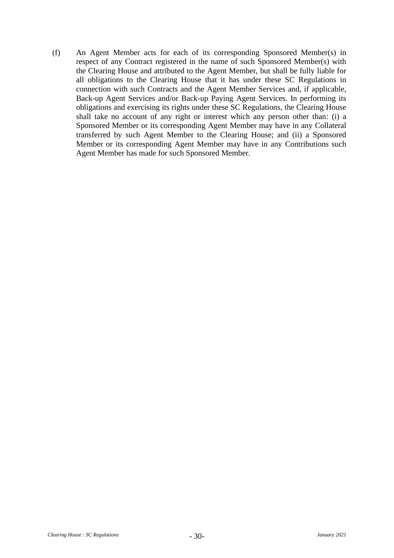(f) An Agent Member acts for each of its corresponding Sponsored Member(s) in respect of any Contract registered in the name of such Sponsored Member(s) with the Clearing House and attributed to the Agent Member, but shall be fully liable for all obligations to the Clearing House that it has under these SC Regulations in connection with such Contracts and the Agent Member Services and, if applicable, Back-up Agent Services and/or Back-up Paying Agent Services. In performing its obligations and exercising its rights under these SC Regulations, the Clearing House shall take no account of any right or interest which any person other than: (i) a Sponsored Member or its corresponding Agent Member may have in any Collateral transferred by such Agent Member to the Clearing House; and (ii) a Sponsored Member or its corresponding Agent Member may have in any Contributions such Agent Member has made for such Sponsored Member.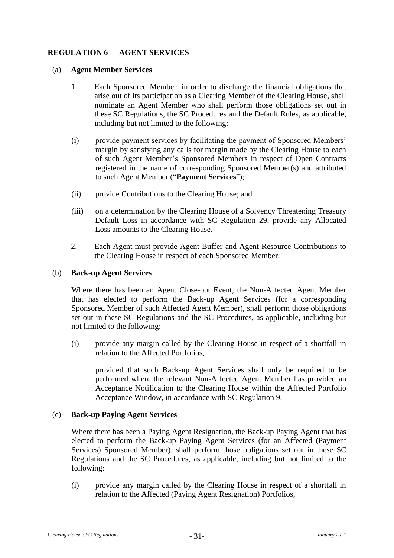# <span id="page-34-0"></span>**REGULATION 6 AGENT SERVICES**

#### (a) **Agent Member Services**

- 1. Each Sponsored Member, in order to discharge the financial obligations that arise out of its participation as a Clearing Member of the Clearing House, shall nominate an Agent Member who shall perform those obligations set out in these SC Regulations, the SC Procedures and the Default Rules, as applicable, including but not limited to the following:
- (i) provide payment services by facilitating the payment of Sponsored Members' margin by satisfying any calls for margin made by the Clearing House to each of such Agent Member's Sponsored Members in respect of Open Contracts registered in the name of corresponding Sponsored Member(s) and attributed to such Agent Member ("**Payment Services**");
- (ii) provide Contributions to the Clearing House; and
- (iii) on a determination by the Clearing House of a Solvency Threatening Treasury Default Loss in accordance with SC [Regulation 29,](#page-80-0) provide any Allocated Loss amounts to the Clearing House.
- 2. Each Agent must provide Agent Buffer and Agent Resource Contributions to the Clearing House in respect of each Sponsored Member.

## (b) **Back-up Agent Services**

Where there has been an Agent Close-out Event, the Non-Affected Agent Member that has elected to perform the Back-up Agent Services (for a corresponding Sponsored Member of such Affected Agent Member), shall perform those obligations set out in these SC Regulations and the SC Procedures, as applicable, including but not limited to the following:

(i) provide any margin called by the Clearing House in respect of a shortfall in relation to the Affected Portfolios,

provided that such Back-up Agent Services shall only be required to be performed where the relevant Non-Affected Agent Member has provided an Acceptance Notification to the Clearing House within the Affected Portfolio Acceptance Window, in accordance with SC Regulation 9.

## (c) **Back-up Paying Agent Services**

Where there has been a Paying Agent Resignation, the Back-up Paying Agent that has elected to perform the Back-up Paying Agent Services (for an Affected (Payment Services) Sponsored Member), shall perform those obligations set out in these SC Regulations and the SC Procedures, as applicable, including but not limited to the following:

(i) provide any margin called by the Clearing House in respect of a shortfall in relation to the Affected (Paying Agent Resignation) Portfolios,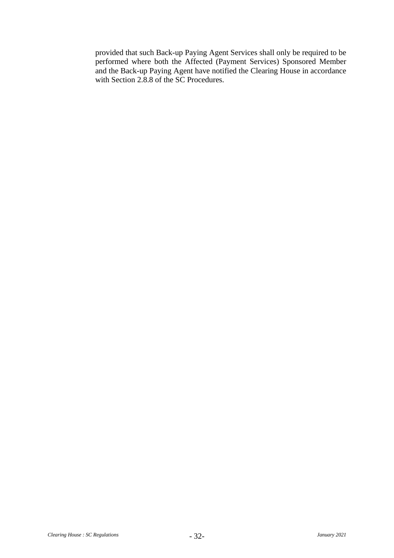provided that such Back-up Paying Agent Services shall only be required to be performed where both the Affected (Payment Services) Sponsored Member and the Back-up Paying Agent have notified the Clearing House in accordance with Section 2.8.8 of the SC Procedures.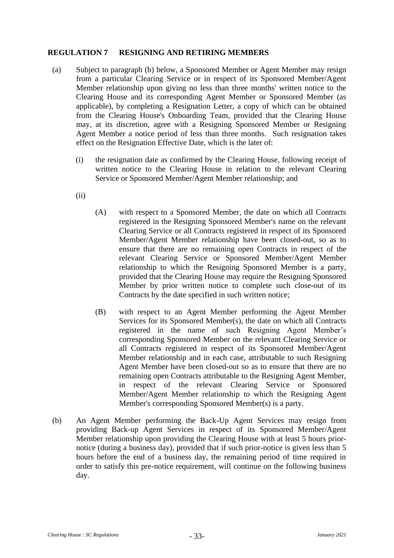## **REGULATION 7 RESIGNING AND RETIRING MEMBERS**

- <span id="page-36-1"></span>(a) Subject to paragraph [\(b\)](#page-36-0) below, a Sponsored Member or Agent Member may resign from a particular Clearing Service or in respect of its Sponsored Member/Agent Member relationship upon giving no less than three months' written notice to the Clearing House and its corresponding Agent Member or Sponsored Member (as applicable), by completing a Resignation Letter, a copy of which can be obtained from the Clearing House's Onboarding Team, provided that the Clearing House may, at its discretion, agree with a Resigning Sponsored Member or Resigning Agent Member a notice period of less than three months. Such resignation takes effect on the Resignation Effective Date, which is the later of:
	- (i) the resignation date as confirmed by the Clearing House, following receipt of written notice to the Clearing House in relation to the relevant Clearing Service or Sponsored Member/Agent Member relationship; and
	- (ii)
- (A) with respect to a Sponsored Member, the date on which all Contracts registered in the Resigning Sponsored Member's name on the relevant Clearing Service or all Contracts registered in respect of its Sponsored Member/Agent Member relationship have been closed-out, so as to ensure that there are no remaining open Contracts in respect of the relevant Clearing Service or Sponsored Member/Agent Member relationship to which the Resigning Sponsored Member is a party, provided that the Clearing House may require the Resigning Sponsored Member by prior written notice to complete such close-out of its Contracts by the date specified in such written notice;
- (B) with respect to an Agent Member performing the Agent Member Services for its Sponsored Member(s), the date on which all Contracts registered in the name of such Resigning Agent Member's corresponding Sponsored Member on the relevant Clearing Service or all Contracts registered in respect of its Sponsored Member/Agent Member relationship and in each case, attributable to such Resigning Agent Member have been closed-out so as to ensure that there are no remaining open Contracts attributable to the Resigning Agent Member, in respect of the relevant Clearing Service or Sponsored Member/Agent Member relationship to which the Resigning Agent Member's corresponding Sponsored Member(s) is a party.
- <span id="page-36-0"></span>(b) An Agent Member performing the Back-Up Agent Services may resign from providing Back-up Agent Services in respect of its Sponsored Member/Agent Member relationship upon providing the Clearing House with at least 5 hours priornotice (during a business day), provided that if such prior-notice is given less than 5 hours before the end of a business day, the remaining period of time required in order to satisfy this pre-notice requirement, will continue on the following business day.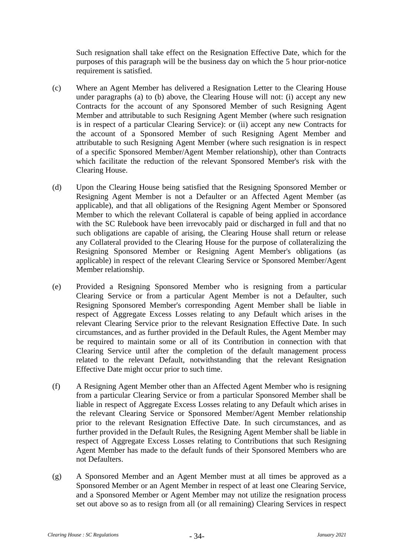Such resignation shall take effect on the Resignation Effective Date, which for the purposes of this paragraph will be the business day on which the 5 hour prior-notice requirement is satisfied.

- (c) Where an Agent Member has delivered a Resignation Letter to the Clearing House under paragraphs [\(a\)](#page-36-1) to [\(b\)](#page-36-0) above, the Clearing House will not: (i) accept any new Contracts for the account of any Sponsored Member of such Resigning Agent Member and attributable to such Resigning Agent Member (where such resignation is in respect of a particular Clearing Service): or (ii) accept any new Contracts for the account of a Sponsored Member of such Resigning Agent Member and attributable to such Resigning Agent Member (where such resignation is in respect of a specific Sponsored Member/Agent Member relationship), other than Contracts which facilitate the reduction of the relevant Sponsored Member's risk with the Clearing House.
- (d) Upon the Clearing House being satisfied that the Resigning Sponsored Member or Resigning Agent Member is not a Defaulter or an Affected Agent Member (as applicable), and that all obligations of the Resigning Agent Member or Sponsored Member to which the relevant Collateral is capable of being applied in accordance with the SC Rulebook have been irrevocably paid or discharged in full and that no such obligations are capable of arising, the Clearing House shall return or release any Collateral provided to the Clearing House for the purpose of collateralizing the Resigning Sponsored Member or Resigning Agent Member's obligations (as applicable) in respect of the relevant Clearing Service or Sponsored Member/Agent Member relationship.
- (e) Provided a Resigning Sponsored Member who is resigning from a particular Clearing Service or from a particular Agent Member is not a Defaulter, such Resigning Sponsored Member's corresponding Agent Member shall be liable in respect of Aggregate Excess Losses relating to any Default which arises in the relevant Clearing Service prior to the relevant Resignation Effective Date. In such circumstances, and as further provided in the Default Rules, the Agent Member may be required to maintain some or all of its Contribution in connection with that Clearing Service until after the completion of the default management process related to the relevant Default, notwithstanding that the relevant Resignation Effective Date might occur prior to such time.
- (f) A Resigning Agent Member other than an Affected Agent Member who is resigning from a particular Clearing Service or from a particular Sponsored Member shall be liable in respect of Aggregate Excess Losses relating to any Default which arises in the relevant Clearing Service or Sponsored Member/Agent Member relationship prior to the relevant Resignation Effective Date. In such circumstances, and as further provided in the Default Rules, the Resigning Agent Member shall be liable in respect of Aggregate Excess Losses relating to Contributions that such Resigning Agent Member has made to the default funds of their Sponsored Members who are not Defaulters.
- (g) A Sponsored Member and an Agent Member must at all times be approved as a Sponsored Member or an Agent Member in respect of at least one Clearing Service, and a Sponsored Member or Agent Member may not utilize the resignation process set out above so as to resign from all (or all remaining) Clearing Services in respect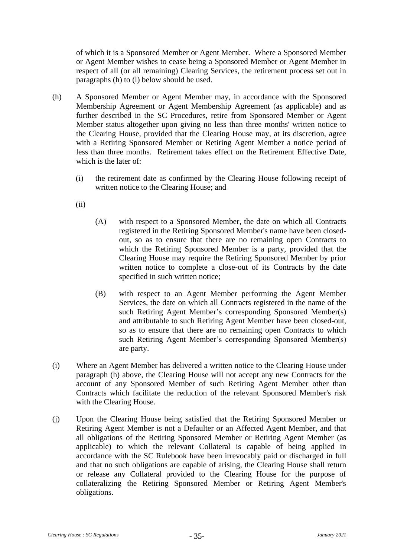of which it is a Sponsored Member or Agent Member. Where a Sponsored Member or Agent Member wishes to cease being a Sponsored Member or Agent Member in respect of all (or all remaining) Clearing Services, the retirement process set out in paragraphs [\(h\)](#page-38-0) to [\(l\)](#page-39-0) below should be used.

- <span id="page-38-0"></span>(h) A Sponsored Member or Agent Member may, in accordance with the Sponsored Membership Agreement or Agent Membership Agreement (as applicable) and as further described in the SC Procedures, retire from Sponsored Member or Agent Member status altogether upon giving no less than three months' written notice to the Clearing House, provided that the Clearing House may, at its discretion, agree with a Retiring Sponsored Member or Retiring Agent Member a notice period of less than three months. Retirement takes effect on the Retirement Effective Date, which is the later of:
	- (i) the retirement date as confirmed by the Clearing House following receipt of written notice to the Clearing House; and
	- (ii)
- (A) with respect to a Sponsored Member, the date on which all Contracts registered in the Retiring Sponsored Member's name have been closedout, so as to ensure that there are no remaining open Contracts to which the Retiring Sponsored Member is a party, provided that the Clearing House may require the Retiring Sponsored Member by prior written notice to complete a close-out of its Contracts by the date specified in such written notice;
- (B) with respect to an Agent Member performing the Agent Member Services, the date on which all Contracts registered in the name of the such Retiring Agent Member's corresponding Sponsored Member(s) and attributable to such Retiring Agent Member have been closed-out, so as to ensure that there are no remaining open Contracts to which such Retiring Agent Member's corresponding Sponsored Member(s) are party.
- (i) Where an Agent Member has delivered a written notice to the Clearing House under paragraph [\(h\)](#page-38-0) above, the Clearing House will not accept any new Contracts for the account of any Sponsored Member of such Retiring Agent Member other than Contracts which facilitate the reduction of the relevant Sponsored Member's risk with the Clearing House.
- (j) Upon the Clearing House being satisfied that the Retiring Sponsored Member or Retiring Agent Member is not a Defaulter or an Affected Agent Member, and that all obligations of the Retiring Sponsored Member or Retiring Agent Member (as applicable) to which the relevant Collateral is capable of being applied in accordance with the SC Rulebook have been irrevocably paid or discharged in full and that no such obligations are capable of arising, the Clearing House shall return or release any Collateral provided to the Clearing House for the purpose of collateralizing the Retiring Sponsored Member or Retiring Agent Member's obligations.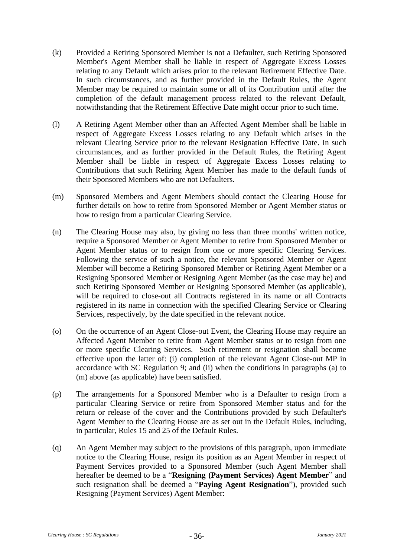- (k) Provided a Retiring Sponsored Member is not a Defaulter, such Retiring Sponsored Member's Agent Member shall be liable in respect of Aggregate Excess Losses relating to any Default which arises prior to the relevant Retirement Effective Date. In such circumstances, and as further provided in the Default Rules, the Agent Member may be required to maintain some or all of its Contribution until after the completion of the default management process related to the relevant Default, notwithstanding that the Retirement Effective Date might occur prior to such time.
- <span id="page-39-0"></span>(l) A Retiring Agent Member other than an Affected Agent Member shall be liable in respect of Aggregate Excess Losses relating to any Default which arises in the relevant Clearing Service prior to the relevant Resignation Effective Date. In such circumstances, and as further provided in the Default Rules, the Retiring Agent Member shall be liable in respect of Aggregate Excess Losses relating to Contributions that such Retiring Agent Member has made to the default funds of their Sponsored Members who are not Defaulters.
- <span id="page-39-1"></span>(m) Sponsored Members and Agent Members should contact the Clearing House for further details on how to retire from Sponsored Member or Agent Member status or how to resign from a particular Clearing Service.
- (n) The Clearing House may also, by giving no less than three months' written notice, require a Sponsored Member or Agent Member to retire from Sponsored Member or Agent Member status or to resign from one or more specific Clearing Services. Following the service of such a notice, the relevant Sponsored Member or Agent Member will become a Retiring Sponsored Member or Retiring Agent Member or a Resigning Sponsored Member or Resigning Agent Member (as the case may be) and such Retiring Sponsored Member or Resigning Sponsored Member (as applicable), will be required to close-out all Contracts registered in its name or all Contracts registered in its name in connection with the specified Clearing Service or Clearing Services, respectively, by the date specified in the relevant notice.
- (o) On the occurrence of an Agent Close-out Event, the Clearing House may require an Affected Agent Member to retire from Agent Member status or to resign from one or more specific Clearing Services. Such retirement or resignation shall become effective upon the latter of: (i) completion of the relevant Agent Close-out MP in accordance with SC [Regulation 9;](#page-42-0) and (ii) when the conditions in paragraphs [\(a\)](#page-36-1) to [\(m\)](#page-39-1) above (as applicable) have been satisfied.
- (p) The arrangements for a Sponsored Member who is a Defaulter to resign from a particular Clearing Service or retire from Sponsored Member status and for the return or release of the cover and the Contributions provided by such Defaulter's Agent Member to the Clearing House are as set out in the Default Rules, including, in particular, Rules 15 and 25 of the Default Rules.
- (q) An Agent Member may subject to the provisions of this paragraph, upon immediate notice to the Clearing House, resign its position as an Agent Member in respect of Payment Services provided to a Sponsored Member (such Agent Member shall hereafter be deemed to be a "**Resigning (Payment Services) Agent Member**" and such resignation shall be deemed a "**Paying Agent Resignation**"), provided such Resigning (Payment Services) Agent Member: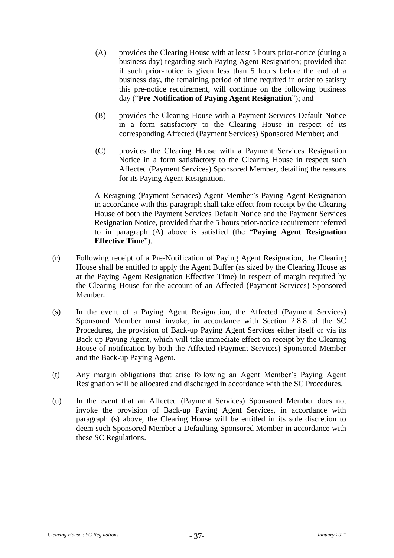- <span id="page-40-0"></span>(A) provides the Clearing House with at least 5 hours prior-notice (during a business day) regarding such Paying Agent Resignation; provided that if such prior-notice is given less than 5 hours before the end of a business day, the remaining period of time required in order to satisfy this pre-notice requirement, will continue on the following business day ("**Pre-Notification of Paying Agent Resignation**"); and
- (B) provides the Clearing House with a Payment Services Default Notice in a form satisfactory to the Clearing House in respect of its corresponding Affected (Payment Services) Sponsored Member; and
- (C) provides the Clearing House with a Payment Services Resignation Notice in a form satisfactory to the Clearing House in respect such Affected (Payment Services) Sponsored Member, detailing the reasons for its Paying Agent Resignation.

A Resigning (Payment Services) Agent Member's Paying Agent Resignation in accordance with this paragraph shall take effect from receipt by the Clearing House of both the Payment Services Default Notice and the Payment Services Resignation Notice, provided that the 5 hours prior-notice requirement referred to in paragraph [\(A\)](#page-40-0) above is satisfied (the "**Paying Agent Resignation Effective Time**").

- (r) Following receipt of a Pre-Notification of Paying Agent Resignation, the Clearing House shall be entitled to apply the Agent Buffer (as sized by the Clearing House as at the Paying Agent Resignation Effective Time) in respect of margin required by the Clearing House for the account of an Affected (Payment Services) Sponsored Member.
- <span id="page-40-1"></span>(s) In the event of a Paying Agent Resignation, the Affected (Payment Services) Sponsored Member must invoke, in accordance with Section 2.8.8 of the SC Procedures, the provision of Back-up Paying Agent Services either itself or via its Back-up Paying Agent, which will take immediate effect on receipt by the Clearing House of notification by both the Affected (Payment Services) Sponsored Member and the Back-up Paying Agent.
- <span id="page-40-2"></span>(t) Any margin obligations that arise following an Agent Member's Paying Agent Resignation will be allocated and discharged in accordance with the SC Procedures.
- (u) In the event that an Affected (Payment Services) Sponsored Member does not invoke the provision of Back-up Paying Agent Services, in accordance with paragraph [\(s\)](#page-40-1) above, the Clearing House will be entitled in its sole discretion to deem such Sponsored Member a Defaulting Sponsored Member in accordance with these SC Regulations.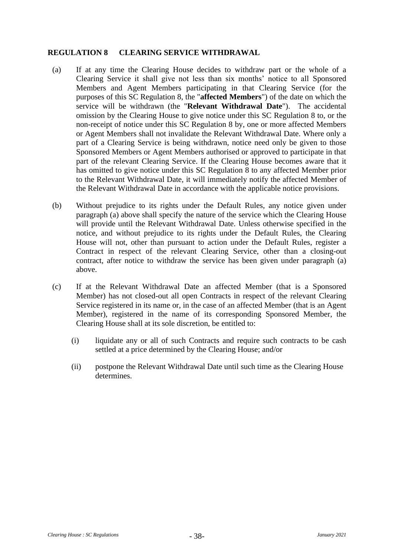## <span id="page-41-0"></span>**REGULATION 8 CLEARING SERVICE WITHDRAWAL**

- <span id="page-41-1"></span>(a) If at any time the Clearing House decides to withdraw part or the whole of a Clearing Service it shall give not less than six months' notice to all Sponsored Members and Agent Members participating in that Clearing Service (for the purposes of this SC [Regulation 8,](#page-41-0) the "**affected Members**") of the date on which the service will be withdrawn (the "**Relevant Withdrawal Date**"). The accidental omission by the Clearing House to give notice under this SC [Regulation 8](#page-41-0) to, or the non-receipt of notice under this SC [Regulation 8](#page-41-0) by, one or more affected Members or Agent Members shall not invalidate the Relevant Withdrawal Date. Where only a part of a Clearing Service is being withdrawn, notice need only be given to those Sponsored Members or Agent Members authorised or approved to participate in that part of the relevant Clearing Service. If the Clearing House becomes aware that it has omitted to give notice under this SC [Regulation 8](#page-41-0) to any affected Member prior to the Relevant Withdrawal Date, it will immediately notify the affected Member of the Relevant Withdrawal Date in accordance with the applicable notice provisions.
- (b) Without prejudice to its rights under the Default Rules, any notice given under paragraph [\(a\)](#page-41-1) above shall specify the nature of the service which the Clearing House will provide until the Relevant Withdrawal Date. Unless otherwise specified in the notice, and without prejudice to its rights under the Default Rules, the Clearing House will not, other than pursuant to action under the Default Rules, register a Contract in respect of the relevant Clearing Service, other than a closing-out contract, after notice to withdraw the service has been given under paragraph [\(a\)](#page-41-1) above.
- (c) If at the Relevant Withdrawal Date an affected Member (that is a Sponsored Member) has not closed-out all open Contracts in respect of the relevant Clearing Service registered in its name or, in the case of an affected Member (that is an Agent Member), registered in the name of its corresponding Sponsored Member, the Clearing House shall at its sole discretion, be entitled to:
	- (i) liquidate any or all of such Contracts and require such contracts to be cash settled at a price determined by the Clearing House; and/or
	- (ii) postpone the Relevant Withdrawal Date until such time as the Clearing House determines.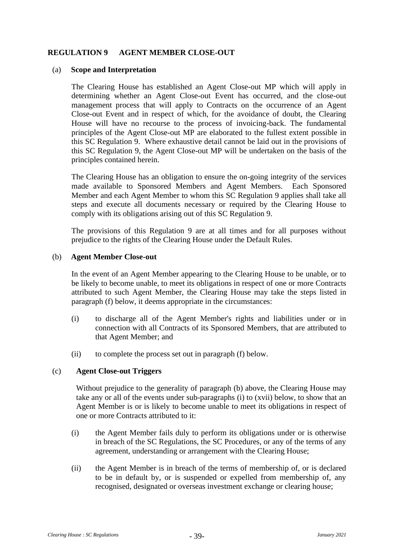## <span id="page-42-0"></span>**REGULATION 9 AGENT MEMBER CLOSE-OUT**

#### (a) **Scope and Interpretation**

The Clearing House has established an Agent Close-out MP which will apply in determining whether an Agent Close-out Event has occurred, and the close-out management process that will apply to Contracts on the occurrence of an Agent Close-out Event and in respect of which, for the avoidance of doubt, the Clearing House will have no recourse to the process of invoicing-back. The fundamental principles of the Agent Close-out MP are elaborated to the fullest extent possible in this SC [Regulation 9.](#page-42-0) Where exhaustive detail cannot be laid out in the provisions of this SC [Regulation 9,](#page-42-0) the Agent Close-out MP will be undertaken on the basis of the principles contained herein.

The Clearing House has an obligation to ensure the on-going integrity of the services made available to Sponsored Members and Agent Members. Each Sponsored Member and each Agent Member to whom this SC Regulation 9 applies shall take all steps and execute all documents necessary or required by the Clearing House to comply with its obligations arising out of this SC Regulation 9.

The provisions of this Regulation 9 are at all times and for all purposes without prejudice to the rights of the Clearing House under the Default Rules.

#### <span id="page-42-1"></span>(b) **Agent Member Close-out**

In the event of an Agent Member appearing to the Clearing House to be unable, or to be likely to become unable, to meet its obligations in respect of one or more Contracts attributed to such Agent Member, the Clearing House may take the steps listed in paragraph [\(f\)](#page-45-0) below, it deems appropriate in the circumstances:

- (i) to discharge all of the Agent Member's rights and liabilities under or in connection with all Contracts of its Sponsored Members, that are attributed to that Agent Member; and
- (ii) to complete the process set out in paragraph [\(f\)](#page-45-0) below.

#### (c) **Agent Close-out Triggers**

Without prejudice to the generality of paragraph [\(b\)](#page-42-1) above, the Clearing House may take any or all of the events under sub-paragraphs [\(i\)](#page-42-2) to [\(xvii\)](#page-43-0) below, to show that an Agent Member is or is likely to become unable to meet its obligations in respect of one or more Contracts attributed to it:

- <span id="page-42-2"></span>(i) the Agent Member fails duly to perform its obligations under or is otherwise in breach of the SC Regulations, the SC Procedures, or any of the terms of any agreement, understanding or arrangement with the Clearing House;
- (ii) the Agent Member is in breach of the terms of membership of, or is declared to be in default by, or is suspended or expelled from membership of, any recognised, designated or overseas investment exchange or clearing house;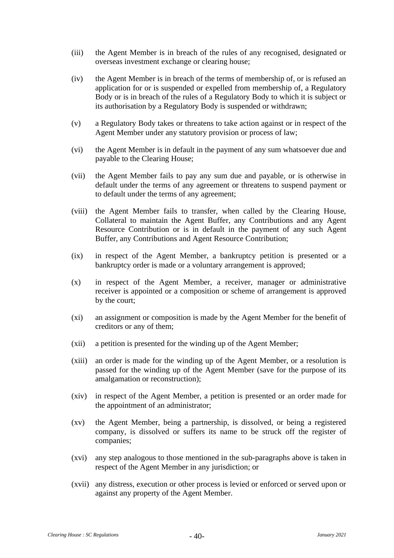- (iii) the Agent Member is in breach of the rules of any recognised, designated or overseas investment exchange or clearing house;
- (iv) the Agent Member is in breach of the terms of membership of, or is refused an application for or is suspended or expelled from membership of, a Regulatory Body or is in breach of the rules of a Regulatory Body to which it is subject or its authorisation by a Regulatory Body is suspended or withdrawn;
- (v) a Regulatory Body takes or threatens to take action against or in respect of the Agent Member under any statutory provision or process of law;
- (vi) the Agent Member is in default in the payment of any sum whatsoever due and payable to the Clearing House;
- (vii) the Agent Member fails to pay any sum due and payable, or is otherwise in default under the terms of any agreement or threatens to suspend payment or to default under the terms of any agreement;
- (viii) the Agent Member fails to transfer, when called by the Clearing House, Collateral to maintain the Agent Buffer, any Contributions and any Agent Resource Contribution or is in default in the payment of any such Agent Buffer, any Contributions and Agent Resource Contribution;
- (ix) in respect of the Agent Member, a bankruptcy petition is presented or a bankruptcy order is made or a voluntary arrangement is approved;
- (x) in respect of the Agent Member, a receiver, manager or administrative receiver is appointed or a composition or scheme of arrangement is approved by the court;
- (xi) an assignment or composition is made by the Agent Member for the benefit of creditors or any of them;
- (xii) a petition is presented for the winding up of the Agent Member;
- (xiii) an order is made for the winding up of the Agent Member, or a resolution is passed for the winding up of the Agent Member (save for the purpose of its amalgamation or reconstruction);
- (xiv) in respect of the Agent Member, a petition is presented or an order made for the appointment of an administrator;
- (xv) the Agent Member, being a partnership, is dissolved, or being a registered company, is dissolved or suffers its name to be struck off the register of companies;
- (xvi) any step analogous to those mentioned in the sub-paragraphs above is taken in respect of the Agent Member in any jurisdiction; or
- <span id="page-43-0"></span>(xvii) any distress, execution or other process is levied or enforced or served upon or against any property of the Agent Member.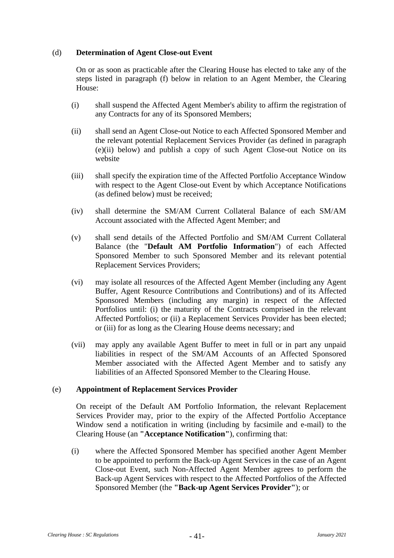## (d) **Determination of Agent Close-out Event**

On or as soon as practicable after the Clearing House has elected to take any of the steps listed in paragraph [\(f\)](#page-45-0) below in relation to an Agent Member, the Clearing House:

- (i) shall suspend the Affected Agent Member's ability to affirm the registration of any Contracts for any of its Sponsored Members;
- (ii) shall send an Agent Close-out Notice to each Affected Sponsored Member and the relevant potential Replacement Services Provider (as defined in paragraph [\(e\)\(ii\)](#page-45-1) below) and publish a copy of such Agent Close-out Notice on its website
- (iii) shall specify the expiration time of the Affected Portfolio Acceptance Window with respect to the Agent Close-out Event by which Acceptance Notifications (as defined below) must be received;
- (iv) shall determine the SM/AM Current Collateral Balance of each SM/AM Account associated with the Affected Agent Member; and
- (v) shall send details of the Affected Portfolio and SM/AM Current Collateral Balance (the "**Default AM Portfolio Information**") of each Affected Sponsored Member to such Sponsored Member and its relevant potential Replacement Services Providers;
- (vi) may isolate all resources of the Affected Agent Member (including any Agent Buffer, Agent Resource Contributions and Contributions) and of its Affected Sponsored Members (including any margin) in respect of the Affected Portfolios until: (i) the maturity of the Contracts comprised in the relevant Affected Portfolios; or (ii) a Replacement Services Provider has been elected; or (iii) for as long as the Clearing House deems necessary; and
- (vii) may apply any available Agent Buffer to meet in full or in part any unpaid liabilities in respect of the SM/AM Accounts of an Affected Sponsored Member associated with the Affected Agent Member and to satisfy any liabilities of an Affected Sponsored Member to the Clearing House.

#### <span id="page-44-0"></span>(e) **Appointment of Replacement Services Provider**

On receipt of the Default AM Portfolio Information, the relevant Replacement Services Provider may, prior to the expiry of the Affected Portfolio Acceptance Window send a notification in writing (including by facsimile and e-mail) to the Clearing House (an **"Acceptance Notification"**), confirming that:

(i) where the Affected Sponsored Member has specified another Agent Member to be appointed to perform the Back-up Agent Services in the case of an Agent Close-out Event, such Non-Affected Agent Member agrees to perform the Back-up Agent Services with respect to the Affected Portfolios of the Affected Sponsored Member (the **"Back-up Agent Services Provider"**); or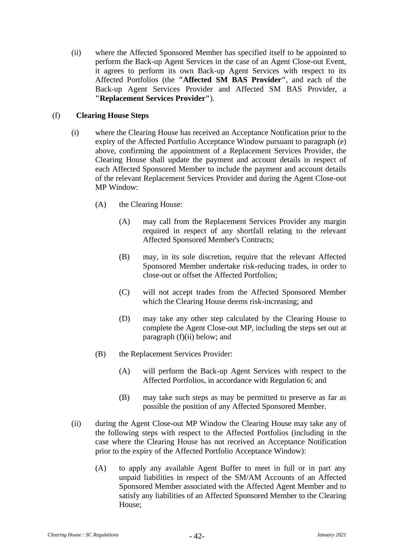<span id="page-45-1"></span>(ii) where the Affected Sponsored Member has specified itself to be appointed to perform the Back-up Agent Services in the case of an Agent Close-out Event, it agrees to perform its own Back-up Agent Services with respect to its Affected Portfolios (the **"Affected SM BAS Provider"**, and each of the Back-up Agent Services Provider and Affected SM BAS Provider, a **"Replacement Services Provider"**).

## <span id="page-45-0"></span>(f) **Clearing House Steps**

- (i) where the Clearing House has received an Acceptance Notification prior to the expiry of the Affected Portfolio Acceptance Window pursuant to paragraph [\(e\)](#page-44-0) above, confirming the appointment of a Replacement Services Provider, the Clearing House shall update the payment and account details in respect of each Affected Sponsored Member to include the payment and account details of the relevant Replacement Services Provider and during the Agent Close-out MP Window:
	- (A) the Clearing House:
		- (A) may call from the Replacement Services Provider any margin required in respect of any shortfall relating to the relevant Affected Sponsored Member's Contracts;
		- (B) may, in its sole discretion, require that the relevant Affected Sponsored Member undertake risk-reducing trades, in order to close-out or offset the Affected Portfolios;
		- (C) will not accept trades from the Affected Sponsored Member which the Clearing House deems risk-increasing; and
		- (D) may take any other step calculated by the Clearing House to complete the Agent Close-out MP, including the steps set out at paragraph [\(f\)](#page-45-0)[\(ii\)](#page-45-2) below; and
	- (B) the Replacement Services Provider:
		- (A) will perform the Back-up Agent Services with respect to the Affected Portfolios, in accordance with Regulation 6; and
		- (B) may take such steps as may be permitted to preserve as far as possible the position of any Affected Sponsored Member.
- <span id="page-45-2"></span>(ii) during the Agent Close-out MP Window the Clearing House may take any of the following steps with respect to the Affected Portfolios (including in the case where the Clearing House has not received an Acceptance Notification prior to the expiry of the Affected Portfolio Acceptance Window):
	- (A) to apply any available Agent Buffer to meet in full or in part any unpaid liabilities in respect of the SM/AM Accounts of an Affected Sponsored Member associated with the Affected Agent Member and to satisfy any liabilities of an Affected Sponsored Member to the Clearing House;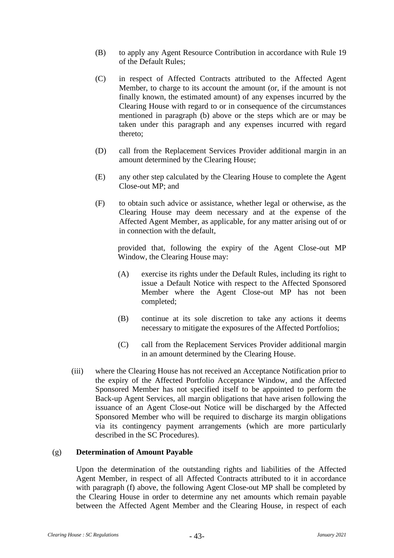- (B) to apply any Agent Resource Contribution in accordance with Rule 19 of the Default Rules;
- (C) in respect of Affected Contracts attributed to the Affected Agent Member, to charge to its account the amount (or, if the amount is not finally known, the estimated amount) of any expenses incurred by the Clearing House with regard to or in consequence of the circumstances mentioned in paragraph [\(b\)](#page-42-1) above or the steps which are or may be taken under this paragraph and any expenses incurred with regard thereto;
- (D) call from the Replacement Services Provider additional margin in an amount determined by the Clearing House;
- (E) any other step calculated by the Clearing House to complete the Agent Close-out MP; and
- (F) to obtain such advice or assistance, whether legal or otherwise, as the Clearing House may deem necessary and at the expense of the Affected Agent Member, as applicable, for any matter arising out of or in connection with the default,

provided that, following the expiry of the Agent Close-out MP Window, the Clearing House may:

- (A) exercise its rights under the Default Rules, including its right to issue a Default Notice with respect to the Affected Sponsored Member where the Agent Close-out MP has not been completed;
- (B) continue at its sole discretion to take any actions it deems necessary to mitigate the exposures of the Affected Portfolios;
- (C) call from the Replacement Services Provider additional margin in an amount determined by the Clearing House.
- (iii) where the Clearing House has not received an Acceptance Notification prior to the expiry of the Affected Portfolio Acceptance Window, and the Affected Sponsored Member has not specified itself to be appointed to perform the Back-up Agent Services, all margin obligations that have arisen following the issuance of an Agent Close-out Notice will be discharged by the Affected Sponsored Member who will be required to discharge its margin obligations via its contingency payment arrangements (which are more particularly described in the SC Procedures).

#### (g) **Determination of Amount Payable**

Upon the determination of the outstanding rights and liabilities of the Affected Agent Member, in respect of all Affected Contracts attributed to it in accordance with paragraph [\(f\)](#page-45-0) above, the following Agent Close-out MP shall be completed by the Clearing House in order to determine any net amounts which remain payable between the Affected Agent Member and the Clearing House, in respect of each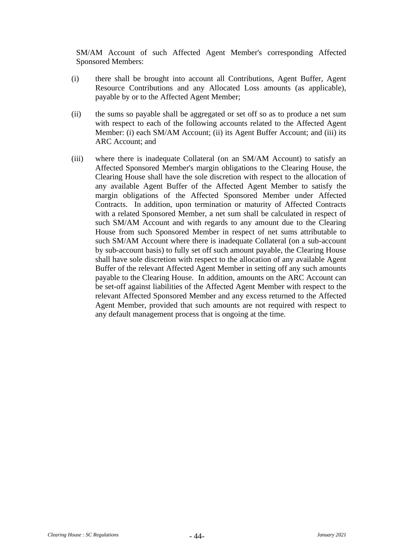SM/AM Account of such Affected Agent Member's corresponding Affected Sponsored Members:

- (i) there shall be brought into account all Contributions, Agent Buffer, Agent Resource Contributions and any Allocated Loss amounts (as applicable), payable by or to the Affected Agent Member;
- (ii) the sums so payable shall be aggregated or set off so as to produce a net sum with respect to each of the following accounts related to the Affected Agent Member: (i) each SM/AM Account; (ii) its Agent Buffer Account; and (iii) its ARC Account; and
- (iii) where there is inadequate Collateral (on an SM/AM Account) to satisfy an Affected Sponsored Member's margin obligations to the Clearing House, the Clearing House shall have the sole discretion with respect to the allocation of any available Agent Buffer of the Affected Agent Member to satisfy the margin obligations of the Affected Sponsored Member under Affected Contracts. In addition, upon termination or maturity of Affected Contracts with a related Sponsored Member, a net sum shall be calculated in respect of such SM/AM Account and with regards to any amount due to the Clearing House from such Sponsored Member in respect of net sums attributable to such SM/AM Account where there is inadequate Collateral (on a sub-account by sub-account basis) to fully set off such amount payable, the Clearing House shall have sole discretion with respect to the allocation of any available Agent Buffer of the relevant Affected Agent Member in setting off any such amounts payable to the Clearing House. In addition, amounts on the ARC Account can be set-off against liabilities of the Affected Agent Member with respect to the relevant Affected Sponsored Member and any excess returned to the Affected Agent Member, provided that such amounts are not required with respect to any default management process that is ongoing at the time.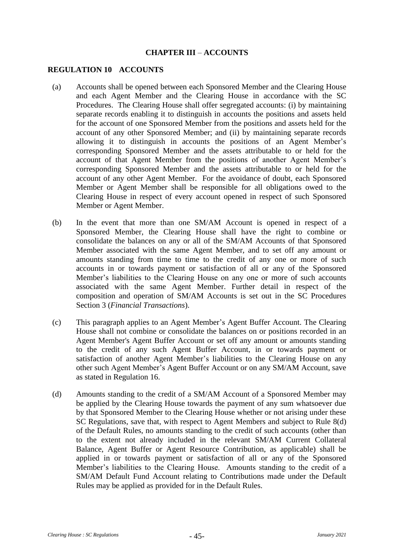#### **CHAPTER III** – **ACCOUNTS**

#### **REGULATION 10 ACCOUNTS**

- (a) Accounts shall be opened between each Sponsored Member and the Clearing House and each Agent Member and the Clearing House in accordance with the SC Procedures. The Clearing House shall offer segregated accounts: (i) by maintaining separate records enabling it to distinguish in accounts the positions and assets held for the account of one Sponsored Member from the positions and assets held for the account of any other Sponsored Member; and (ii) by maintaining separate records allowing it to distinguish in accounts the positions of an Agent Member's corresponding Sponsored Member and the assets attributable to or held for the account of that Agent Member from the positions of another Agent Member's corresponding Sponsored Member and the assets attributable to or held for the account of any other Agent Member. For the avoidance of doubt, each Sponsored Member or Agent Member shall be responsible for all obligations owed to the Clearing House in respect of every account opened in respect of such Sponsored Member or Agent Member.
- (b) In the event that more than one SM/AM Account is opened in respect of a Sponsored Member, the Clearing House shall have the right to combine or consolidate the balances on any or all of the SM/AM Accounts of that Sponsored Member associated with the same Agent Member, and to set off any amount or amounts standing from time to time to the credit of any one or more of such accounts in or towards payment or satisfaction of all or any of the Sponsored Member's liabilities to the Clearing House on any one or more of such accounts associated with the same Agent Member. Further detail in respect of the composition and operation of SM/AM Accounts is set out in the SC Procedures Section 3 (*Financial Transactions*).
- (c) This paragraph applies to an Agent Member's Agent Buffer Account. The Clearing House shall not combine or consolidate the balances on or positions recorded in an Agent Member's Agent Buffer Account or set off any amount or amounts standing to the credit of any such Agent Buffer Account, in or towards payment or satisfaction of another Agent Member's liabilities to the Clearing House on any other such Agent Member's Agent Buffer Account or on any SM/AM Account, save as stated in [Regulation 16.](#page-63-0)
- (d) Amounts standing to the credit of a SM/AM Account of a Sponsored Member may be applied by the Clearing House towards the payment of any sum whatsoever due by that Sponsored Member to the Clearing House whether or not arising under these SC Regulations, save that, with respect to Agent Members and subject to Rule 8(d) of the Default Rules, no amounts standing to the credit of such accounts (other than to the extent not already included in the relevant SM/AM Current Collateral Balance, Agent Buffer or Agent Resource Contribution, as applicable) shall be applied in or towards payment or satisfaction of all or any of the Sponsored Member's liabilities to the Clearing House. Amounts standing to the credit of a SM/AM Default Fund Account relating to Contributions made under the Default Rules may be applied as provided for in the Default Rules.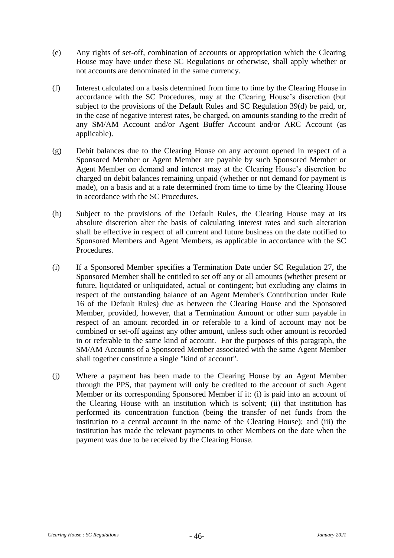- (e) Any rights of set-off, combination of accounts or appropriation which the Clearing House may have under these SC Regulations or otherwise, shall apply whether or not accounts are denominated in the same currency.
- (f) Interest calculated on a basis determined from time to time by the Clearing House in accordance with the SC Procedures, may at the Clearing House's discretion (but subject to the provisions of the Default Rules and SC [Regulation 39\(d\)](#page-94-0) be paid, or, in the case of negative interest rates, be charged, on amounts standing to the credit of any SM/AM Account and/or Agent Buffer Account and/or ARC Account (as applicable).
- (g) Debit balances due to the Clearing House on any account opened in respect of a Sponsored Member or Agent Member are payable by such Sponsored Member or Agent Member on demand and interest may at the Clearing House's discretion be charged on debit balances remaining unpaid (whether or not demand for payment is made), on a basis and at a rate determined from time to time by the Clearing House in accordance with the SC Procedures.
- (h) Subject to the provisions of the Default Rules, the Clearing House may at its absolute discretion alter the basis of calculating interest rates and such alteration shall be effective in respect of all current and future business on the date notified to Sponsored Members and Agent Members, as applicable in accordance with the SC Procedures.
- (i) If a Sponsored Member specifies a Termination Date under SC [Regulation 27,](#page-75-0) the Sponsored Member shall be entitled to set off any or all amounts (whether present or future, liquidated or unliquidated, actual or contingent; but excluding any claims in respect of the outstanding balance of an Agent Member's Contribution under Rule 16 of the Default Rules) due as between the Clearing House and the Sponsored Member, provided, however, that a Termination Amount or other sum payable in respect of an amount recorded in or referable to a kind of account may not be combined or set-off against any other amount, unless such other amount is recorded in or referable to the same kind of account. For the purposes of this paragraph, the SM/AM Accounts of a Sponsored Member associated with the same Agent Member shall together constitute a single "kind of account".
- (j) Where a payment has been made to the Clearing House by an Agent Member through the PPS, that payment will only be credited to the account of such Agent Member or its corresponding Sponsored Member if it: (i) is paid into an account of the Clearing House with an institution which is solvent; (ii) that institution has performed its concentration function (being the transfer of net funds from the institution to a central account in the name of the Clearing House); and (iii) the institution has made the relevant payments to other Members on the date when the payment was due to be received by the Clearing House.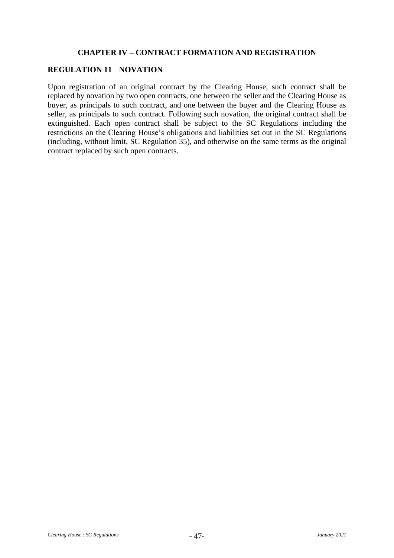# **CHAPTER IV – CONTRACT FORMATION AND REGISTRATION**

# **REGULATION 11 NOVATION**

Upon registration of an original contract by the Clearing House, such contract shall be replaced by novation by two open contracts, one between the seller and the Clearing House as buyer, as principals to such contract, and one between the buyer and the Clearing House as seller, as principals to such contract. Following such novation, the original contract shall be extinguished. Each open contract shall be subject to the SC Regulations including the restrictions on the Clearing House's obligations and liabilities set out in the SC Regulations (including, without limit, SC [Regulation 35\)](#page-87-0), and otherwise on the same terms as the original contract replaced by such open contracts.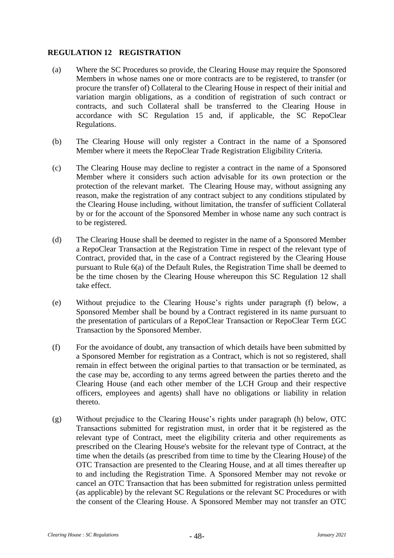# <span id="page-51-0"></span>**REGULATION 12 REGISTRATION**

- (a) Where the SC Procedures so provide, the Clearing House may require the Sponsored Members in whose names one or more contracts are to be registered, to transfer (or procure the transfer of) Collateral to the Clearing House in respect of their initial and variation margin obligations, as a condition of registration of such contract or contracts, and such Collateral shall be transferred to the Clearing House in accordance with SC [Regulation 15](#page-56-0) and, if applicable, the SC RepoClear Regulations.
- (b) The Clearing House will only register a Contract in the name of a Sponsored Member where it meets the RepoClear Trade Registration Eligibility Criteria.
- (c) The Clearing House may decline to register a contract in the name of a Sponsored Member where it considers such action advisable for its own protection or the protection of the relevant market. The Clearing House may, without assigning any reason, make the registration of any contract subject to any conditions stipulated by the Clearing House including, without limitation, the transfer of sufficient Collateral by or for the account of the Sponsored Member in whose name any such contract is to be registered.
- (d) The Clearing House shall be deemed to register in the name of a Sponsored Member a RepoClear Transaction at the Registration Time in respect of the relevant type of Contract, provided that, in the case of a Contract registered by the Clearing House pursuant to Rule 6(a) of the Default Rules, the Registration Time shall be deemed to be the time chosen by the Clearing House whereupon this SC [Regulation 12](#page-51-0) shall take effect.
- (e) Without prejudice to the Clearing House's rights under paragraph [\(f\)](#page-51-1) below, a Sponsored Member shall be bound by a Contract registered in its name pursuant to the presentation of particulars of a RepoClear Transaction or RepoClear Term £GC Transaction by the Sponsored Member.
- <span id="page-51-1"></span>(f) For the avoidance of doubt, any transaction of which details have been submitted by a Sponsored Member for registration as a Contract, which is not so registered, shall remain in effect between the original parties to that transaction or be terminated, as the case may be, according to any terms agreed between the parties thereto and the Clearing House (and each other member of the LCH Group and their respective officers, employees and agents) shall have no obligations or liability in relation thereto.
- (g) Without prejudice to the Clearing House's rights under paragraph [\(h\)](#page-52-0) below, OTC Transactions submitted for registration must, in order that it be registered as the relevant type of Contract, meet the eligibility criteria and other requirements as prescribed on the Clearing House's website for the relevant type of Contract, at the time when the details (as prescribed from time to time by the Clearing House) of the OTC Transaction are presented to the Clearing House, and at all times thereafter up to and including the Registration Time. A Sponsored Member may not revoke or cancel an OTC Transaction that has been submitted for registration unless permitted (as applicable) by the relevant SC Regulations or the relevant SC Procedures or with the consent of the Clearing House. A Sponsored Member may not transfer an OTC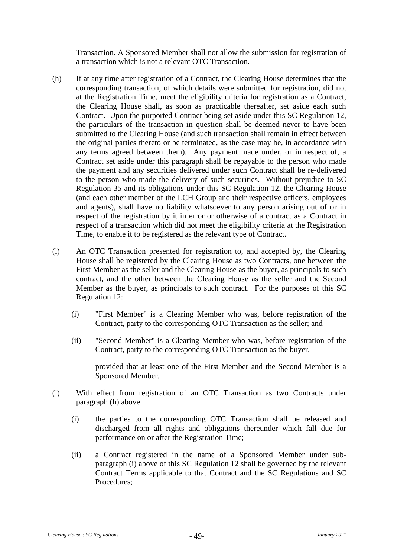Transaction. A Sponsored Member shall not allow the submission for registration of a transaction which is not a relevant OTC Transaction.

- <span id="page-52-0"></span>(h) If at any time after registration of a Contract, the Clearing House determines that the corresponding transaction, of which details were submitted for registration, did not at the Registration Time, meet the eligibility criteria for registration as a Contract, the Clearing House shall, as soon as practicable thereafter, set aside each such Contract. Upon the purported Contract being set aside under this SC [Regulation 12,](#page-51-0) the particulars of the transaction in question shall be deemed never to have been submitted to the Clearing House (and such transaction shall remain in effect between the original parties thereto or be terminated, as the case may be, in accordance with any terms agreed between them). Any payment made under, or in respect of, a Contract set aside under this paragraph shall be repayable to the person who made the payment and any securities delivered under such Contract shall be re-delivered to the person who made the delivery of such securities. Without prejudice to SC [Regulation 35](#page-87-0) and its obligations under this SC [Regulation 12,](#page-51-0) the Clearing House (and each other member of the LCH Group and their respective officers, employees and agents), shall have no liability whatsoever to any person arising out of or in respect of the registration by it in error or otherwise of a contract as a Contract in respect of a transaction which did not meet the eligibility criteria at the Registration Time, to enable it to be registered as the relevant type of Contract.
- <span id="page-52-1"></span>(i) An OTC Transaction presented for registration to, and accepted by, the Clearing House shall be registered by the Clearing House as two Contracts, one between the First Member as the seller and the Clearing House as the buyer, as principals to such contract, and the other between the Clearing House as the seller and the Second Member as the buyer, as principals to such contract. For the purposes of this SC [Regulation 12:](#page-51-0)
	- (i) "First Member" is a Clearing Member who was, before registration of the Contract, party to the corresponding OTC Transaction as the seller; and
	- (ii) "Second Member" is a Clearing Member who was, before registration of the Contract, party to the corresponding OTC Transaction as the buyer,

provided that at least one of the First Member and the Second Member is a Sponsored Member.

- <span id="page-52-2"></span>(j) With effect from registration of an OTC Transaction as two Contracts under paragraph [\(h\)](#page-52-0) above:
	- (i) the parties to the corresponding OTC Transaction shall be released and discharged from all rights and obligations thereunder which fall due for performance on or after the Registration Time;
	- (ii) a Contract registered in the name of a Sponsored Member under subparagraph [\(i\)](#page-52-1) above of this SC [Regulation 12](#page-51-0) shall be governed by the relevant Contract Terms applicable to that Contract and the SC Regulations and SC Procedures;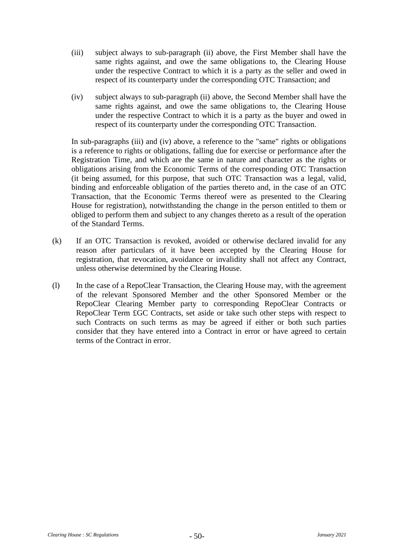- <span id="page-53-0"></span>(iii) subject always to sub-paragraph [\(ii\)](#page-52-2) above, the First Member shall have the same rights against, and owe the same obligations to, the Clearing House under the respective Contract to which it is a party as the seller and owed in respect of its counterparty under the corresponding OTC Transaction; and
- <span id="page-53-1"></span>(iv) subject always to sub-paragraph [\(ii\)](#page-52-2) above, the Second Member shall have the same rights against, and owe the same obligations to, the Clearing House under the respective Contract to which it is a party as the buyer and owed in respect of its counterparty under the corresponding OTC Transaction.

In sub-paragraphs [\(iii\)](#page-53-0) and [\(iv\)](#page-53-1) above, a reference to the "same" rights or obligations is a reference to rights or obligations, falling due for exercise or performance after the Registration Time, and which are the same in nature and character as the rights or obligations arising from the Economic Terms of the corresponding OTC Transaction (it being assumed, for this purpose, that such OTC Transaction was a legal, valid, binding and enforceable obligation of the parties thereto and, in the case of an OTC Transaction, that the Economic Terms thereof were as presented to the Clearing House for registration), notwithstanding the change in the person entitled to them or obliged to perform them and subject to any changes thereto as a result of the operation of the Standard Terms.

- (k) If an OTC Transaction is revoked, avoided or otherwise declared invalid for any reason after particulars of it have been accepted by the Clearing House for registration, that revocation, avoidance or invalidity shall not affect any Contract, unless otherwise determined by the Clearing House.
- (l) In the case of a RepoClear Transaction, the Clearing House may, with the agreement of the relevant Sponsored Member and the other Sponsored Member or the RepoClear Clearing Member party to corresponding RepoClear Contracts or RepoClear Term £GC Contracts, set aside or take such other steps with respect to such Contracts on such terms as may be agreed if either or both such parties consider that they have entered into a Contract in error or have agreed to certain terms of the Contract in error.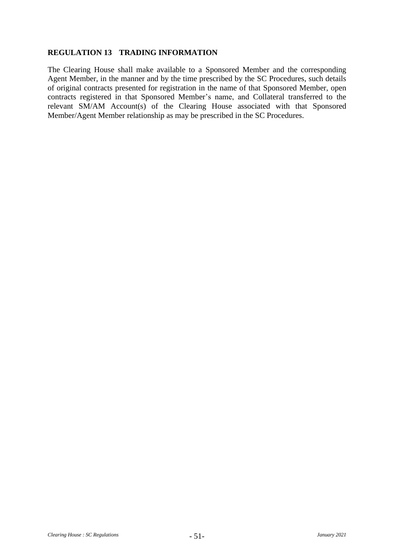## **REGULATION 13 TRADING INFORMATION**

The Clearing House shall make available to a Sponsored Member and the corresponding Agent Member, in the manner and by the time prescribed by the SC Procedures, such details of original contracts presented for registration in the name of that Sponsored Member, open contracts registered in that Sponsored Member's name, and Collateral transferred to the relevant SM/AM Account(s) of the Clearing House associated with that Sponsored Member/Agent Member relationship as may be prescribed in the SC Procedures.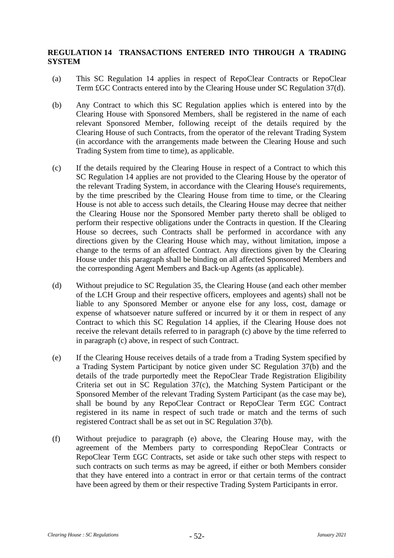## <span id="page-55-0"></span>**REGULATION 14 TRANSACTIONS ENTERED INTO THROUGH A TRADING SYSTEM**

- (a) This SC [Regulation 14](#page-55-0) applies in respect of RepoClear Contracts or RepoClear Term £GC Contracts entered into by the Clearing House under SC [Regulation 37\(d\).](#page-92-0)
- (b) Any Contract to which this SC Regulation applies which is entered into by the Clearing House with Sponsored Members, shall be registered in the name of each relevant Sponsored Member, following receipt of the details required by the Clearing House of such Contracts, from the operator of the relevant Trading System (in accordance with the arrangements made between the Clearing House and such Trading System from time to time), as applicable.
- <span id="page-55-1"></span>(c) If the details required by the Clearing House in respect of a Contract to which this SC [Regulation 14](#page-55-0) applies are not provided to the Clearing House by the operator of the relevant Trading System, in accordance with the Clearing House's requirements, by the time prescribed by the Clearing House from time to time, or the Clearing House is not able to access such details, the Clearing House may decree that neither the Clearing House nor the Sponsored Member party thereto shall be obliged to perform their respective obligations under the Contracts in question. If the Clearing House so decrees, such Contracts shall be performed in accordance with any directions given by the Clearing House which may, without limitation, impose a change to the terms of an affected Contract. Any directions given by the Clearing House under this paragraph shall be binding on all affected Sponsored Members and the corresponding Agent Members and Back-up Agents (as applicable).
- (d) Without prejudice to SC [Regulation 35,](#page-87-0) the Clearing House (and each other member of the LCH Group and their respective officers, employees and agents) shall not be liable to any Sponsored Member or anyone else for any loss, cost, damage or expense of whatsoever nature suffered or incurred by it or them in respect of any Contract to which this SC [Regulation 14](#page-55-0) applies, if the Clearing House does not receive the relevant details referred to in paragraph [\(c\)](#page-55-1) above by the time referred to in paragraph [\(c\)](#page-55-1) above, in respect of such Contract.
- <span id="page-55-2"></span>(e) If the Clearing House receives details of a trade from a Trading System specified by a Trading System Participant by notice given under SC [Regulation 37\(b\)](#page-91-0) and the details of the trade purportedly meet the RepoClear Trade Registration Eligibility Criteria set out in SC [Regulation 37\(c\),](#page-91-1) the Matching System Participant or the Sponsored Member of the relevant Trading System Participant (as the case may be), shall be bound by any RepoClear Contract or RepoClear Term £GC Contract registered in its name in respect of such trade or match and the terms of such registered Contract shall be as set out in SC [Regulation 37\(b\).](#page-91-0)
- (f) Without prejudice to paragraph [\(e\)](#page-55-2) above, the Clearing House may, with the agreement of the Members party to corresponding RepoClear Contracts or RepoClear Term £GC Contracts, set aside or take such other steps with respect to such contracts on such terms as may be agreed, if either or both Members consider that they have entered into a contract in error or that certain terms of the contract have been agreed by them or their respective Trading System Participants in error.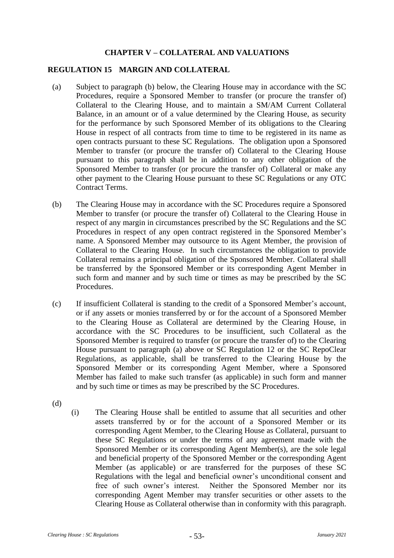# **CHAPTER V – COLLATERAL AND VALUATIONS**

#### <span id="page-56-0"></span>**REGULATION 15 MARGIN AND COLLATERAL**

- <span id="page-56-2"></span>(a) Subject to paragraph [\(b\)](#page-56-1) below, the Clearing House may in accordance with the SC Procedures, require a Sponsored Member to transfer (or procure the transfer of) Collateral to the Clearing House, and to maintain a SM/AM Current Collateral Balance, in an amount or of a value determined by the Clearing House, as security for the performance by such Sponsored Member of its obligations to the Clearing House in respect of all contracts from time to time to be registered in its name as open contracts pursuant to these SC Regulations. The obligation upon a Sponsored Member to transfer (or procure the transfer of) Collateral to the Clearing House pursuant to this paragraph shall be in addition to any other obligation of the Sponsored Member to transfer (or procure the transfer of) Collateral or make any other payment to the Clearing House pursuant to these SC Regulations or any OTC Contract Terms.
- <span id="page-56-1"></span>(b) The Clearing House may in accordance with the SC Procedures require a Sponsored Member to transfer (or procure the transfer of) Collateral to the Clearing House in respect of any margin in circumstances prescribed by the SC Regulations and the SC Procedures in respect of any open contract registered in the Sponsored Member's name. A Sponsored Member may outsource to its Agent Member, the provision of Collateral to the Clearing House. In such circumstances the obligation to provide Collateral remains a principal obligation of the Sponsored Member. Collateral shall be transferred by the Sponsored Member or its corresponding Agent Member in such form and manner and by such time or times as may be prescribed by the SC Procedures.
- (c) If insufficient Collateral is standing to the credit of a Sponsored Member's account, or if any assets or monies transferred by or for the account of a Sponsored Member to the Clearing House as Collateral are determined by the Clearing House, in accordance with the SC Procedures to be insufficient, such Collateral as the Sponsored Member is required to transfer (or procure the transfer of) to the Clearing House pursuant to paragraph [\(a\)](#page-56-2) above or SC [Regulation 12](#page-51-0) or the SC RepoClear Regulations, as applicable, shall be transferred to the Clearing House by the Sponsored Member or its corresponding Agent Member, where a Sponsored Member has failed to make such transfer (as applicable) in such form and manner and by such time or times as may be prescribed by the SC Procedures.
- (d)
- (i) The Clearing House shall be entitled to assume that all securities and other assets transferred by or for the account of a Sponsored Member or its corresponding Agent Member, to the Clearing House as Collateral, pursuant to these SC Regulations or under the terms of any agreement made with the Sponsored Member or its corresponding Agent Member(s), are the sole legal and beneficial property of the Sponsored Member or the corresponding Agent Member (as applicable) or are transferred for the purposes of these SC Regulations with the legal and beneficial owner's unconditional consent and free of such owner's interest. Neither the Sponsored Member nor its corresponding Agent Member may transfer securities or other assets to the Clearing House as Collateral otherwise than in conformity with this paragraph.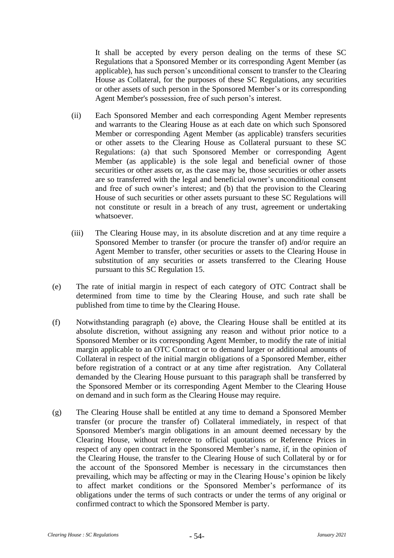It shall be accepted by every person dealing on the terms of these SC Regulations that a Sponsored Member or its corresponding Agent Member (as applicable), has such person's unconditional consent to transfer to the Clearing House as Collateral, for the purposes of these SC Regulations, any securities or other assets of such person in the Sponsored Member's or its corresponding Agent Member's possession, free of such person's interest.

- (ii) Each Sponsored Member and each corresponding Agent Member represents and warrants to the Clearing House as at each date on which such Sponsored Member or corresponding Agent Member (as applicable) transfers securities or other assets to the Clearing House as Collateral pursuant to these SC Regulations: (a) that such Sponsored Member or corresponding Agent Member (as applicable) is the sole legal and beneficial owner of those securities or other assets or, as the case may be, those securities or other assets are so transferred with the legal and beneficial owner's unconditional consent and free of such owner's interest; and (b) that the provision to the Clearing House of such securities or other assets pursuant to these SC Regulations will not constitute or result in a breach of any trust, agreement or undertaking whatsoever.
- (iii) The Clearing House may, in its absolute discretion and at any time require a Sponsored Member to transfer (or procure the transfer of) and/or require an Agent Member to transfer, other securities or assets to the Clearing House in substitution of any securities or assets transferred to the Clearing House pursuant to this SC [Regulation 15.](#page-56-0)
- <span id="page-57-0"></span>(e) The rate of initial margin in respect of each category of OTC Contract shall be determined from time to time by the Clearing House, and such rate shall be published from time to time by the Clearing House.
- (f) Notwithstanding paragraph [\(e\)](#page-57-0) above, the Clearing House shall be entitled at its absolute discretion, without assigning any reason and without prior notice to a Sponsored Member or its corresponding Agent Member, to modify the rate of initial margin applicable to an OTC Contract or to demand larger or additional amounts of Collateral in respect of the initial margin obligations of a Sponsored Member, either before registration of a contract or at any time after registration. Any Collateral demanded by the Clearing House pursuant to this paragraph shall be transferred by the Sponsored Member or its corresponding Agent Member to the Clearing House on demand and in such form as the Clearing House may require.
- (g) The Clearing House shall be entitled at any time to demand a Sponsored Member transfer (or procure the transfer of) Collateral immediately, in respect of that Sponsored Member's margin obligations in an amount deemed necessary by the Clearing House, without reference to official quotations or Reference Prices in respect of any open contract in the Sponsored Member's name, if, in the opinion of the Clearing House, the transfer to the Clearing House of such Collateral by or for the account of the Sponsored Member is necessary in the circumstances then prevailing, which may be affecting or may in the Clearing House's opinion be likely to affect market conditions or the Sponsored Member's performance of its obligations under the terms of such contracts or under the terms of any original or confirmed contract to which the Sponsored Member is party.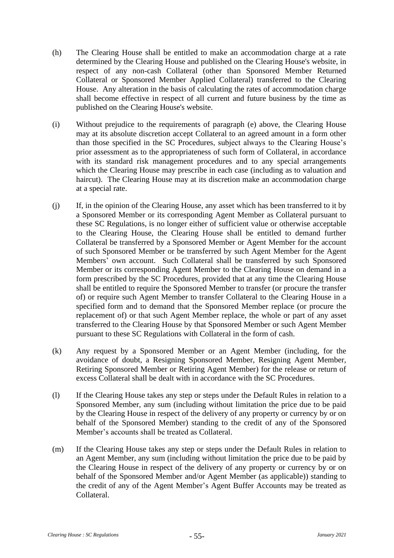- (h) The Clearing House shall be entitled to make an accommodation charge at a rate determined by the Clearing House and published on the Clearing House's website, in respect of any non-cash Collateral (other than Sponsored Member Returned Collateral or Sponsored Member Applied Collateral) transferred to the Clearing House. Any alteration in the basis of calculating the rates of accommodation charge shall become effective in respect of all current and future business by the time as published on the Clearing House's website.
- (i) Without prejudice to the requirements of paragraph [\(e\)](#page-57-0) above, the Clearing House may at its absolute discretion accept Collateral to an agreed amount in a form other than those specified in the SC Procedures, subject always to the Clearing House's prior assessment as to the appropriateness of such form of Collateral, in accordance with its standard risk management procedures and to any special arrangements which the Clearing House may prescribe in each case (including as to valuation and haircut). The Clearing House may at its discretion make an accommodation charge at a special rate.
- (j) If, in the opinion of the Clearing House, any asset which has been transferred to it by a Sponsored Member or its corresponding Agent Member as Collateral pursuant to these SC Regulations, is no longer either of sufficient value or otherwise acceptable to the Clearing House, the Clearing House shall be entitled to demand further Collateral be transferred by a Sponsored Member or Agent Member for the account of such Sponsored Member or be transferred by such Agent Member for the Agent Members' own account. Such Collateral shall be transferred by such Sponsored Member or its corresponding Agent Member to the Clearing House on demand in a form prescribed by the SC Procedures, provided that at any time the Clearing House shall be entitled to require the Sponsored Member to transfer (or procure the transfer of) or require such Agent Member to transfer Collateral to the Clearing House in a specified form and to demand that the Sponsored Member replace (or procure the replacement of) or that such Agent Member replace, the whole or part of any asset transferred to the Clearing House by that Sponsored Member or such Agent Member pursuant to these SC Regulations with Collateral in the form of cash.
- (k) Any request by a Sponsored Member or an Agent Member (including, for the avoidance of doubt, a Resigning Sponsored Member, Resigning Agent Member, Retiring Sponsored Member or Retiring Agent Member) for the release or return of excess Collateral shall be dealt with in accordance with the SC Procedures.
- (l) If the Clearing House takes any step or steps under the Default Rules in relation to a Sponsored Member, any sum (including without limitation the price due to be paid by the Clearing House in respect of the delivery of any property or currency by or on behalf of the Sponsored Member) standing to the credit of any of the Sponsored Member's accounts shall be treated as Collateral.
- (m) If the Clearing House takes any step or steps under the Default Rules in relation to an Agent Member, any sum (including without limitation the price due to be paid by the Clearing House in respect of the delivery of any property or currency by or on behalf of the Sponsored Member and/or Agent Member (as applicable)) standing to the credit of any of the Agent Member's Agent Buffer Accounts may be treated as Collateral.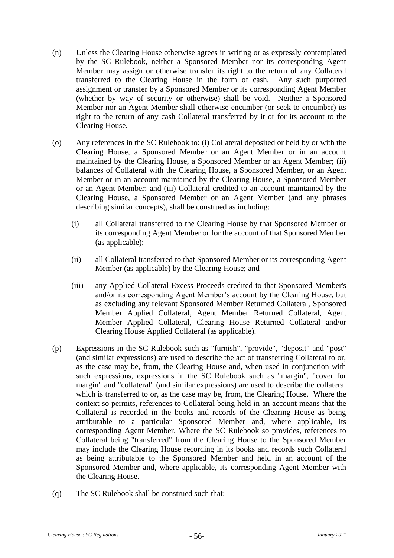- (n) Unless the Clearing House otherwise agrees in writing or as expressly contemplated by the SC Rulebook, neither a Sponsored Member nor its corresponding Agent Member may assign or otherwise transfer its right to the return of any Collateral transferred to the Clearing House in the form of cash. Any such purported assignment or transfer by a Sponsored Member or its corresponding Agent Member (whether by way of security or otherwise) shall be void. Neither a Sponsored Member nor an Agent Member shall otherwise encumber (or seek to encumber) its right to the return of any cash Collateral transferred by it or for its account to the Clearing House.
- (o) Any references in the SC Rulebook to: (i) Collateral deposited or held by or with the Clearing House, a Sponsored Member or an Agent Member or in an account maintained by the Clearing House, a Sponsored Member or an Agent Member; (ii) balances of Collateral with the Clearing House, a Sponsored Member, or an Agent Member or in an account maintained by the Clearing House, a Sponsored Member or an Agent Member; and (iii) Collateral credited to an account maintained by the Clearing House, a Sponsored Member or an Agent Member (and any phrases describing similar concepts), shall be construed as including:
	- (i) all Collateral transferred to the Clearing House by that Sponsored Member or its corresponding Agent Member or for the account of that Sponsored Member (as applicable);
	- (ii) all Collateral transferred to that Sponsored Member or its corresponding Agent Member (as applicable) by the Clearing House; and
	- (iii) any Applied Collateral Excess Proceeds credited to that Sponsored Member's and/or its corresponding Agent Member's account by the Clearing House, but as excluding any relevant Sponsored Member Returned Collateral, Sponsored Member Applied Collateral, Agent Member Returned Collateral, Agent Member Applied Collateral, Clearing House Returned Collateral and/or Clearing House Applied Collateral (as applicable).
- (p) Expressions in the SC Rulebook such as "furnish", "provide", "deposit" and "post" (and similar expressions) are used to describe the act of transferring Collateral to or, as the case may be, from, the Clearing House and, when used in conjunction with such expressions, expressions in the SC Rulebook such as "margin", "cover for margin" and "collateral" (and similar expressions) are used to describe the collateral which is transferred to or, as the case may be, from, the Clearing House. Where the context so permits, references to Collateral being held in an account means that the Collateral is recorded in the books and records of the Clearing House as being attributable to a particular Sponsored Member and, where applicable, its corresponding Agent Member. Where the SC Rulebook so provides, references to Collateral being "transferred" from the Clearing House to the Sponsored Member may include the Clearing House recording in its books and records such Collateral as being attributable to the Sponsored Member and held in an account of the Sponsored Member and, where applicable, its corresponding Agent Member with the Clearing House.
- (q) The SC Rulebook shall be construed such that: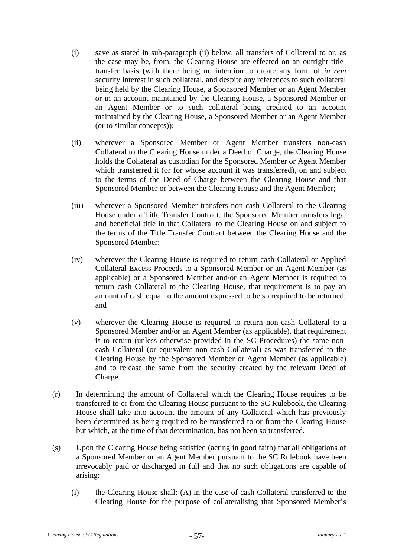- (i) save as stated in sub-paragraph [\(ii\)](#page-60-0) below, all transfers of Collateral to or, as the case may be, from, the Clearing House are effected on an outright titletransfer basis (with there being no intention to create any form of *in rem* security interest in such collateral, and despite any references to such collateral being held by the Clearing House, a Sponsored Member or an Agent Member or in an account maintained by the Clearing House, a Sponsored Member or an Agent Member or to such collateral being credited to an account maintained by the Clearing House, a Sponsored Member or an Agent Member (or to similar concepts));
- <span id="page-60-0"></span>(ii) wherever a Sponsored Member or Agent Member transfers non-cash Collateral to the Clearing House under a Deed of Charge, the Clearing House holds the Collateral as custodian for the Sponsored Member or Agent Member which transferred it (or for whose account it was transferred), on and subject to the terms of the Deed of Charge between the Clearing House and that Sponsored Member or between the Clearing House and the Agent Member;
- (iii) wherever a Sponsored Member transfers non-cash Collateral to the Clearing House under a Title Transfer Contract, the Sponsored Member transfers legal and beneficial title in that Collateral to the Clearing House on and subject to the terms of the Title Transfer Contract between the Clearing House and the Sponsored Member;
- (iv) wherever the Clearing House is required to return cash Collateral or Applied Collateral Excess Proceeds to a Sponsored Member or an Agent Member (as applicable) or a Sponsored Member and/or an Agent Member is required to return cash Collateral to the Clearing House, that requirement is to pay an amount of cash equal to the amount expressed to be so required to be returned; and
- (v) wherever the Clearing House is required to return non-cash Collateral to a Sponsored Member and/or an Agent Member (as applicable), that requirement is to return (unless otherwise provided in the SC Procedures) the same noncash Collateral (or equivalent non-cash Collateral) as was transferred to the Clearing House by the Sponsored Member or Agent Member (as applicable) and to release the same from the security created by the relevant Deed of Charge.
- (r) In determining the amount of Collateral which the Clearing House requires to be transferred to or from the Clearing House pursuant to the SC Rulebook, the Clearing House shall take into account the amount of any Collateral which has previously been determined as being required to be transferred to or from the Clearing House but which, at the time of that determination, has not been so transferred.
- (s) Upon the Clearing House being satisfied (acting in good faith) that all obligations of a Sponsored Member or an Agent Member pursuant to the SC Rulebook have been irrevocably paid or discharged in full and that no such obligations are capable of arising:
	- (i) the Clearing House shall: (A) in the case of cash Collateral transferred to the Clearing House for the purpose of collateralising that Sponsored Member's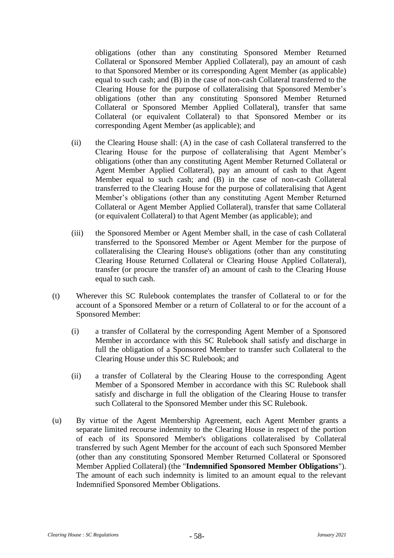obligations (other than any constituting Sponsored Member Returned Collateral or Sponsored Member Applied Collateral), pay an amount of cash to that Sponsored Member or its corresponding Agent Member (as applicable) equal to such cash; and (B) in the case of non-cash Collateral transferred to the Clearing House for the purpose of collateralising that Sponsored Member's obligations (other than any constituting Sponsored Member Returned Collateral or Sponsored Member Applied Collateral), transfer that same Collateral (or equivalent Collateral) to that Sponsored Member or its corresponding Agent Member (as applicable); and

- (ii) the Clearing House shall: (A) in the case of cash Collateral transferred to the Clearing House for the purpose of collateralising that Agent Member's obligations (other than any constituting Agent Member Returned Collateral or Agent Member Applied Collateral), pay an amount of cash to that Agent Member equal to such cash; and (B) in the case of non-cash Collateral transferred to the Clearing House for the purpose of collateralising that Agent Member's obligations (other than any constituting Agent Member Returned Collateral or Agent Member Applied Collateral), transfer that same Collateral (or equivalent Collateral) to that Agent Member (as applicable); and
- (iii) the Sponsored Member or Agent Member shall, in the case of cash Collateral transferred to the Sponsored Member or Agent Member for the purpose of collateralising the Clearing House's obligations (other than any constituting Clearing House Returned Collateral or Clearing House Applied Collateral), transfer (or procure the transfer of) an amount of cash to the Clearing House equal to such cash.
- (t) Wherever this SC Rulebook contemplates the transfer of Collateral to or for the account of a Sponsored Member or a return of Collateral to or for the account of a Sponsored Member:
	- (i) a transfer of Collateral by the corresponding Agent Member of a Sponsored Member in accordance with this SC Rulebook shall satisfy and discharge in full the obligation of a Sponsored Member to transfer such Collateral to the Clearing House under this SC Rulebook; and
	- (ii) a transfer of Collateral by the Clearing House to the corresponding Agent Member of a Sponsored Member in accordance with this SC Rulebook shall satisfy and discharge in full the obligation of the Clearing House to transfer such Collateral to the Sponsored Member under this SC Rulebook.
- <span id="page-61-0"></span>(u) By virtue of the Agent Membership Agreement, each Agent Member grants a separate limited recourse indemnity to the Clearing House in respect of the portion of each of its Sponsored Member's obligations collateralised by Collateral transferred by such Agent Member for the account of each such Sponsored Member (other than any constituting Sponsored Member Returned Collateral or Sponsored Member Applied Collateral) (the "**Indemnified Sponsored Member Obligations**"). The amount of each such indemnity is limited to an amount equal to the relevant Indemnified Sponsored Member Obligations.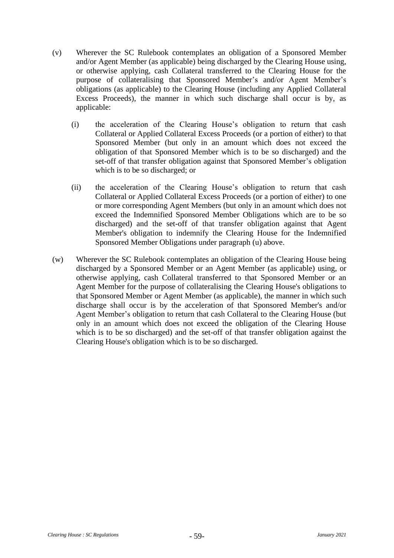- (v) Wherever the SC Rulebook contemplates an obligation of a Sponsored Member and/or Agent Member (as applicable) being discharged by the Clearing House using, or otherwise applying, cash Collateral transferred to the Clearing House for the purpose of collateralising that Sponsored Member's and/or Agent Member's obligations (as applicable) to the Clearing House (including any Applied Collateral Excess Proceeds), the manner in which such discharge shall occur is by, as applicable:
	- (i) the acceleration of the Clearing House's obligation to return that cash Collateral or Applied Collateral Excess Proceeds (or a portion of either) to that Sponsored Member (but only in an amount which does not exceed the obligation of that Sponsored Member which is to be so discharged) and the set-off of that transfer obligation against that Sponsored Member's obligation which is to be so discharged; or
	- (ii) the acceleration of the Clearing House's obligation to return that cash Collateral or Applied Collateral Excess Proceeds (or a portion of either) to one or more corresponding Agent Members (but only in an amount which does not exceed the Indemnified Sponsored Member Obligations which are to be so discharged) and the set-off of that transfer obligation against that Agent Member's obligation to indemnify the Clearing House for the Indemnified Sponsored Member Obligations under paragraph [\(u\)](#page-61-0) above.
- (w) Wherever the SC Rulebook contemplates an obligation of the Clearing House being discharged by a Sponsored Member or an Agent Member (as applicable) using, or otherwise applying, cash Collateral transferred to that Sponsored Member or an Agent Member for the purpose of collateralising the Clearing House's obligations to that Sponsored Member or Agent Member (as applicable), the manner in which such discharge shall occur is by the acceleration of that Sponsored Member's and/or Agent Member's obligation to return that cash Collateral to the Clearing House (but only in an amount which does not exceed the obligation of the Clearing House which is to be so discharged) and the set-off of that transfer obligation against the Clearing House's obligation which is to be so discharged.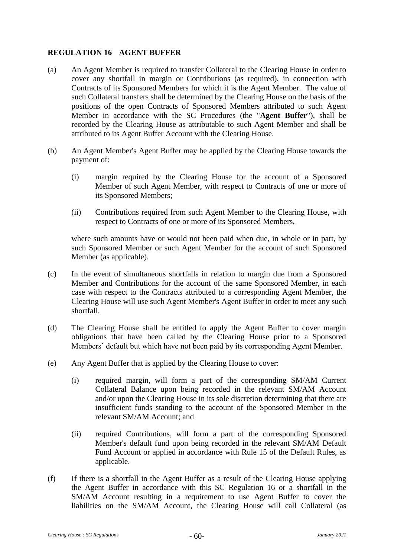## <span id="page-63-0"></span>**REGULATION 16 AGENT BUFFER**

- (a) An Agent Member is required to transfer Collateral to the Clearing House in order to cover any shortfall in margin or Contributions (as required), in connection with Contracts of its Sponsored Members for which it is the Agent Member. The value of such Collateral transfers shall be determined by the Clearing House on the basis of the positions of the open Contracts of Sponsored Members attributed to such Agent Member in accordance with the SC Procedures (the "**Agent Buffer**"), shall be recorded by the Clearing House as attributable to such Agent Member and shall be attributed to its Agent Buffer Account with the Clearing House.
- (b) An Agent Member's Agent Buffer may be applied by the Clearing House towards the payment of:
	- (i) margin required by the Clearing House for the account of a Sponsored Member of such Agent Member, with respect to Contracts of one or more of its Sponsored Members;
	- (ii) Contributions required from such Agent Member to the Clearing House, with respect to Contracts of one or more of its Sponsored Members,

where such amounts have or would not been paid when due, in whole or in part, by such Sponsored Member or such Agent Member for the account of such Sponsored Member (as applicable).

- (c) In the event of simultaneous shortfalls in relation to margin due from a Sponsored Member and Contributions for the account of the same Sponsored Member, in each case with respect to the Contracts attributed to a corresponding Agent Member, the Clearing House will use such Agent Member's Agent Buffer in order to meet any such shortfall.
- (d) The Clearing House shall be entitled to apply the Agent Buffer to cover margin obligations that have been called by the Clearing House prior to a Sponsored Members' default but which have not been paid by its corresponding Agent Member.
- (e) Any Agent Buffer that is applied by the Clearing House to cover:
	- (i) required margin, will form a part of the corresponding SM/AM Current Collateral Balance upon being recorded in the relevant SM/AM Account and/or upon the Clearing House in its sole discretion determining that there are insufficient funds standing to the account of the Sponsored Member in the relevant SM/AM Account; and
	- (ii) required Contributions, will form a part of the corresponding Sponsored Member's default fund upon being recorded in the relevant SM/AM Default Fund Account or applied in accordance with Rule 15 of the Default Rules, as applicable.
- (f) If there is a shortfall in the Agent Buffer as a result of the Clearing House applying the Agent Buffer in accordance with this SC [Regulation 16](#page-63-0) or a shortfall in the SM/AM Account resulting in a requirement to use Agent Buffer to cover the liabilities on the SM/AM Account, the Clearing House will call Collateral (as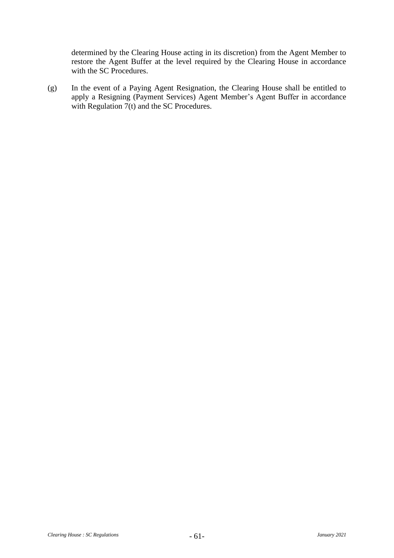determined by the Clearing House acting in its discretion) from the Agent Member to restore the Agent Buffer at the level required by the Clearing House in accordance with the SC Procedures.

(g) In the event of a Paying Agent Resignation, the Clearing House shall be entitled to apply a Resigning (Payment Services) Agent Member's Agent Buffer in accordance with [Regulation 7\(t\)](#page-40-2) and the SC Procedures.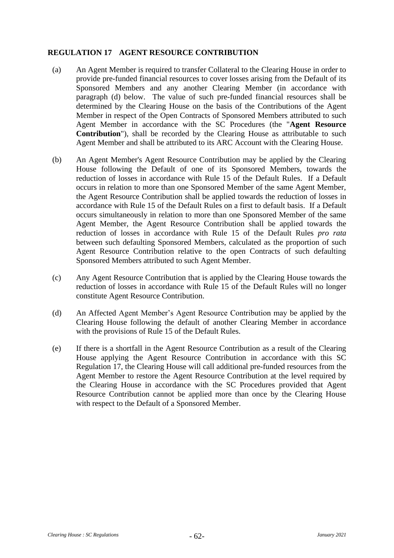## <span id="page-65-1"></span>**REGULATION 17 AGENT RESOURCE CONTRIBUTION**

- (a) An Agent Member is required to transfer Collateral to the Clearing House in order to provide pre-funded financial resources to cover losses arising from the Default of its Sponsored Members and any another Clearing Member (in accordance with paragraph [\(d\)](#page-65-0) below. The value of such pre-funded financial resources shall be determined by the Clearing House on the basis of the Contributions of the Agent Member in respect of the Open Contracts of Sponsored Members attributed to such Agent Member in accordance with the SC Procedures (the "**Agent Resource Contribution**"), shall be recorded by the Clearing House as attributable to such Agent Member and shall be attributed to its ARC Account with the Clearing House.
- (b) An Agent Member's Agent Resource Contribution may be applied by the Clearing House following the Default of one of its Sponsored Members, towards the reduction of losses in accordance with Rule 15 of the Default Rules. If a Default occurs in relation to more than one Sponsored Member of the same Agent Member, the Agent Resource Contribution shall be applied towards the reduction of losses in accordance with Rule 15 of the Default Rules on a first to default basis. If a Default occurs simultaneously in relation to more than one Sponsored Member of the same Agent Member, the Agent Resource Contribution shall be applied towards the reduction of losses in accordance with Rule 15 of the Default Rules *pro rata* between such defaulting Sponsored Members, calculated as the proportion of such Agent Resource Contribution relative to the open Contracts of such defaulting Sponsored Members attributed to such Agent Member.
- (c) Any Agent Resource Contribution that is applied by the Clearing House towards the reduction of losses in accordance with Rule 15 of the Default Rules will no longer constitute Agent Resource Contribution.
- <span id="page-65-0"></span>(d) An Affected Agent Member's Agent Resource Contribution may be applied by the Clearing House following the default of another Clearing Member in accordance with the provisions of Rule 15 of the Default Rules.
- (e) If there is a shortfall in the Agent Resource Contribution as a result of the Clearing House applying the Agent Resource Contribution in accordance with this SC [Regulation 17,](#page-65-1) the Clearing House will call additional pre-funded resources from the Agent Member to restore the Agent Resource Contribution at the level required by the Clearing House in accordance with the SC Procedures provided that Agent Resource Contribution cannot be applied more than once by the Clearing House with respect to the Default of a Sponsored Member.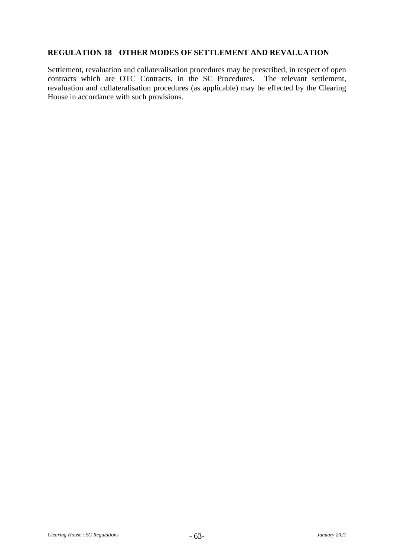## **REGULATION 18 OTHER MODES OF SETTLEMENT AND REVALUATION**

Settlement, revaluation and collateralisation procedures may be prescribed, in respect of open contracts which are OTC Contracts, in the SC Procedures. The relevant settlement, revaluation and collateralisation procedures (as applicable) may be effected by the Clearing House in accordance with such provisions.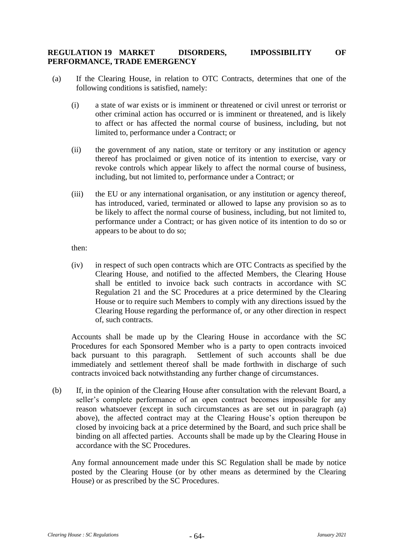### <span id="page-67-4"></span>**REGULATION 19 MARKET DISORDERS, IMPOSSIBILITY OF PERFORMANCE, TRADE EMERGENCY**

- <span id="page-67-2"></span><span id="page-67-1"></span><span id="page-67-0"></span>(a) If the Clearing House, in relation to OTC Contracts, determines that one of the following conditions is satisfied, namely:
	- (i) a state of war exists or is imminent or threatened or civil unrest or terrorist or other criminal action has occurred or is imminent or threatened, and is likely to affect or has affected the normal course of business, including, but not limited to, performance under a Contract; or
	- (ii) the government of any nation, state or territory or any institution or agency thereof has proclaimed or given notice of its intention to exercise, vary or revoke controls which appear likely to affect the normal course of business, including, but not limited to, performance under a Contract; or
	- (iii) the EU or any international organisation, or any institution or agency thereof, has introduced, varied, terminated or allowed to lapse any provision so as to be likely to affect the normal course of business, including, but not limited to, performance under a Contract; or has given notice of its intention to do so or appears to be about to do so;

<span id="page-67-3"></span>then:

(iv) in respect of such open contracts which are OTC Contracts as specified by the Clearing House, and notified to the affected Members, the Clearing House shall be entitled to invoice back such contracts in accordance with SC [Regulation 21](#page-69-0) and the SC Procedures at a price determined by the Clearing House or to require such Members to comply with any directions issued by the Clearing House regarding the performance of, or any other direction in respect of, such contracts.

Accounts shall be made up by the Clearing House in accordance with the SC Procedures for each Sponsored Member who is a party to open contracts invoiced back pursuant to this paragraph. Settlement of such accounts shall be due immediately and settlement thereof shall be made forthwith in discharge of such contracts invoiced back notwithstanding any further change of circumstances.

<span id="page-67-5"></span>(b) If, in the opinion of the Clearing House after consultation with the relevant Board, a seller's complete performance of an open contract becomes impossible for any reason whatsoever (except in such circumstances as are set out in paragraph [\(a\)](#page-67-0) above), the affected contract may at the Clearing House's option thereupon be closed by invoicing back at a price determined by the Board, and such price shall be binding on all affected parties. Accounts shall be made up by the Clearing House in accordance with the SC Procedures.

Any formal announcement made under this SC Regulation shall be made by notice posted by the Clearing House (or by other means as determined by the Clearing House) or as prescribed by the SC Procedures.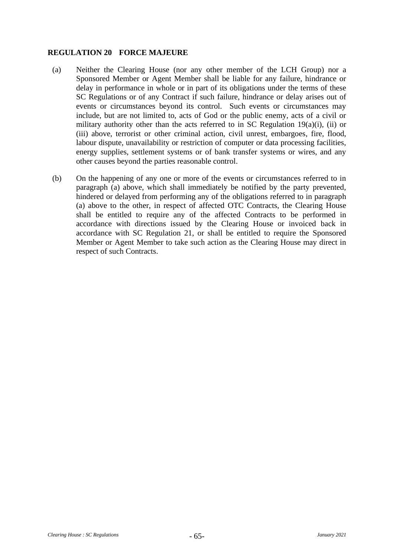## <span id="page-68-1"></span>**REGULATION 20 FORCE MAJEURE**

- <span id="page-68-0"></span>(a) Neither the Clearing House (nor any other member of the LCH Group) nor a Sponsored Member or Agent Member shall be liable for any failure, hindrance or delay in performance in whole or in part of its obligations under the terms of these SC Regulations or of any Contract if such failure, hindrance or delay arises out of events or circumstances beyond its control. Such events or circumstances may include, but are not limited to, acts of God or the public enemy, acts of a civil or military authority other than the acts referred to in SC Regulation  $19(a)(i)$ , [\(ii\)](#page-67-2) or [\(iii\)](#page-67-3) above, terrorist or other criminal action, civil unrest, embargoes, fire, flood, labour dispute, unavailability or restriction of computer or data processing facilities, energy supplies, settlement systems or of bank transfer systems or wires, and any other causes beyond the parties reasonable control.
- (b) On the happening of any one or more of the events or circumstances referred to in paragraph [\(a\)](#page-68-0) above, which shall immediately be notified by the party prevented, hindered or delayed from performing any of the obligations referred to in paragraph [\(a\)](#page-68-0) above to the other, in respect of affected OTC Contracts, the Clearing House shall be entitled to require any of the affected Contracts to be performed in accordance with directions issued by the Clearing House or invoiced back in accordance with SC [Regulation 21,](#page-69-0) or shall be entitled to require the Sponsored Member or Agent Member to take such action as the Clearing House may direct in respect of such Contracts.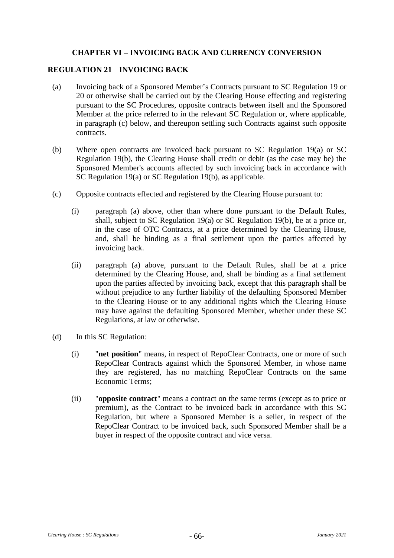# **CHAPTER VI – INVOICING BACK AND CURRENCY CONVERSION**

#### <span id="page-69-0"></span>**REGULATION 21 INVOICING BACK**

- <span id="page-69-2"></span>(a) Invoicing back of a Sponsored Member's Contracts pursuant to SC [Regulation 19](#page-67-4) or [20](#page-68-1) or otherwise shall be carried out by the Clearing House effecting and registering pursuant to the SC Procedures, opposite contracts between itself and the Sponsored Member at the price referred to in the relevant SC Regulation or, where applicable, in paragraph [\(c\)](#page-69-1) below, and thereupon settling such Contracts against such opposite contracts.
- (b) Where open contracts are invoiced back pursuant to SC [Regulation 19\(a\)](#page-67-0) or SC [Regulation 19\(b\),](#page-67-5) the Clearing House shall credit or debit (as the case may be) the Sponsored Member's accounts affected by such invoicing back in accordance with SC [Regulation 19\(a\)](#page-67-0) or SC [Regulation 19\(b\),](#page-67-5) as applicable.
- <span id="page-69-1"></span>(c) Opposite contracts effected and registered by the Clearing House pursuant to:
	- (i) paragraph [\(a\)](#page-69-2) above, other than where done pursuant to the Default Rules, shall, subject to SC [Regulation 19\(a\)](#page-67-0) or SC [Regulation 19\(b\),](#page-67-5) be at a price or, in the case of OTC Contracts, at a price determined by the Clearing House, and, shall be binding as a final settlement upon the parties affected by invoicing back.
	- (ii) paragraph [\(a\)](#page-69-2) above, pursuant to the Default Rules, shall be at a price determined by the Clearing House, and, shall be binding as a final settlement upon the parties affected by invoicing back, except that this paragraph shall be without prejudice to any further liability of the defaulting Sponsored Member to the Clearing House or to any additional rights which the Clearing House may have against the defaulting Sponsored Member, whether under these SC Regulations, at law or otherwise.
- (d) In this SC Regulation:
	- (i) "**net position**" means, in respect of RepoClear Contracts, one or more of such RepoClear Contracts against which the Sponsored Member, in whose name they are registered, has no matching RepoClear Contracts on the same Economic Terms;
	- (ii) "**opposite contract**" means a contract on the same terms (except as to price or premium), as the Contract to be invoiced back in accordance with this SC Regulation, but where a Sponsored Member is a seller, in respect of the RepoClear Contract to be invoiced back, such Sponsored Member shall be a buyer in respect of the opposite contract and vice versa.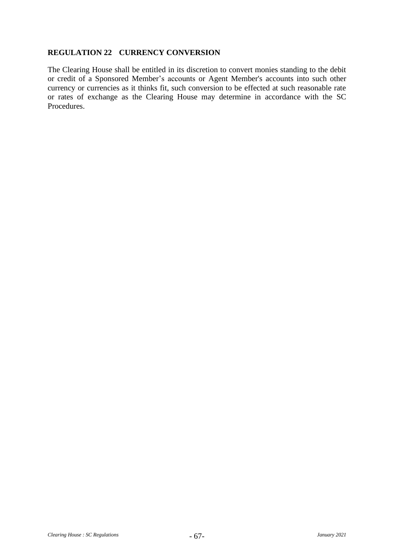# **REGULATION 22 CURRENCY CONVERSION**

The Clearing House shall be entitled in its discretion to convert monies standing to the debit or credit of a Sponsored Member's accounts or Agent Member's accounts into such other currency or currencies as it thinks fit, such conversion to be effected at such reasonable rate or rates of exchange as the Clearing House may determine in accordance with the SC Procedures.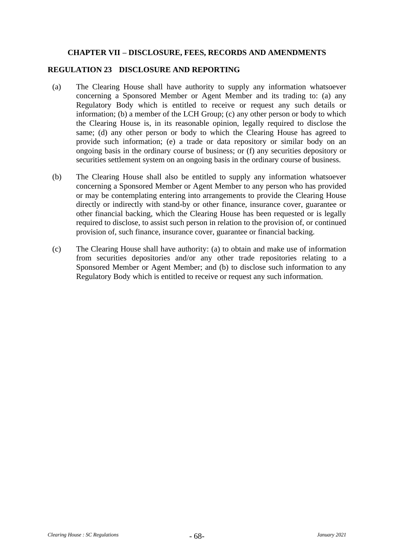#### **CHAPTER VII – DISCLOSURE, FEES, RECORDS AND AMENDMENTS**

#### **REGULATION 23 DISCLOSURE AND REPORTING**

- (a) The Clearing House shall have authority to supply any information whatsoever concerning a Sponsored Member or Agent Member and its trading to: (a) any Regulatory Body which is entitled to receive or request any such details or information; (b) a member of the LCH Group; (c) any other person or body to which the Clearing House is, in its reasonable opinion, legally required to disclose the same; (d) any other person or body to which the Clearing House has agreed to provide such information; (e) a trade or data repository or similar body on an ongoing basis in the ordinary course of business; or (f) any securities depository or securities settlement system on an ongoing basis in the ordinary course of business.
- (b) The Clearing House shall also be entitled to supply any information whatsoever concerning a Sponsored Member or Agent Member to any person who has provided or may be contemplating entering into arrangements to provide the Clearing House directly or indirectly with stand-by or other finance, insurance cover, guarantee or other financial backing, which the Clearing House has been requested or is legally required to disclose, to assist such person in relation to the provision of, or continued provision of, such finance, insurance cover, guarantee or financial backing.
- (c) The Clearing House shall have authority: (a) to obtain and make use of information from securities depositories and/or any other trade repositories relating to a Sponsored Member or Agent Member; and (b) to disclose such information to any Regulatory Body which is entitled to receive or request any such information.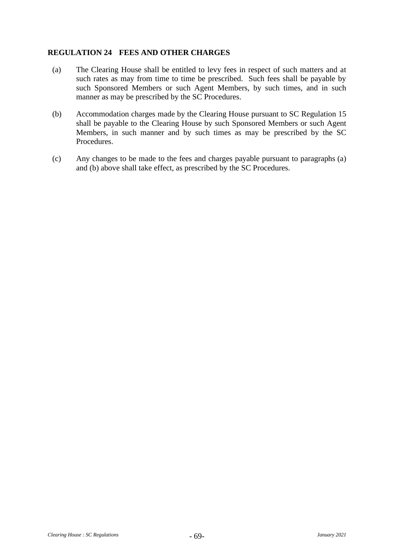## **REGULATION 24 FEES AND OTHER CHARGES**

- <span id="page-72-0"></span>(a) The Clearing House shall be entitled to levy fees in respect of such matters and at such rates as may from time to time be prescribed. Such fees shall be payable by such Sponsored Members or such Agent Members, by such times, and in such manner as may be prescribed by the SC Procedures.
- <span id="page-72-1"></span>(b) Accommodation charges made by the Clearing House pursuant to SC [Regulation 15](#page-56-0) shall be payable to the Clearing House by such Sponsored Members or such Agent Members, in such manner and by such times as may be prescribed by the SC Procedures.
- (c) Any changes to be made to the fees and charges payable pursuant to paragraphs [\(a\)](#page-72-0) and [\(b\)](#page-72-1) above shall take effect, as prescribed by the SC Procedures.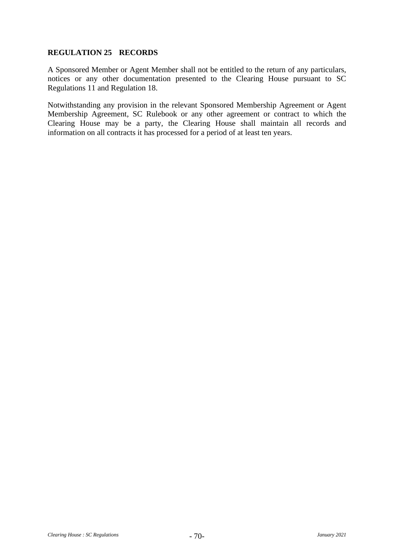## **REGULATION 25 RECORDS**

A Sponsored Member or Agent Member shall not be entitled to the return of any particulars, notices or any other documentation presented to the Clearing House pursuant to SC Regulations [11](#page-50-0) and [Regulation 18.](#page-66-0)

Notwithstanding any provision in the relevant Sponsored Membership Agreement or Agent Membership Agreement, SC Rulebook or any other agreement or contract to which the Clearing House may be a party, the Clearing House shall maintain all records and information on all contracts it has processed for a period of at least ten years.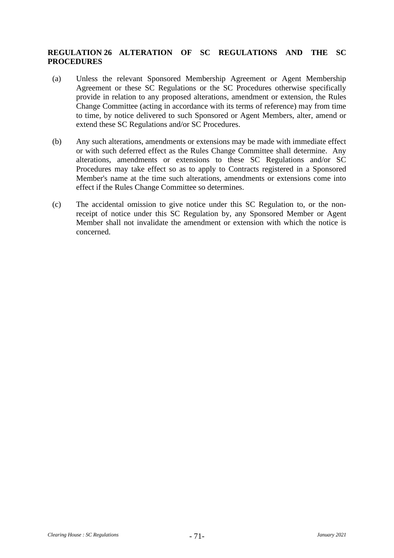# **REGULATION 26 ALTERATION OF SC REGULATIONS AND THE SC PROCEDURES**

- (a) Unless the relevant Sponsored Membership Agreement or Agent Membership Agreement or these SC Regulations or the SC Procedures otherwise specifically provide in relation to any proposed alterations, amendment or extension, the Rules Change Committee (acting in accordance with its terms of reference) may from time to time, by notice delivered to such Sponsored or Agent Members, alter, amend or extend these SC Regulations and/or SC Procedures.
- (b) Any such alterations, amendments or extensions may be made with immediate effect or with such deferred effect as the Rules Change Committee shall determine. Any alterations, amendments or extensions to these SC Regulations and/or SC Procedures may take effect so as to apply to Contracts registered in a Sponsored Member's name at the time such alterations, amendments or extensions come into effect if the Rules Change Committee so determines.
- (c) The accidental omission to give notice under this SC Regulation to, or the nonreceipt of notice under this SC Regulation by, any Sponsored Member or Agent Member shall not invalidate the amendment or extension with which the notice is concerned.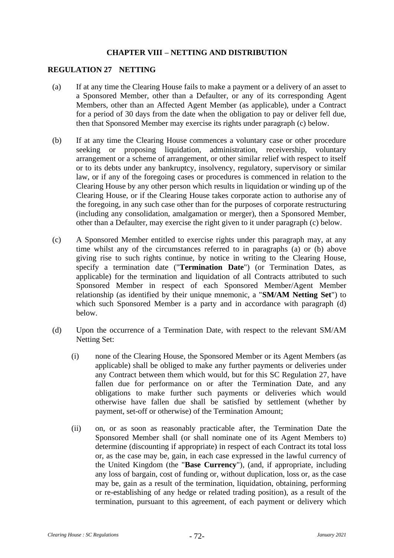#### **CHAPTER VIII – NETTING AND DISTRIBUTION**

#### <span id="page-75-4"></span>**REGULATION 27 NETTING**

- <span id="page-75-1"></span>(a) If at any time the Clearing House fails to make a payment or a delivery of an asset to a Sponsored Member, other than a Defaulter, or any of its corresponding Agent Members, other than an Affected Agent Member (as applicable), under a Contract for a period of 30 days from the date when the obligation to pay or deliver fell due, then that Sponsored Member may exercise its rights under paragraph [\(c\)](#page-75-0) below.
- <span id="page-75-2"></span>(b) If at any time the Clearing House commences a voluntary case or other procedure seeking or proposing liquidation, administration, receivership, voluntary arrangement or a scheme of arrangement, or other similar relief with respect to itself or to its debts under any bankruptcy, insolvency, regulatory, supervisory or similar law, or if any of the foregoing cases or procedures is commenced in relation to the Clearing House by any other person which results in liquidation or winding up of the Clearing House, or if the Clearing House takes corporate action to authorise any of the foregoing, in any such case other than for the purposes of corporate restructuring (including any consolidation, amalgamation or merger), then a Sponsored Member, other than a Defaulter, may exercise the right given to it under paragraph [\(c\)](#page-75-0) below.
- <span id="page-75-0"></span>(c) A Sponsored Member entitled to exercise rights under this paragraph may, at any time whilst any of the circumstances referred to in paragraphs [\(a\)](#page-75-1) or [\(b\)](#page-75-2) above giving rise to such rights continue, by notice in writing to the Clearing House, specify a termination date ("**Termination Date**") (or Termination Dates, as applicable) for the termination and liquidation of all Contracts attributed to such Sponsored Member in respect of each Sponsored Member/Agent Member relationship (as identified by their unique mnemonic, a "**SM/AM Netting Set**") to which such Sponsored Member is a party and in accordance with paragraph [\(d\)](#page-75-3) below.
- <span id="page-75-5"></span><span id="page-75-3"></span>(d) Upon the occurrence of a Termination Date, with respect to the relevant SM/AM Netting Set:
	- (i) none of the Clearing House, the Sponsored Member or its Agent Members (as applicable) shall be obliged to make any further payments or deliveries under any Contract between them which would, but for this SC [Regulation 27,](#page-75-4) have fallen due for performance on or after the Termination Date, and any obligations to make further such payments or deliveries which would otherwise have fallen due shall be satisfied by settlement (whether by payment, set-off or otherwise) of the Termination Amount;
	- (ii) on, or as soon as reasonably practicable after, the Termination Date the Sponsored Member shall (or shall nominate one of its Agent Members to) determine (discounting if appropriate) in respect of each Contract its total loss or, as the case may be, gain, in each case expressed in the lawful currency of the United Kingdom (the "**Base Currency**"), (and, if appropriate, including any loss of bargain, cost of funding or, without duplication, loss or, as the case may be, gain as a result of the termination, liquidation, obtaining, performing or re-establishing of any hedge or related trading position), as a result of the termination, pursuant to this agreement, of each payment or delivery which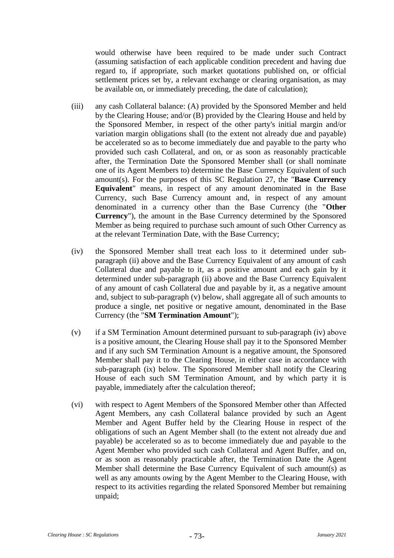would otherwise have been required to be made under such Contract (assuming satisfaction of each applicable condition precedent and having due regard to, if appropriate, such market quotations published on, or official settlement prices set by, a relevant exchange or clearing organisation, as may be available on, or immediately preceding, the date of calculation);

- (iii) any cash Collateral balance: (A) provided by the Sponsored Member and held by the Clearing House; and/or (B) provided by the Clearing House and held by the Sponsored Member, in respect of the other party's initial margin and/or variation margin obligations shall (to the extent not already due and payable) be accelerated so as to become immediately due and payable to the party who provided such cash Collateral, and on, or as soon as reasonably practicable after, the Termination Date the Sponsored Member shall (or shall nominate one of its Agent Members to) determine the Base Currency Equivalent of such amount(s). For the purposes of this SC [Regulation 27,](#page-75-4) the "**Base Currency Equivalent**" means, in respect of any amount denominated in the Base Currency, such Base Currency amount and, in respect of any amount denominated in a currency other than the Base Currency (the "**Other Currency**"), the amount in the Base Currency determined by the Sponsored Member as being required to purchase such amount of such Other Currency as at the relevant Termination Date, with the Base Currency;
- <span id="page-76-1"></span>(iv) the Sponsored Member shall treat each loss to it determined under subparagraph [\(ii\)](#page-75-5) above and the Base Currency Equivalent of any amount of cash Collateral due and payable to it, as a positive amount and each gain by it determined under sub-paragraph [\(ii\)](#page-75-5) above and the Base Currency Equivalent of any amount of cash Collateral due and payable by it, as a negative amount and, subject to sub-paragraph [\(v\)](#page-76-0) below, shall aggregate all of such amounts to produce a single, net positive or negative amount, denominated in the Base Currency (the "**SM Termination Amount**");
- <span id="page-76-0"></span>(v) if a SM Termination Amount determined pursuant to sub-paragraph [\(iv\)](#page-76-1) above is a positive amount, the Clearing House shall pay it to the Sponsored Member and if any such SM Termination Amount is a negative amount, the Sponsored Member shall pay it to the Clearing House, in either case in accordance with sub-paragraph [\(ix\)](#page-77-0) below. The Sponsored Member shall notify the Clearing House of each such SM Termination Amount, and by which party it is payable, immediately after the calculation thereof;
- (vi) with respect to Agent Members of the Sponsored Member other than Affected Agent Members, any cash Collateral balance provided by such an Agent Member and Agent Buffer held by the Clearing House in respect of the obligations of such an Agent Member shall (to the extent not already due and payable) be accelerated so as to become immediately due and payable to the Agent Member who provided such cash Collateral and Agent Buffer, and on, or as soon as reasonably practicable after, the Termination Date the Agent Member shall determine the Base Currency Equivalent of such amount(s) as well as any amounts owing by the Agent Member to the Clearing House, with respect to its activities regarding the related Sponsored Member but remaining unpaid;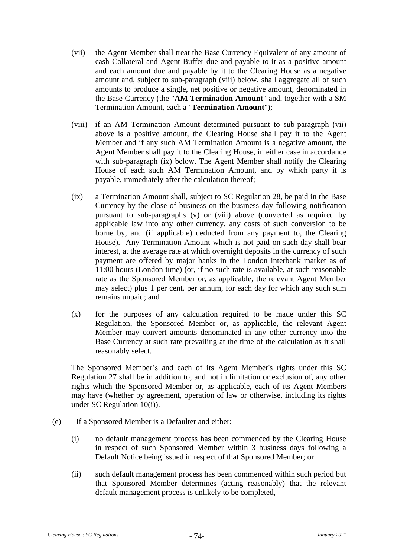- <span id="page-77-2"></span>(vii) the Agent Member shall treat the Base Currency Equivalent of any amount of cash Collateral and Agent Buffer due and payable to it as a positive amount and each amount due and payable by it to the Clearing House as a negative amount and, subject to sub-paragraph [\(viii\)](#page-77-1) below, shall aggregate all of such amounts to produce a single, net positive or negative amount, denominated in the Base Currency (the "**AM Termination Amount**" and, together with a SM Termination Amount, each a "**Termination Amount**");
- <span id="page-77-1"></span>(viii) if an AM Termination Amount determined pursuant to sub-paragraph [\(vii\)](#page-77-2) above is a positive amount, the Clearing House shall pay it to the Agent Member and if any such AM Termination Amount is a negative amount, the Agent Member shall pay it to the Clearing House, in either case in accordance with sub-paragraph [\(ix\)](#page-77-0) below. The Agent Member shall notify the Clearing House of each such AM Termination Amount, and by which party it is payable, immediately after the calculation thereof;
- <span id="page-77-0"></span>(ix) a Termination Amount shall, subject to SC [Regulation 28,](#page-79-0) be paid in the Base Currency by the close of business on the business day following notification pursuant to sub-paragraphs [\(v\)](#page-76-0) or [\(viii\)](#page-77-1) above (converted as required by applicable law into any other currency, any costs of such conversion to be borne by, and (if applicable) deducted from any payment to, the Clearing House). Any Termination Amount which is not paid on such day shall bear interest, at the average rate at which overnight deposits in the currency of such payment are offered by major banks in the London interbank market as of 11:00 hours (London time) (or, if no such rate is available, at such reasonable rate as the Sponsored Member or, as applicable, the relevant Agent Member may select) plus 1 per cent. per annum, for each day for which any such sum remains unpaid; and
- (x) for the purposes of any calculation required to be made under this SC Regulation, the Sponsored Member or, as applicable, the relevant Agent Member may convert amounts denominated in any other currency into the Base Currency at such rate prevailing at the time of the calculation as it shall reasonably select.

The Sponsored Member's and each of its Agent Member's rights under this SC [Regulation 27](#page-75-4) shall be in addition to, and not in limitation or exclusion of, any other rights which the Sponsored Member or, as applicable, each of its Agent Members may have (whether by agreement, operation of law or otherwise, including its rights under SC [Regulation 10\(i\)\)](#page-49-0).

- (e) If a Sponsored Member is a Defaulter and either:
	- (i) no default management process has been commenced by the Clearing House in respect of such Sponsored Member within 3 business days following a Default Notice being issued in respect of that Sponsored Member; or
	- (ii) such default management process has been commenced within such period but that Sponsored Member determines (acting reasonably) that the relevant default management process is unlikely to be completed,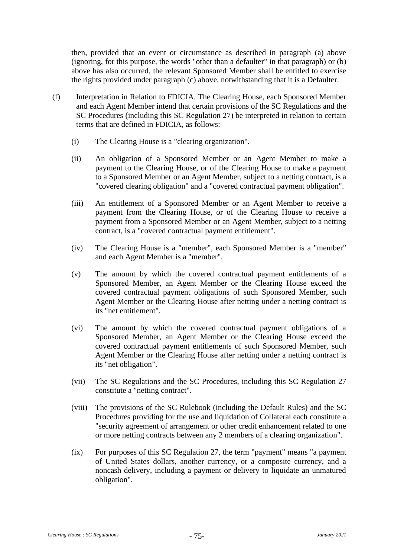then, provided that an event or circumstance as described in paragraph [\(a\)](#page-75-1) above (ignoring, for this purpose, the words "other than a defaulter" in that paragraph) or [\(b\)](#page-75-2) above has also occurred, the relevant Sponsored Member shall be entitled to exercise the rights provided under paragraph [\(c\)](#page-75-0) above, notwithstanding that it is a Defaulter.

- (f) Interpretation in Relation to FDICIA. The Clearing House, each Sponsored Member and each Agent Member intend that certain provisions of the SC Regulations and the SC Procedures (including this SC [Regulation 27\)](#page-75-4) be interpreted in relation to certain terms that are defined in FDICIA, as follows:
	- (i) The Clearing House is a "clearing organization".
	- (ii) An obligation of a Sponsored Member or an Agent Member to make a payment to the Clearing House, or of the Clearing House to make a payment to a Sponsored Member or an Agent Member, subject to a netting contract, is a "covered clearing obligation" and a "covered contractual payment obligation".
	- (iii) An entitlement of a Sponsored Member or an Agent Member to receive a payment from the Clearing House, or of the Clearing House to receive a payment from a Sponsored Member or an Agent Member, subject to a netting contract, is a "covered contractual payment entitlement".
	- (iv) The Clearing House is a "member", each Sponsored Member is a "member" and each Agent Member is a "member".
	- (v) The amount by which the covered contractual payment entitlements of a Sponsored Member, an Agent Member or the Clearing House exceed the covered contractual payment obligations of such Sponsored Member, such Agent Member or the Clearing House after netting under a netting contract is its "net entitlement".
	- (vi) The amount by which the covered contractual payment obligations of a Sponsored Member, an Agent Member or the Clearing House exceed the covered contractual payment entitlements of such Sponsored Member, such Agent Member or the Clearing House after netting under a netting contract is its "net obligation".
	- (vii) The SC Regulations and the SC Procedures, including this SC [Regulation 27](#page-75-4) constitute a "netting contract".
	- (viii) The provisions of the SC Rulebook (including the Default Rules) and the SC Procedures providing for the use and liquidation of Collateral each constitute a "security agreement of arrangement or other credit enhancement related to one or more netting contracts between any 2 members of a clearing organization".
	- (ix) For purposes of this SC [Regulation 27,](#page-75-4) the term "payment" means "a payment of United States dollars, another currency, or a composite currency, and a noncash delivery, including a payment or delivery to liquidate an unmatured obligation".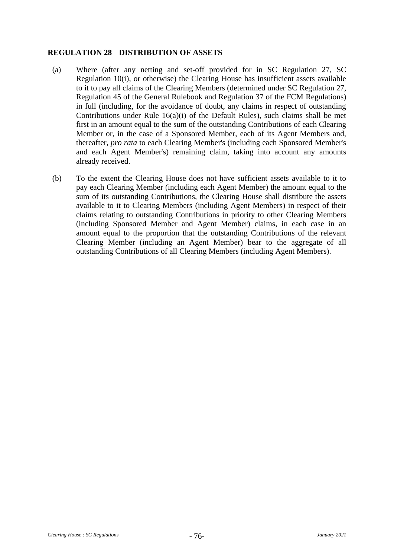#### <span id="page-79-0"></span>**REGULATION 28 DISTRIBUTION OF ASSETS**

- (a) Where (after any netting and set-off provided for in SC [Regulation 27,](#page-75-4) SC [Regulation 10\(i\),](#page-49-0) or otherwise) the Clearing House has insufficient assets available to it to pay all claims of the Clearing Members (determined under SC [Regulation 27,](#page-75-4) Regulation 45 of the General Rulebook and Regulation 37 of the FCM Regulations) in full (including, for the avoidance of doubt, any claims in respect of outstanding Contributions under Rule 16(a)(i) of the Default Rules), such claims shall be met first in an amount equal to the sum of the outstanding Contributions of each Clearing Member or, in the case of a Sponsored Member, each of its Agent Members and, thereafter, *pro rata* to each Clearing Member's (including each Sponsored Member's and each Agent Member's) remaining claim, taking into account any amounts already received.
- (b) To the extent the Clearing House does not have sufficient assets available to it to pay each Clearing Member (including each Agent Member) the amount equal to the sum of its outstanding Contributions, the Clearing House shall distribute the assets available to it to Clearing Members (including Agent Members) in respect of their claims relating to outstanding Contributions in priority to other Clearing Members (including Sponsored Member and Agent Member) claims, in each case in an amount equal to the proportion that the outstanding Contributions of the relevant Clearing Member (including an Agent Member) bear to the aggregate of all outstanding Contributions of all Clearing Members (including Agent Members).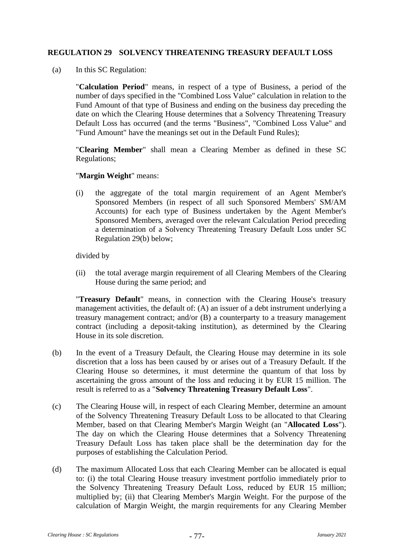## **REGULATION 29 SOLVENCY THREATENING TREASURY DEFAULT LOSS**

(a) In this SC Regulation:

"**Calculation Period**" means, in respect of a type of Business, a period of the number of days specified in the "Combined Loss Value" calculation in relation to the Fund Amount of that type of Business and ending on the business day preceding the date on which the Clearing House determines that a Solvency Threatening Treasury Default Loss has occurred (and the terms "Business", "Combined Loss Value" and "Fund Amount" have the meanings set out in the Default Fund Rules);

"**Clearing Member**" shall mean a Clearing Member as defined in these SC Regulations;

"**Margin Weight**" means:

(i) the aggregate of the total margin requirement of an Agent Member's Sponsored Members (in respect of all such Sponsored Members' SM/AM Accounts) for each type of Business undertaken by the Agent Member's Sponsored Members, averaged over the relevant Calculation Period preceding a determination of a Solvency Threatening Treasury Default Loss under SC [Regulation 29\(b\)](#page-80-0) below;

divided by

(ii) the total average margin requirement of all Clearing Members of the Clearing House during the same period; and

"**Treasury Default**" means, in connection with the Clearing House's treasury management activities, the default of: (A) an issuer of a debt instrument underlying a treasury management contract; and/or (B) a counterparty to a treasury management contract (including a deposit-taking institution), as determined by the Clearing House in its sole discretion.

- <span id="page-80-0"></span>(b) In the event of a Treasury Default, the Clearing House may determine in its sole discretion that a loss has been caused by or arises out of a Treasury Default. If the Clearing House so determines, it must determine the quantum of that loss by ascertaining the gross amount of the loss and reducing it by EUR 15 million. The result is referred to as a "**Solvency Threatening Treasury Default Loss**".
- (c) The Clearing House will, in respect of each Clearing Member, determine an amount of the Solvency Threatening Treasury Default Loss to be allocated to that Clearing Member, based on that Clearing Member's Margin Weight (an "**Allocated Loss**"). The day on which the Clearing House determines that a Solvency Threatening Treasury Default Loss has taken place shall be the determination day for the purposes of establishing the Calculation Period.
- (d) The maximum Allocated Loss that each Clearing Member can be allocated is equal to: (i) the total Clearing House treasury investment portfolio immediately prior to the Solvency Threatening Treasury Default Loss, reduced by EUR 15 million; multiplied by; (ii) that Clearing Member's Margin Weight. For the purpose of the calculation of Margin Weight, the margin requirements for any Clearing Member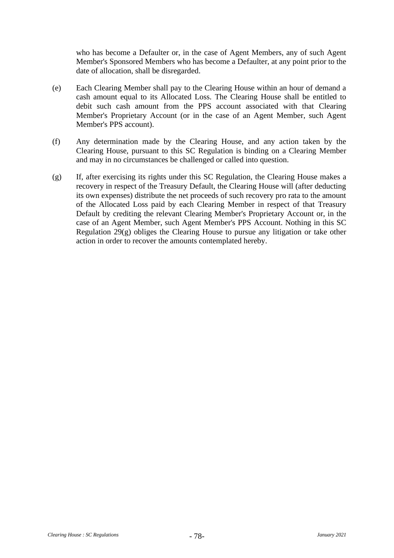who has become a Defaulter or, in the case of Agent Members, any of such Agent Member's Sponsored Members who has become a Defaulter, at any point prior to the date of allocation, shall be disregarded.

- (e) Each Clearing Member shall pay to the Clearing House within an hour of demand a cash amount equal to its Allocated Loss. The Clearing House shall be entitled to debit such cash amount from the PPS account associated with that Clearing Member's Proprietary Account (or in the case of an Agent Member, such Agent Member's PPS account).
- (f) Any determination made by the Clearing House, and any action taken by the Clearing House, pursuant to this SC Regulation is binding on a Clearing Member and may in no circumstances be challenged or called into question.
- <span id="page-81-0"></span>(g) If, after exercising its rights under this SC Regulation, the Clearing House makes a recovery in respect of the Treasury Default, the Clearing House will (after deducting its own expenses) distribute the net proceeds of such recovery pro rata to the amount of the Allocated Loss paid by each Clearing Member in respect of that Treasury Default by crediting the relevant Clearing Member's Proprietary Account or, in the case of an Agent Member, such Agent Member's PPS Account. Nothing in this SC [Regulation 29\(g\)](#page-81-0) obliges the Clearing House to pursue any litigation or take other action in order to recover the amounts contemplated hereby.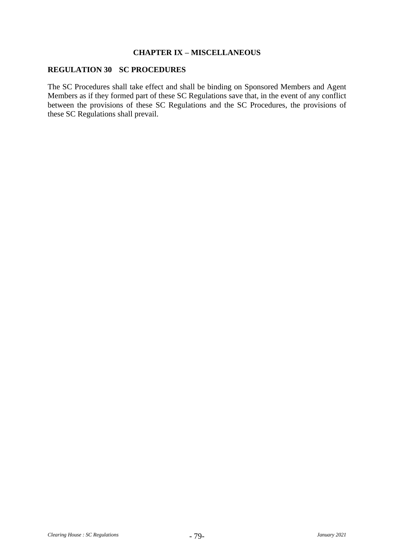#### **CHAPTER IX – MISCELLANEOUS**

## **REGULATION 30 SC PROCEDURES**

The SC Procedures shall take effect and shall be binding on Sponsored Members and Agent Members as if they formed part of these SC Regulations save that, in the event of any conflict between the provisions of these SC Regulations and the SC Procedures, the provisions of these SC Regulations shall prevail.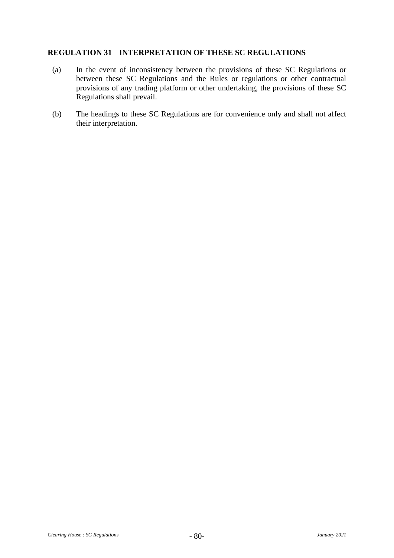#### **REGULATION 31 INTERPRETATION OF THESE SC REGULATIONS**

- (a) In the event of inconsistency between the provisions of these SC Regulations or between these SC Regulations and the Rules or regulations or other contractual provisions of any trading platform or other undertaking, the provisions of these SC Regulations shall prevail.
- (b) The headings to these SC Regulations are for convenience only and shall not affect their interpretation.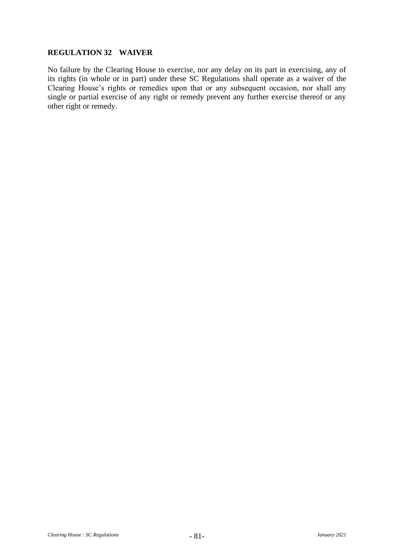# **REGULATION 32 WAIVER**

No failure by the Clearing House to exercise, nor any delay on its part in exercising, any of its rights (in whole or in part) under these SC Regulations shall operate as a waiver of the Clearing House's rights or remedies upon that or any subsequent occasion, nor shall any single or partial exercise of any right or remedy prevent any further exercise thereof or any other right or remedy.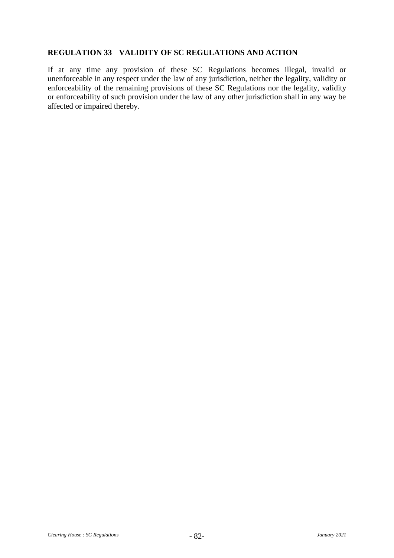#### **REGULATION 33 VALIDITY OF SC REGULATIONS AND ACTION**

If at any time any provision of these SC Regulations becomes illegal, invalid or unenforceable in any respect under the law of any jurisdiction, neither the legality, validity or enforceability of the remaining provisions of these SC Regulations nor the legality, validity or enforceability of such provision under the law of any other jurisdiction shall in any way be affected or impaired thereby.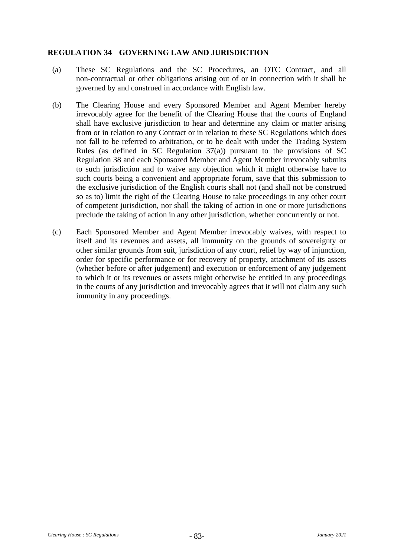# **REGULATION 34 GOVERNING LAW AND JURISDICTION**

- (a) These SC Regulations and the SC Procedures, an OTC Contract, and all non-contractual or other obligations arising out of or in connection with it shall be governed by and construed in accordance with English law.
- (b) The Clearing House and every Sponsored Member and Agent Member hereby irrevocably agree for the benefit of the Clearing House that the courts of England shall have exclusive jurisdiction to hear and determine any claim or matter arising from or in relation to any Contract or in relation to these SC Regulations which does not fall to be referred to arbitration, or to be dealt with under the Trading System Rules (as defined in SC Regulation  $37(a)$ ) pursuant to the provisions of SC [Regulation 38](#page-93-0) and each Sponsored Member and Agent Member irrevocably submits to such jurisdiction and to waive any objection which it might otherwise have to such courts being a convenient and appropriate forum, save that this submission to the exclusive jurisdiction of the English courts shall not (and shall not be construed so as to) limit the right of the Clearing House to take proceedings in any other court of competent jurisdiction, nor shall the taking of action in one or more jurisdictions preclude the taking of action in any other jurisdiction, whether concurrently or not.
- (c) Each Sponsored Member and Agent Member irrevocably waives, with respect to itself and its revenues and assets, all immunity on the grounds of sovereignty or other similar grounds from suit, jurisdiction of any court, relief by way of injunction, order for specific performance or for recovery of property, attachment of its assets (whether before or after judgement) and execution or enforcement of any judgement to which it or its revenues or assets might otherwise be entitled in any proceedings in the courts of any jurisdiction and irrevocably agrees that it will not claim any such immunity in any proceedings.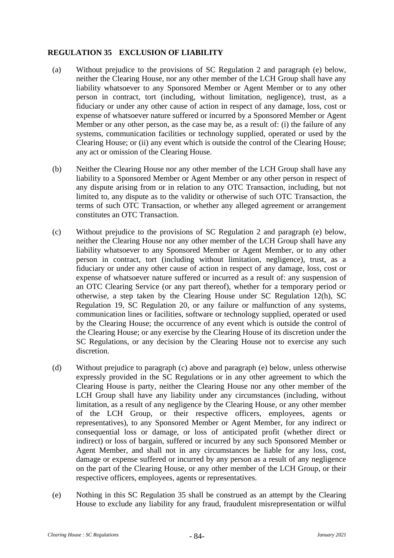# <span id="page-87-2"></span>**REGULATION 35 EXCLUSION OF LIABILITY**

- (a) Without prejudice to the provisions of SC [Regulation 2](#page-28-0) and paragraph [\(e\)](#page-87-0) below, neither the Clearing House, nor any other member of the LCH Group shall have any liability whatsoever to any Sponsored Member or Agent Member or to any other person in contract, tort (including, without limitation, negligence), trust, as a fiduciary or under any other cause of action in respect of any damage, loss, cost or expense of whatsoever nature suffered or incurred by a Sponsored Member or Agent Member or any other person, as the case may be, as a result of: (i) the failure of any systems, communication facilities or technology supplied, operated or used by the Clearing House; or (ii) any event which is outside the control of the Clearing House; any act or omission of the Clearing House.
- (b) Neither the Clearing House nor any other member of the LCH Group shall have any liability to a Sponsored Member or Agent Member or any other person in respect of any dispute arising from or in relation to any OTC Transaction, including, but not limited to, any dispute as to the validity or otherwise of such OTC Transaction, the terms of such OTC Transaction, or whether any alleged agreement or arrangement constitutes an OTC Transaction.
- <span id="page-87-1"></span>(c) Without prejudice to the provisions of SC [Regulation 2](#page-28-0) and paragraph [\(e\)](#page-87-0) below, neither the Clearing House nor any other member of the LCH Group shall have any liability whatsoever to any Sponsored Member or Agent Member, or to any other person in contract, tort (including without limitation, negligence), trust, as a fiduciary or under any other cause of action in respect of any damage, loss, cost or expense of whatsoever nature suffered or incurred as a result of: any suspension of an OTC Clearing Service (or any part thereof), whether for a temporary period or otherwise, a step taken by the Clearing House under SC [Regulation 12\(h\),](#page-52-0) SC [Regulation 19,](#page-67-0) SC [Regulation 20,](#page-68-0) or any failure or malfunction of any systems, communication lines or facilities, software or technology supplied, operated or used by the Clearing House; the occurrence of any event which is outside the control of the Clearing House; or any exercise by the Clearing House of its discretion under the SC Regulations, or any decision by the Clearing House not to exercise any such discretion.
- (d) Without prejudice to paragraph [\(c\)](#page-87-1) above and paragraph [\(e\)](#page-87-0) below, unless otherwise expressly provided in the SC Regulations or in any other agreement to which the Clearing House is party, neither the Clearing House nor any other member of the LCH Group shall have any liability under any circumstances (including, without limitation, as a result of any negligence by the Clearing House, or any other member of the LCH Group, or their respective officers, employees, agents or representatives), to any Sponsored Member or Agent Member, for any indirect or consequential loss or damage, or loss of anticipated profit (whether direct or indirect) or loss of bargain, suffered or incurred by any such Sponsored Member or Agent Member, and shall not in any circumstances be liable for any loss, cost, damage or expense suffered or incurred by any person as a result of any negligence on the part of the Clearing House, or any other member of the LCH Group, or their respective officers, employees, agents or representatives.
- <span id="page-87-0"></span>(e) Nothing in this SC [Regulation 35](#page-87-2) shall be construed as an attempt by the Clearing House to exclude any liability for any fraud, fraudulent misrepresentation or wilful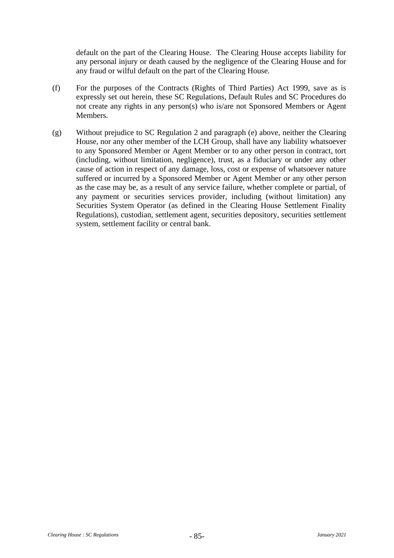default on the part of the Clearing House. The Clearing House accepts liability for any personal injury or death caused by the negligence of the Clearing House and for any fraud or wilful default on the part of the Clearing House.

- (f) For the purposes of the Contracts (Rights of Third Parties) Act 1999, save as is expressly set out herein, these SC Regulations, Default Rules and SC Procedures do not create any rights in any person(s) who is/are not Sponsored Members or Agent Members.
- (g) Without prejudice to SC [Regulation 2](#page-28-0) and paragraph [\(e\)](#page-87-0) above, neither the Clearing House, nor any other member of the LCH Group, shall have any liability whatsoever to any Sponsored Member or Agent Member or to any other person in contract, tort (including, without limitation, negligence), trust, as a fiduciary or under any other cause of action in respect of any damage, loss, cost or expense of whatsoever nature suffered or incurred by a Sponsored Member or Agent Member or any other person as the case may be, as a result of any service failure, whether complete or partial, of any payment or securities services provider, including (without limitation) any Securities System Operator (as defined in the Clearing House Settlement Finality Regulations), custodian, settlement agent, securities depository, securities settlement system, settlement facility or central bank.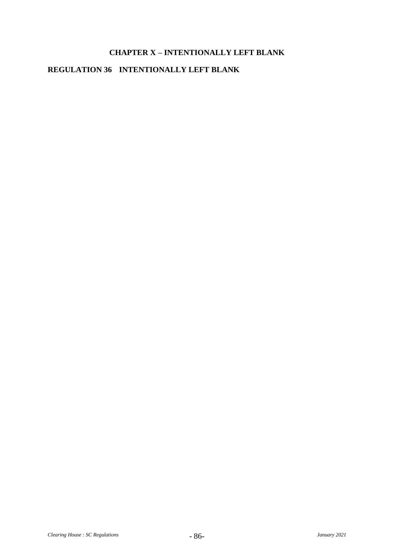# **CHAPTER X – INTENTIONALLY LEFT BLANK**

# **REGULATION 36 INTENTIONALLY LEFT BLANK**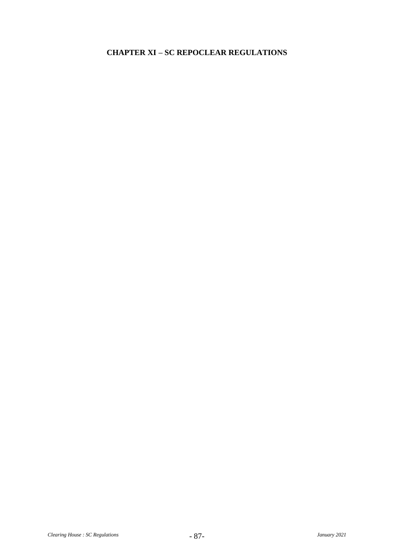# **CHAPTER XI – SC REPOCLEAR REGULATIONS**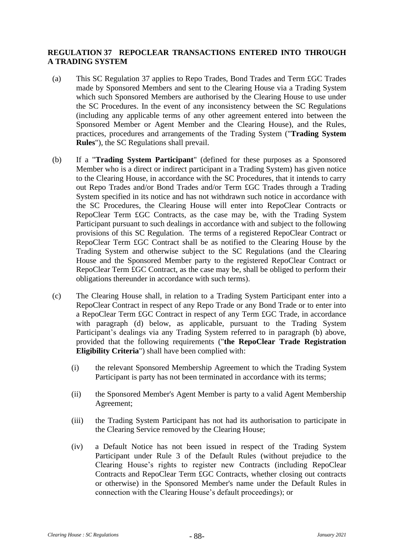## <span id="page-91-1"></span>**REGULATION 37 REPOCLEAR TRANSACTIONS ENTERED INTO THROUGH A TRADING SYSTEM**

- <span id="page-91-0"></span>(a) This SC [Regulation 37](#page-91-1) applies to Repo Trades, Bond Trades and Term £GC Trades made by Sponsored Members and sent to the Clearing House via a Trading System which such Sponsored Members are authorised by the Clearing House to use under the SC Procedures. In the event of any inconsistency between the SC Regulations (including any applicable terms of any other agreement entered into between the Sponsored Member or Agent Member and the Clearing House), and the Rules, practices, procedures and arrangements of the Trading System ("**Trading System Rules**"), the SC Regulations shall prevail.
- <span id="page-91-2"></span>(b) If a "**Trading System Participant**" (defined for these purposes as a Sponsored Member who is a direct or indirect participant in a Trading System) has given notice to the Clearing House, in accordance with the SC Procedures, that it intends to carry out Repo Trades and/or Bond Trades and/or Term £GC Trades through a Trading System specified in its notice and has not withdrawn such notice in accordance with the SC Procedures, the Clearing House will enter into RepoClear Contracts or RepoClear Term £GC Contracts, as the case may be, with the Trading System Participant pursuant to such dealings in accordance with and subject to the following provisions of this SC Regulation. The terms of a registered RepoClear Contract or RepoClear Term £GC Contract shall be as notified to the Clearing House by the Trading System and otherwise subject to the SC Regulations (and the Clearing House and the Sponsored Member party to the registered RepoClear Contract or RepoClear Term £GC Contract, as the case may be, shall be obliged to perform their obligations thereunder in accordance with such terms).
- (c) The Clearing House shall, in relation to a Trading System Participant enter into a RepoClear Contract in respect of any Repo Trade or any Bond Trade or to enter into a RepoClear Term £GC Contract in respect of any Term £GC Trade, in accordance with paragraph [\(d\)](#page-92-0) below, as applicable, pursuant to the Trading System Participant's dealings via any Trading System referred to in paragraph [\(b\)](#page-91-2) above, provided that the following requirements ("**the RepoClear Trade Registration Eligibility Criteria**") shall have been complied with:
	- (i) the relevant Sponsored Membership Agreement to which the Trading System Participant is party has not been terminated in accordance with its terms;
	- (ii) the Sponsored Member's Agent Member is party to a valid Agent Membership Agreement;
	- (iii) the Trading System Participant has not had its authorisation to participate in the Clearing Service removed by the Clearing House;
	- (iv) a Default Notice has not been issued in respect of the Trading System Participant under Rule 3 of the Default Rules (without prejudice to the Clearing House's rights to register new Contracts (including RepoClear Contracts and RepoClear Term £GC Contracts, whether closing out contracts or otherwise) in the Sponsored Member's name under the Default Rules in connection with the Clearing House's default proceedings); or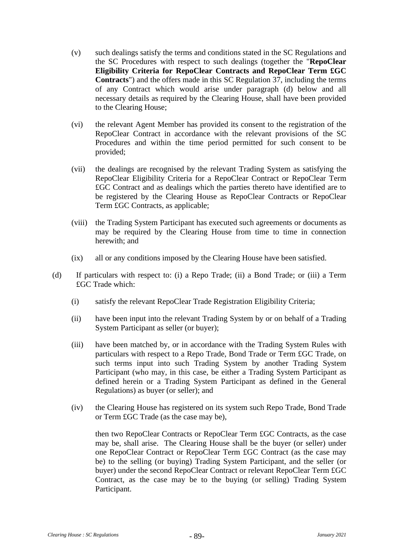- (v) such dealings satisfy the terms and conditions stated in the SC Regulations and the SC Procedures with respect to such dealings (together the "**RepoClear Eligibility Criteria for RepoClear Contracts and RepoClear Term £GC Contracts**") and the offers made in this SC [Regulation 37,](#page-91-1) including the terms of any Contract which would arise under paragraph [\(d\)](#page-92-0) below and all necessary details as required by the Clearing House, shall have been provided to the Clearing House;
- (vi) the relevant Agent Member has provided its consent to the registration of the RepoClear Contract in accordance with the relevant provisions of the SC Procedures and within the time period permitted for such consent to be provided;
- (vii) the dealings are recognised by the relevant Trading System as satisfying the RepoClear Eligibility Criteria for a RepoClear Contract or RepoClear Term £GC Contract and as dealings which the parties thereto have identified are to be registered by the Clearing House as RepoClear Contracts or RepoClear Term £GC Contracts, as applicable;
- (viii) the Trading System Participant has executed such agreements or documents as may be required by the Clearing House from time to time in connection herewith; and
- (ix) all or any conditions imposed by the Clearing House have been satisfied.
- <span id="page-92-0"></span>(d) If particulars with respect to: (i) a Repo Trade; (ii) a Bond Trade; or (iii) a Term £GC Trade which:
	- (i) satisfy the relevant RepoClear Trade Registration Eligibility Criteria;
	- (ii) have been input into the relevant Trading System by or on behalf of a Trading System Participant as seller (or buyer);
	- (iii) have been matched by, or in accordance with the Trading System Rules with particulars with respect to a Repo Trade, Bond Trade or Term £GC Trade, on such terms input into such Trading System by another Trading System Participant (who may, in this case, be either a Trading System Participant as defined herein or a Trading System Participant as defined in the General Regulations) as buyer (or seller); and
	- (iv) the Clearing House has registered on its system such Repo Trade, Bond Trade or Term £GC Trade (as the case may be),

then two RepoClear Contracts or RepoClear Term £GC Contracts, as the case may be, shall arise. The Clearing House shall be the buyer (or seller) under one RepoClear Contract or RepoClear Term £GC Contract (as the case may be) to the selling (or buying) Trading System Participant, and the seller (or buyer) under the second RepoClear Contract or relevant RepoClear Term £GC Contract, as the case may be to the buying (or selling) Trading System Participant.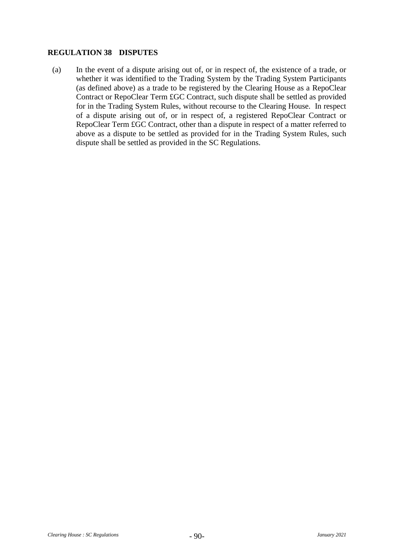#### <span id="page-93-0"></span>**REGULATION 38 DISPUTES**

(a) In the event of a dispute arising out of, or in respect of, the existence of a trade, or whether it was identified to the Trading System by the Trading System Participants (as defined above) as a trade to be registered by the Clearing House as a RepoClear Contract or RepoClear Term £GC Contract, such dispute shall be settled as provided for in the Trading System Rules, without recourse to the Clearing House. In respect of a dispute arising out of, or in respect of, a registered RepoClear Contract or RepoClear Term £GC Contract, other than a dispute in respect of a matter referred to above as a dispute to be settled as provided for in the Trading System Rules, such dispute shall be settled as provided in the SC Regulations.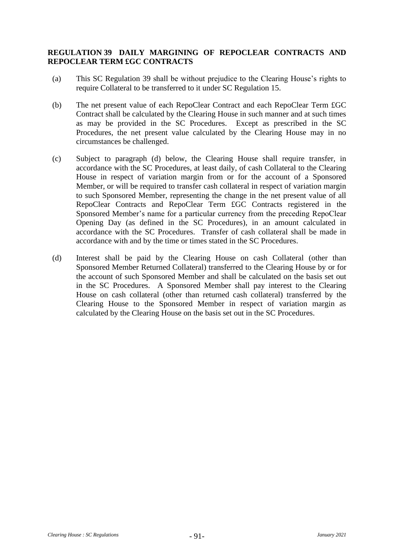## <span id="page-94-0"></span>**REGULATION 39 DAILY MARGINING OF REPOCLEAR CONTRACTS AND REPOCLEAR TERM £GC CONTRACTS**

- (a) This SC [Regulation 39](#page-94-0) shall be without prejudice to the Clearing House's rights to require Collateral to be transferred to it under SC [Regulation 15.](#page-56-0)
- (b) The net present value of each RepoClear Contract and each RepoClear Term £GC Contract shall be calculated by the Clearing House in such manner and at such times as may be provided in the SC Procedures. Except as prescribed in the SC Procedures, the net present value calculated by the Clearing House may in no circumstances be challenged.
- (c) Subject to paragraph [\(d\)](#page-94-1) below, the Clearing House shall require transfer, in accordance with the SC Procedures, at least daily, of cash Collateral to the Clearing House in respect of variation margin from or for the account of a Sponsored Member, or will be required to transfer cash collateral in respect of variation margin to such Sponsored Member, representing the change in the net present value of all RepoClear Contracts and RepoClear Term £GC Contracts registered in the Sponsored Member's name for a particular currency from the preceding RepoClear Opening Day (as defined in the SC Procedures), in an amount calculated in accordance with the SC Procedures. Transfer of cash collateral shall be made in accordance with and by the time or times stated in the SC Procedures.
- <span id="page-94-1"></span>(d) Interest shall be paid by the Clearing House on cash Collateral (other than Sponsored Member Returned Collateral) transferred to the Clearing House by or for the account of such Sponsored Member and shall be calculated on the basis set out in the SC Procedures. A Sponsored Member shall pay interest to the Clearing House on cash collateral (other than returned cash collateral) transferred by the Clearing House to the Sponsored Member in respect of variation margin as calculated by the Clearing House on the basis set out in the SC Procedures.